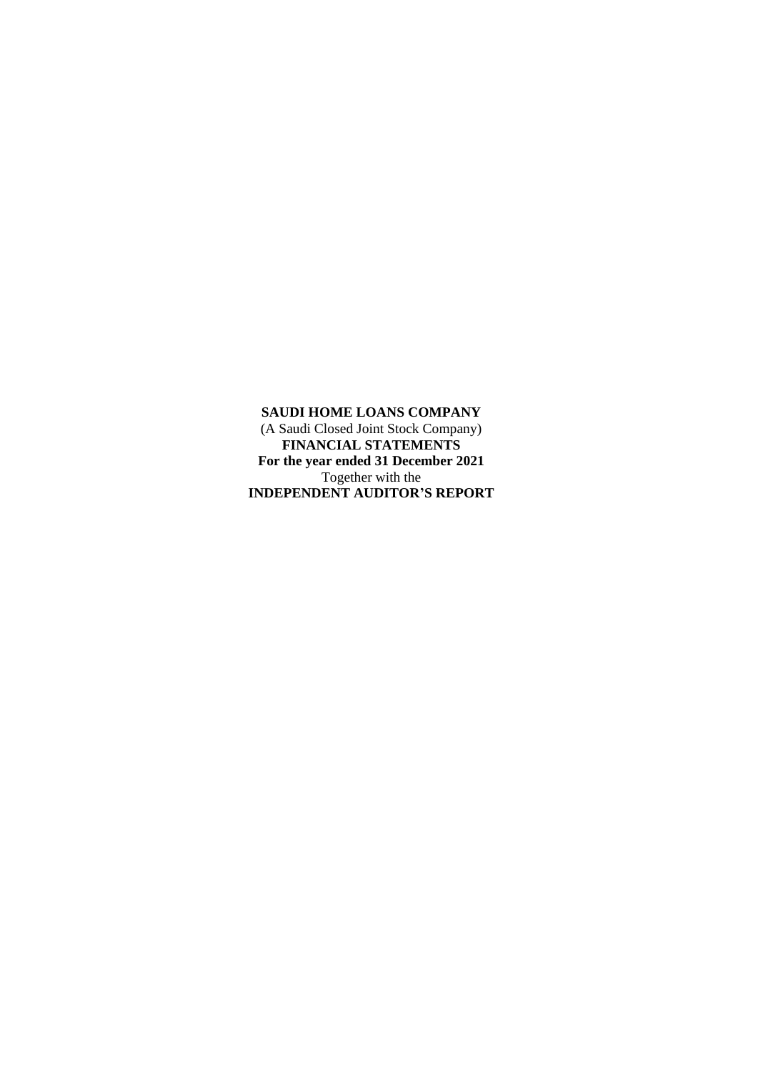**SAUDI HOME LOANS COMPANY**  (A Saudi Closed Joint Stock Company) **FINANCIAL STATEMENTS For the year ended 31 December 2021** Together with the **INDEPENDENT AUDITOR'S REPORT**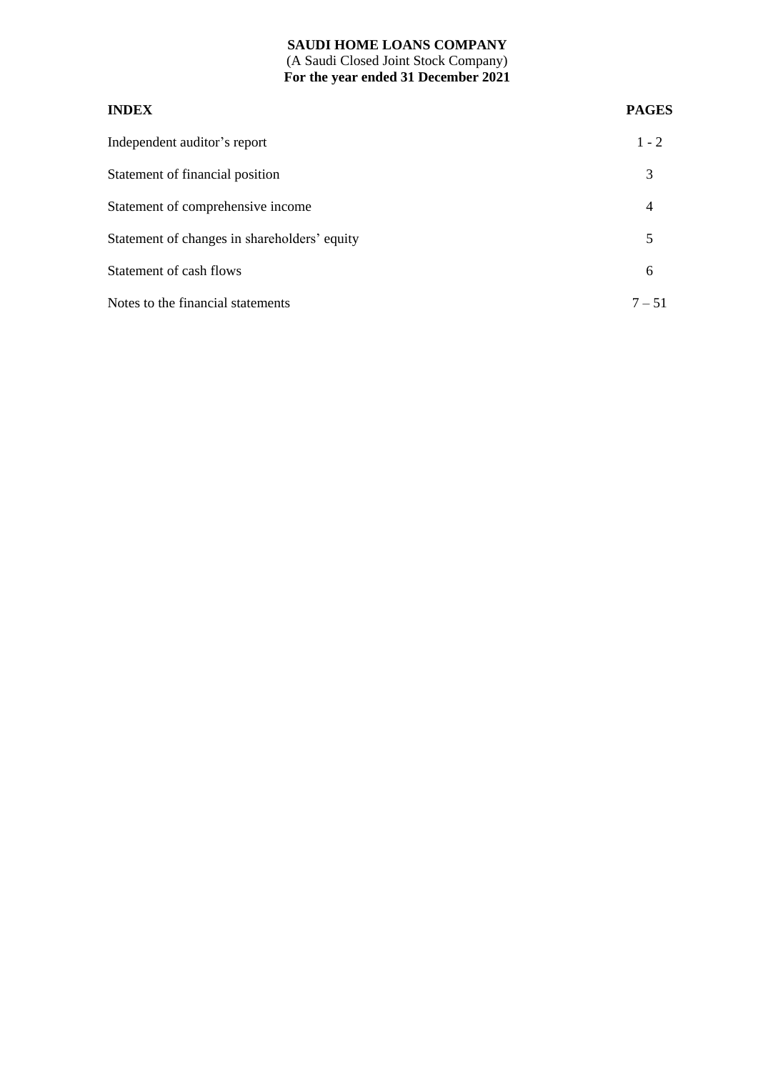## **SAUDI HOME LOANS COMPANY**  (A Saudi Closed Joint Stock Company) **For the year ended 31 December 2021**

# **INDEX PAGES** Independent auditor's report 1 - 2 Statement of financial position 3 Statement of comprehensive income 4 Statement of changes in shareholders' equity 5 Statement of cash flows 6 Notes to the financial statements  $7-51$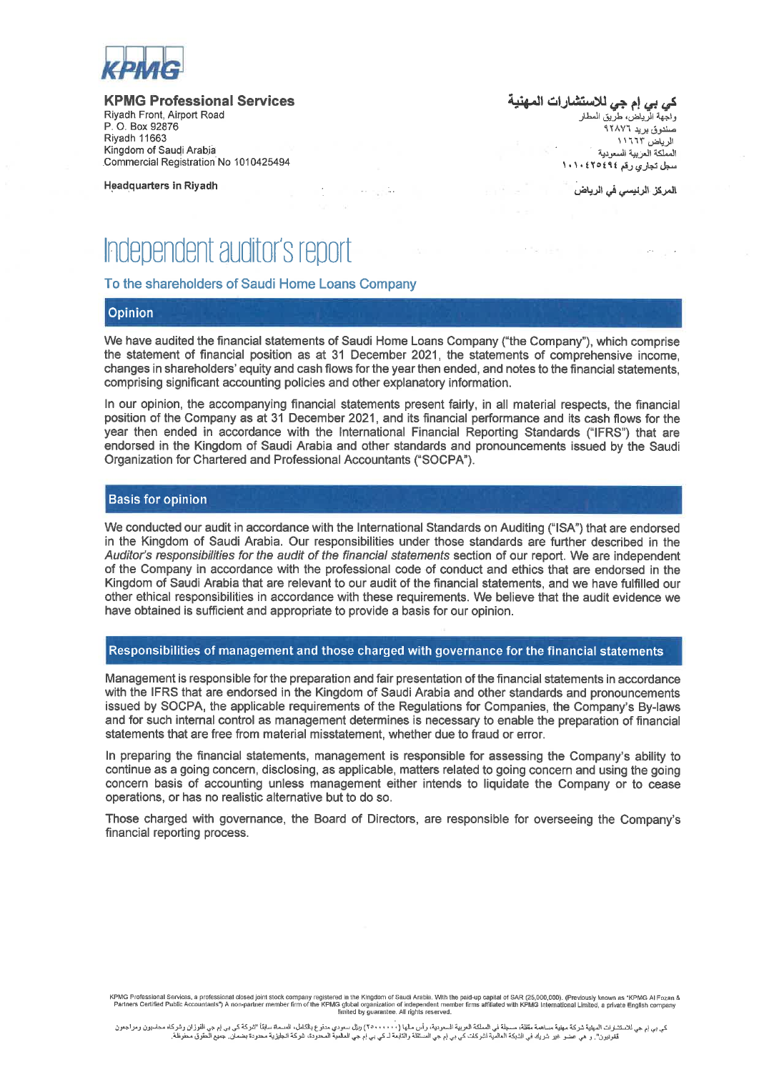

#### **KPMG Professional Services**

Riyadh Front, Airport Road P O Box 92876 **Riyadh 11663** Kingdom of Saudi Arabia Commercial Registration No 1010425494

**Headquarters in Riyadh** 

ك*ي بي* إم ج*ي* للاستشارات المهن<u>د</u> واجهة الرياض، طريق المطار

صندوق بريد ٩٢٨٧٦ الرياض ١١٦٦٣ المملكة العزبية السعودية سط تجاري رقم ٢٥٤٩٤١٠١٠١

المركز الرنيسي في الرياض

# Independent auditor's report

#### To the shareholders of Saudi Home Loans Company

#### Opinion

We have audited the financial statements of Saudi Home Loans Company ("the Company"), which comprise the statement of financial position as at 31 December 2021, the statements of comprehensive income. changes in shareholders' equity and cash flows for the year then ended, and notes to the financial statements. comprising significant accounting policies and other explanatory information.

and the supplies

In our opinion, the accompanying financial statements present fairly, in all material respects, the financial position of the Company as at 31 December 2021, and its financial performance and its cash flows for the year then ended in accordance with the International Financial Reporting Standards ("IFRS") that are endorsed in the Kingdom of Saudi Arabia and other standards and pronouncements issued by the Saudi Organization for Chartered and Professional Accountants ("SOCPA").

#### **Basis for opinion**

We conducted our audit in accordance with the International Standards on Auditing ("ISA") that are endorsed in the Kingdom of Saudi Arabia. Our responsibilities under those standards are further described in the Auditor's responsibilities for the audit of the financial statements section of our report. We are independent of the Company in accordance with the professional code of conduct and ethics that are endorsed in the Kingdom of Saudi Arabia that are relevant to our audit of the financial statements, and we have fulfilled our other ethical responsibilities in accordance with these requirements. We believe that the audit evidence we have obtained is sufficient and appropriate to provide a basis for our opinion.

#### Responsibilities of management and those charged with governance for the financial statements

Management is responsible for the preparation and fair presentation of the financial statements in accordance with the IFRS that are endorsed in the Kingdom of Saudi Arabia and other standards and pronouncements issued by SOCPA, the applicable requirements of the Regulations for Companies, the Company's By-laws and for such internal control as management determines is necessary to enable the preparation of financial statements that are free from material misstatement, whether due to fraud or error.

In preparing the financial statements, management is responsible for assessing the Company's ability to continue as a going concern, disclosing, as applicable, matters related to going concern and using the going concern basis of accounting unless management either intends to liquidate the Company or to cease operations, or has no realistic alternative but to do so.

Those charged with governance, the Board of Directors, are responsible for overseeing the Company's financial reporting process.

KPMG Professional Services, a professional closed joint stock company registered in the Kingdom of Saudi Arabia. With the paid-up capital of SAR (25,000,000). (Previously known as "KPMG al Fozan &<br>Fartners Certified Public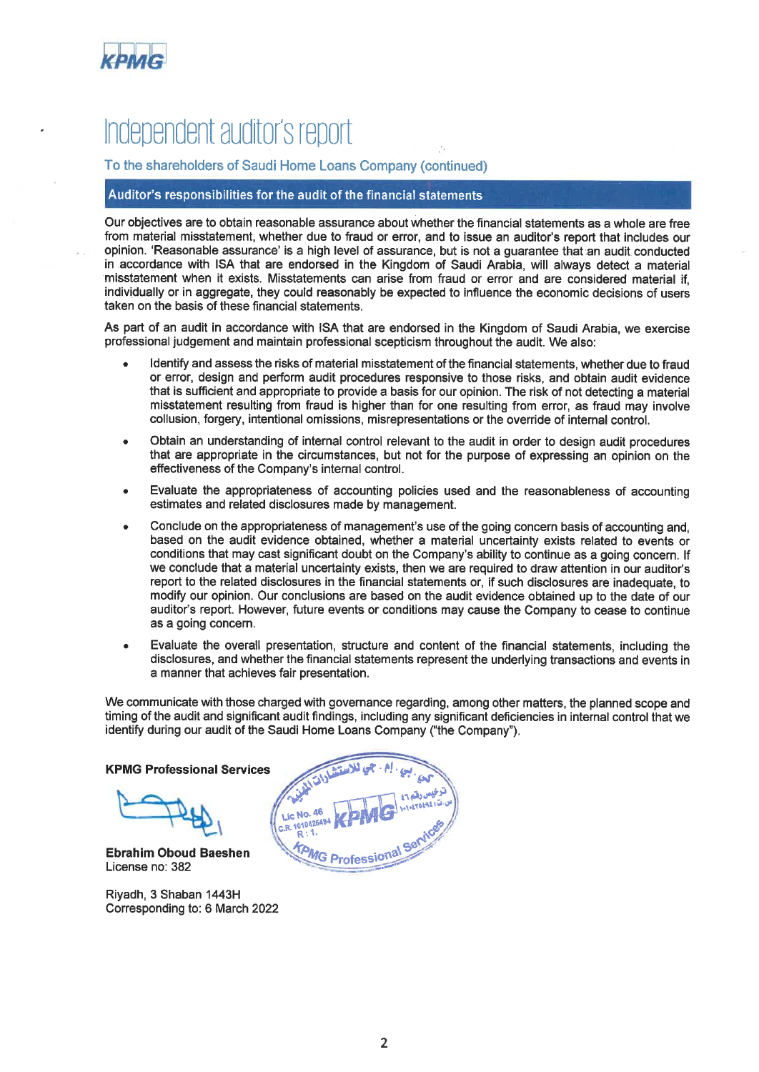

# Independent auditor's report

To the shareholders of Saudi Home Loans Company (continued)

## Auditor's responsibilities for the audit of the financial statements

Our objectives are to obtain reasonable assurance about whether the financial statements as a whole are free from material misstatement, whether due to fraud or error, and to issue an auditor's report that includes our opinion. 'Reasonable assurance' is a high level of assurance, but is not a quarantee that an audit conducted in accordance with ISA that are endorsed in the Kingdom of Saudi Arabia, will always detect a material misstatement when it exists. Misstatements can arise from fraud or error and are considered material if. individually or in aggregate, they could reasonably be expected to influence the economic decisions of users taken on the basis of these financial statements.

As part of an audit in accordance with ISA that are endorsed in the Kingdom of Saudi Arabia, we exercise professional judgement and maintain professional scepticism throughout the audit. We also:

- Identify and assess the risks of material misstatement of the financial statements, whether due to fraud or error, design and perform audit procedures responsive to those risks, and obtain audit evidence that is sufficient and appropriate to provide a basis for our opinion. The risk of not detecting a material misstatement resulting from fraud is higher than for one resulting from error, as fraud may involve collusion, forgery, intentional omissions, misrepresentations or the override of internal control.
- Obtain an understanding of internal control relevant to the audit in order to design audit procedures that are appropriate in the circumstances, but not for the purpose of expressing an opinion on the effectiveness of the Company's internal control.
- Evaluate the appropriateness of accounting policies used and the reasonableness of accounting estimates and related disclosures made by management.
- Conclude on the appropriateness of management's use of the going concern basis of accounting and, based on the audit evidence obtained, whether a material uncertainty exists related to events or conditions that may cast significant doubt on the Company's ability to continue as a going concern. If we conclude that a material uncertainty exists, then we are required to draw attention in our auditor's report to the related disclosures in the financial statements or, if such disclosures are inadequate, to modify our opinion. Our conclusions are based on the audit evidence obtained up to the date of our auditor's report. However, future events or conditions may cause the Company to cease to continue as a going concern.
- Evaluate the overall presentation, structure and content of the financial statements, including the disclosures, and whether the financial statements represent the underlying transactions and events in a manner that achieves fair presentation.

We communicate with those charged with governance regarding, among other matters, the planned scope and timing of the audit and significant audit findings, including any significant deficiencies in internal control that we identify during our audit of the Saudi Home Loans Company ("the Company").

**KPMG Professional Services** 

Lic No. C.R. 1010425494 R

**MG Profession** 

**Ebrahim Oboud Baeshen** License no: 382

Riyadh, 3 Shaban 1443H Corresponding to: 6 March 2022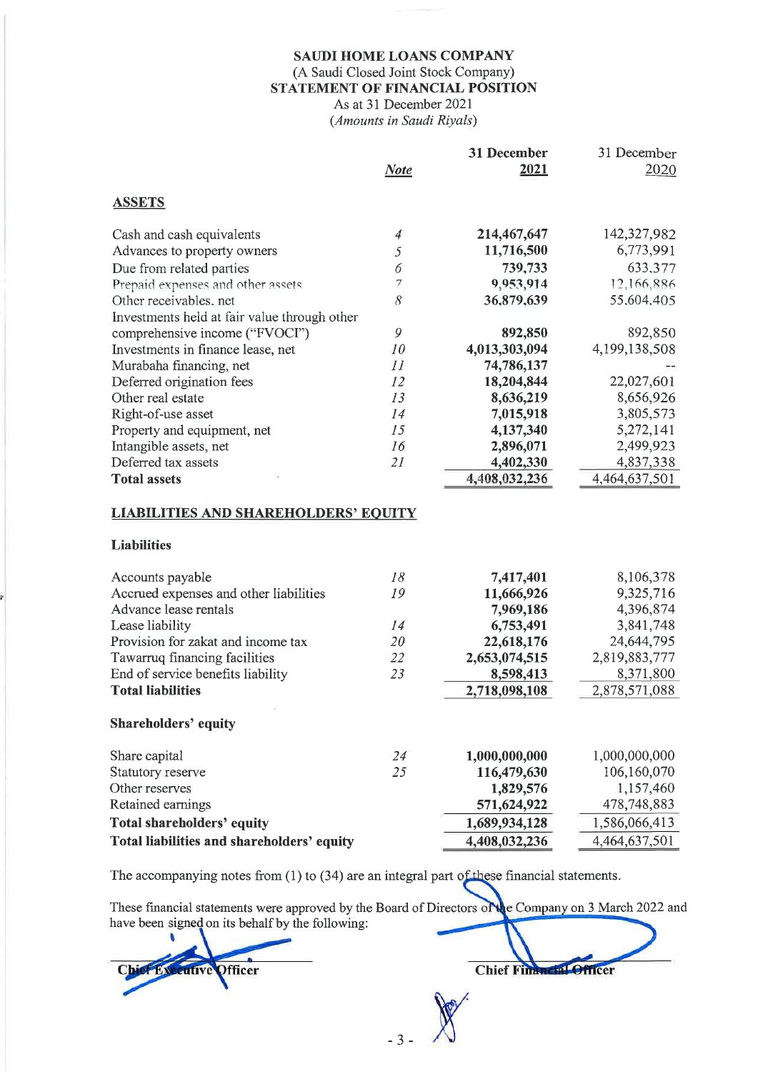# SAUDI HOME LOANS COMPANY (A Saudi Closed Joint Stock Company) STATEMENT OF FINANCIAL POSITION As at 31 December 2021

(Amounts in Saudi Riyals)

|                                                                   |                | 31 December   | 31 December   |
|-------------------------------------------------------------------|----------------|---------------|---------------|
|                                                                   | <b>Note</b>    | 2021          | 2020          |
| <b>ASSETS</b>                                                     |                |               |               |
|                                                                   |                |               |               |
| Cash and cash equivalents                                         | $\overline{4}$ | 214,467,647   | 142,327,982   |
| Advances to property owners                                       | 5              | 11,716,500    | 6,773,991     |
| Due from related parties                                          | 6              | 739,733       | 633,377       |
| Prepaid expenses and other assets                                 | 7              | 9,953,914     | 12,166,886    |
| Other receivables, net                                            | 8              | 36,879,639    | 55,604,405    |
| Investments held at fair value through other                      |                |               |               |
| comprehensive income ("FVOCI")                                    | 9              | 892,850       | 892,850       |
| Investments in finance lease, net                                 | 10             | 4,013,303,094 | 4,199,138,508 |
| Murabaha financing, net                                           | 11             | 74,786,137    |               |
| Deferred origination fees                                         | 12             | 18,204,844    | 22,027,601    |
| Other real estate                                                 | 13             | 8,636,219     | 8,656,926     |
| Right-of-use asset                                                | 14             | 7,015,918     | 3,805,573     |
| Property and equipment, net                                       | 15             | 4,137,340     | 5,272,141     |
| Intangible assets, net                                            | 16             | 2,896,071     | 2,499,923     |
| Deferred tax assets                                               | 2I             | 4,402,330     | 4,837,338     |
| <b>Total assets</b>                                               |                | 4,408,032,236 | 4,464,637,501 |
| <b>LIABILITIES AND SHAREHOLDERS' EQUITY</b><br><b>Liabilities</b> |                |               |               |
| Accounts payable                                                  | 18             | 7,417,401     | 8,106,378     |
| Accrued expenses and other liabilities                            | 19             | 11,666,926    | 9,325,716     |
| Advance lease rentals                                             |                | 7,969,186     | 4,396,874     |
| Lease liability                                                   | 14             | 6,753,491     | 3,841,748     |
| Provision for zakat and income tax                                | 20             | 22,618,176    | 24,644,795    |
| Tawarruq financing facilities                                     | 22             | 2,653,074,515 | 2,819,883,777 |
| End of service benefits liability                                 | 23             | 8,598,413     | 8,371,800     |
| <b>Total liabilities</b>                                          |                | 2,718,098,108 | 2,878,571,088 |
|                                                                   |                |               |               |
| <b>Shareholders' equity</b>                                       |                |               |               |
| Share capital                                                     | 24             | 1,000,000,000 | 1,000,000,000 |
| Statutory reserve                                                 | 25             | 116,479,630   | 106,160,070   |
| Other reserves                                                    |                | 1,829,576     | 1,157,460     |
| Retained earnings                                                 |                | 571,624,922   | 478,748,883   |
| <b>Total shareholders' equity</b>                                 |                | 1,689,934,128 | 1,586,066,413 |
| Total liabilities and shareholders' equity                        |                | 4,408,032,236 | 4,464,637,501 |

The accompanying notes from  $(1)$  to  $(34)$  are an integral part of these financial statements.

These financial statements were approved by the Board of Directors of the Company on 3 March 2022 and have been signed on its behalf by the following:

 $-3$ 

Chief Financial Officer

Chief Ex utive Officer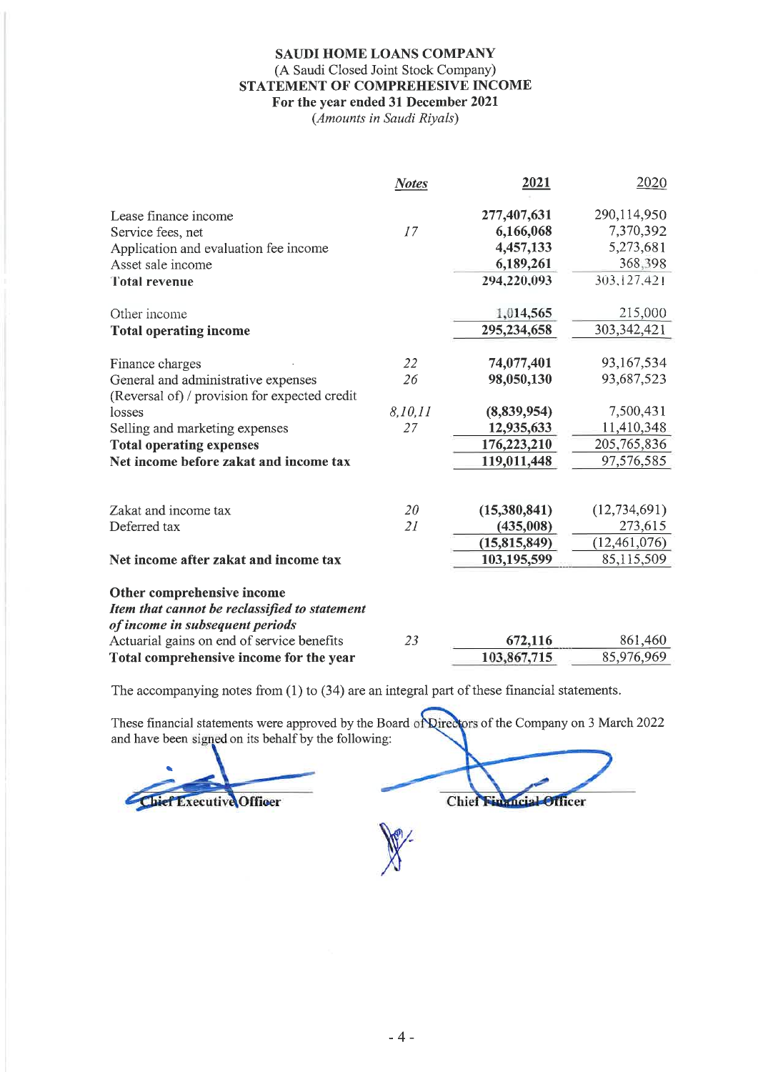## **SAUDI HOME LOANS COMPANY** (A Saudi Closed Joint Stock Company) STATEMENT OF COMPREHESIVE INCOME For the year ended 31 December 2021

(Amounts in Saudi Riyals)

|                                                                                       | <b>Notes</b> | 2021                   | 2020           |
|---------------------------------------------------------------------------------------|--------------|------------------------|----------------|
| Lease finance income                                                                  |              | 277,407,631            | 290,114,950    |
| Service fees, net                                                                     | 17           | 6,166,068              | 7,370,392      |
| Application and evaluation fee income                                                 |              | 4,457,133              | 5,273,681      |
| Asset sale income                                                                     |              | 6,189,261              | 368,398        |
| <b>Total revenue</b>                                                                  |              | 294,220,093            | 303,127,421    |
| Other income                                                                          |              | 1,014,565              | 215,000        |
| <b>Total operating income</b>                                                         |              | 295,234,658            | 303, 342, 421  |
| Finance charges                                                                       | 22           | 74,077,401             | 93,167,534     |
| General and administrative expenses                                                   | 26           | 98,050,130             | 93,687,523     |
| (Reversal of) / provision for expected credit<br>losses                               | 8, 10, 11    | (8,839,954)            | 7,500,431      |
| Selling and marketing expenses                                                        | 27           | 12,935,633             | 11,410,348     |
| <b>Total operating expenses</b>                                                       |              | 176,223,210            | 205, 765, 836  |
| Net income before zakat and income tax                                                |              | 119,011,448            | 97,576,585     |
| Zakat and income tax                                                                  | 20           | (15,380,841)           | (12, 734, 691) |
| Deferred tax                                                                          | 21           | (435,008)              | 273,615        |
|                                                                                       |              | (15, 815, 849)         | (12, 461, 076) |
| Net income after zakat and income tax                                                 |              | 103,195,599            | 85,115,509     |
|                                                                                       |              |                        |                |
| Other comprehensive income<br>Item that cannot be reclassified to statement           |              |                        |                |
| of income in subsequent periods                                                       | 23           |                        | 861,460        |
| Actuarial gains on end of service benefits<br>Total comprehensive income for the year |              | 672,116<br>103,867,715 | 85,976,969     |
|                                                                                       |              |                        |                |

The accompanying notes from  $(1)$  to  $(34)$  are an integral part of these financial statements.

These financial statements were approved by the Board of Directors of the Company on 3 March 2022 and have been signed on its behalf by the following:

Chief Executive Officer

Chief Financial Officer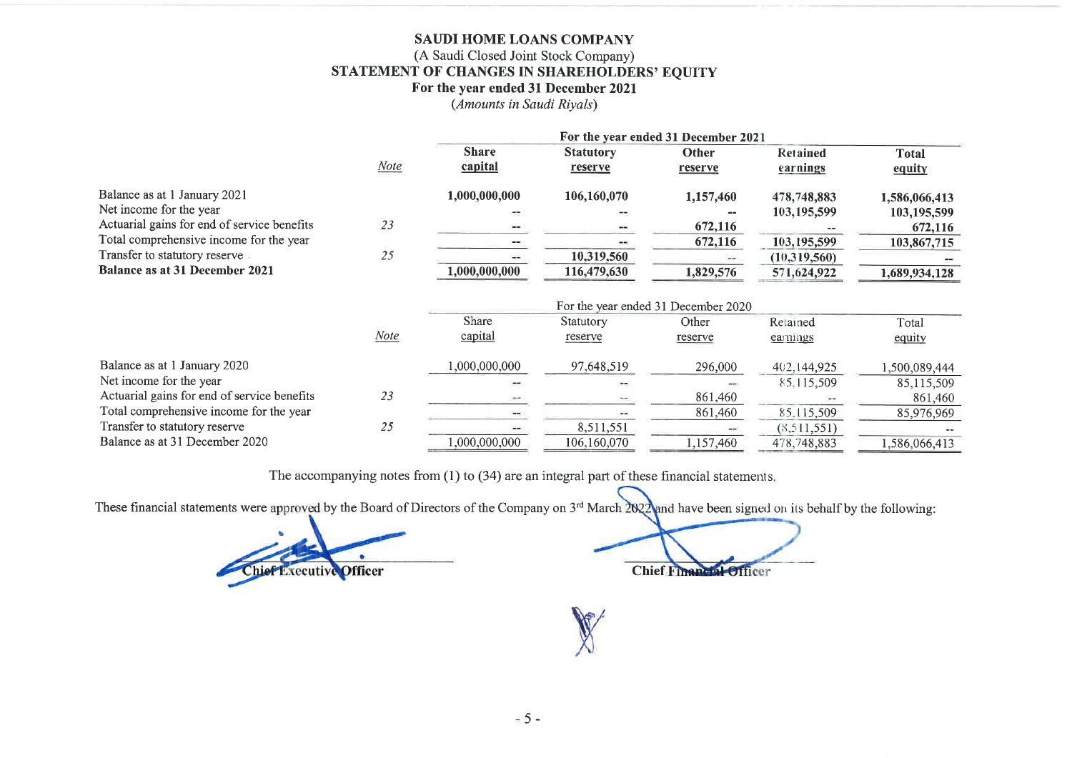## SAUDI HOME LOANS COMPANY (A Saudi Closed Joint Stock Company) STATEMENT OF CHANGES IN SHAREHOLDERS' EQUITY For the year ended 31 December 2021

(Amounts in Saudi Rivals)

|                                             |             |               |                  | For the year ended 31 December 2021 |                 |               |
|---------------------------------------------|-------------|---------------|------------------|-------------------------------------|-----------------|---------------|
|                                             |             | <b>Share</b>  | <b>Statutory</b> | Other                               | <b>Retained</b> | <b>Total</b>  |
|                                             | <b>Note</b> | capital       | reserve          | reserve                             | earnings        | equity        |
| Balance as at 1 January 2021                |             | 1,000,000,000 | 106,160,070      | 1,157,460                           | 478,748,883     | 1,586,066,413 |
| Net income for the year                     |             |               |                  |                                     | 103, 195, 599   | 103,195,599   |
| Actuarial gains for end of service benefits | 23          |               |                  | 672,116                             |                 | 672,116       |
| Total comprehensive income for the year     |             |               |                  | 672,116                             | 103,195,599     | 103,867,715   |
| Transfer to statutory reserve               | 25          |               | 10,319,560       | $\cdots$                            | (10,319,560)    |               |
| <b>Balance as at 31 December 2021</b>       |             | 1,000,000,000 | 116,479,630      | 1,829,576                           | 571,624,922     | 1,689,934,128 |
|                                             |             |               |                  | For the year ended 31 December 2020 |                 |               |
|                                             |             | Share         | Statutory        | Other                               | Retained        | Total         |
|                                             | Note        | capital       | reserve          | reserve                             | earnings        | equity        |
| Balance as at 1 January 2020                |             | 000,000,000,1 | 97,648,519       | 296,000                             | 402,144,925     | 1,500,089,444 |
| Net income for the year                     |             |               |                  |                                     | 85.115,509      | 85,115,509    |
| Actuarial gains for end of service benefits | 23          |               |                  | 861,460                             |                 | 861,460       |
| Total comprehensive income for the year     |             | $***$         | --               | 861,460                             | 85, 115, 509    | 85,976,969    |
| Transfer to statutory reserve               | 25          |               | 8,511,551        |                                     | (8, 511, 551)   |               |
| Balance as at 31 December 2020              |             | 1,000,000,000 | 106,160,070      | 1,157,460                           | 478,748,883     | 1,586,066,413 |

The accompanying notes from (1) to (34) are an integral part of these financial statements.

These financial statements were approved by the Board of Directors of the Company on 3<sup>rd</sup> March 2022 and have been signed on its behalf by the following:

Chief Executive Officer

**Chief Financial Officer**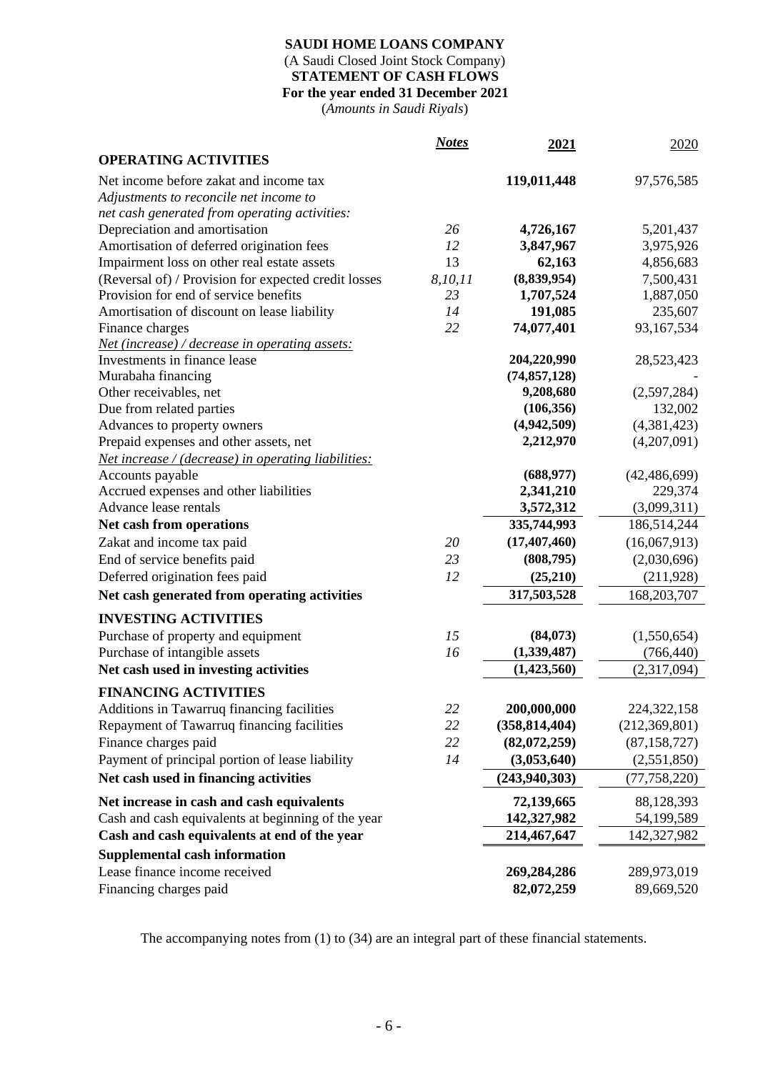# **SAUDI HOME LOANS COMPANY** (A Saudi Closed Joint Stock Company) **STATEMENT OF CASH FLOWS For the year ended 31 December 2021**

(*Amounts in Saudi Riyals*)

|                                                      | <b>Notes</b> | 2021            | 2020            |
|------------------------------------------------------|--------------|-----------------|-----------------|
| <b>OPERATING ACTIVITIES</b>                          |              |                 |                 |
| Net income before zakat and income tax               |              | 119,011,448     | 97,576,585      |
| Adjustments to reconcile net income to               |              |                 |                 |
| net cash generated from operating activities:        |              |                 |                 |
| Depreciation and amortisation                        | 26           | 4,726,167       | 5,201,437       |
| Amortisation of deferred origination fees            | 12           | 3,847,967       | 3,975,926       |
| Impairment loss on other real estate assets          | 13           | 62,163          | 4,856,683       |
| (Reversal of) / Provision for expected credit losses | 8,10,11      | (8,839,954)     | 7,500,431       |
| Provision for end of service benefits                | 23           | 1,707,524       | 1,887,050       |
| Amortisation of discount on lease liability          | 14           | 191,085         | 235,607         |
| Finance charges                                      | 22           | 74,077,401      | 93,167,534      |
| Net (increase) / decrease in operating assets:       |              |                 |                 |
| Investments in finance lease                         |              | 204,220,990     | 28,523,423      |
| Murabaha financing                                   |              | (74, 857, 128)  |                 |
| Other receivables, net                               |              | 9,208,680       | (2,597,284)     |
| Due from related parties                             |              | (106, 356)      | 132,002         |
| Advances to property owners                          |              | (4,942,509)     | (4,381,423)     |
| Prepaid expenses and other assets, net               |              | 2,212,970       | (4,207,091)     |
| Net increase / (decrease) in operating liabilities:  |              |                 |                 |
| Accounts payable                                     |              | (688, 977)      | (42, 486, 699)  |
| Accrued expenses and other liabilities               |              | 2,341,210       | 229,374         |
| Advance lease rentals                                |              | 3,572,312       | (3,099,311)     |
| Net cash from operations                             |              | 335,744,993     | 186,514,244     |
| Zakat and income tax paid                            | 20           | (17, 407, 460)  | (16,067,913)    |
| End of service benefits paid                         | 23           | (808,795)       | (2,030,696)     |
| Deferred origination fees paid                       | 12           | (25,210)        | (211, 928)      |
| Net cash generated from operating activities         |              | 317,503,528     | 168,203,707     |
| <b>INVESTING ACTIVITIES</b>                          |              |                 |                 |
| Purchase of property and equipment                   | 15           | (84,073)        | (1,550,654)     |
| Purchase of intangible assets                        | 16           | (1,339,487)     | (766, 440)      |
| Net cash used in investing activities                |              | (1,423,560)     | (2,317,094)     |
|                                                      |              |                 |                 |
| <b>FINANCING ACTIVITIES</b>                          |              |                 |                 |
| Additions in Tawarruq financing facilities           | 22           | 200,000,000     | 224, 322, 158   |
| Repayment of Tawarruq financing facilities           | 22           | (358, 814, 404) | (212, 369, 801) |
| Finance charges paid                                 | 22           | (82,072,259)    | (87, 158, 727)  |
| Payment of principal portion of lease liability      | 14           | (3,053,640)     | (2,551,850)     |
| Net cash used in financing activities                |              | (243,940,303)   | (77, 758, 220)  |
| Net increase in cash and cash equivalents            |              | 72,139,665      | 88,128,393      |
| Cash and cash equivalents at beginning of the year   |              | 142,327,982     | 54,199,589      |
| Cash and cash equivalents at end of the year         |              | 214,467,647     | 142,327,982     |
| <b>Supplemental cash information</b>                 |              |                 |                 |
| Lease finance income received                        |              | 269,284,286     | 289,973,019     |
| Financing charges paid                               |              | 82,072,259      | 89,669,520      |

The accompanying notes from (1) to (34) are an integral part of these financial statements.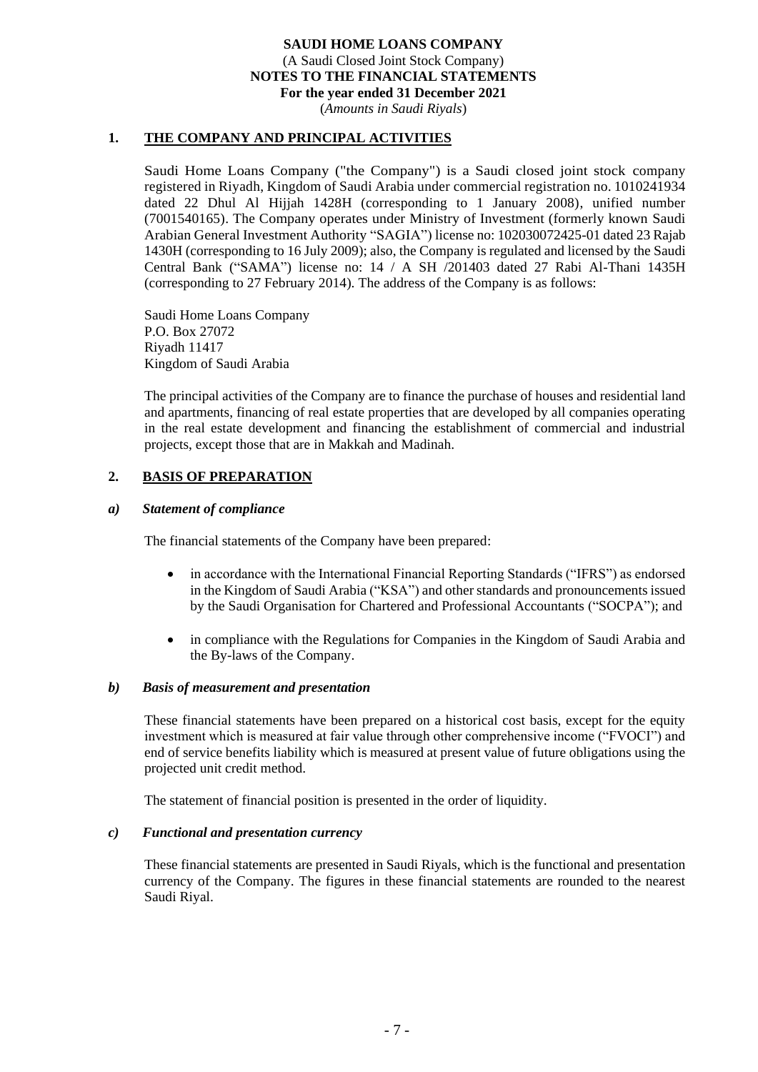(*Amounts in Saudi Riyals*)

## **1. THE COMPANY AND PRINCIPAL ACTIVITIES**

Saudi Home Loans Company ("the Company") is a Saudi closed joint stock company registered in Riyadh, Kingdom of Saudi Arabia under commercial registration no. 1010241934 dated 22 Dhul Al Hijjah 1428H (corresponding to 1 January 2008), unified number (7001540165). The Company operates under Ministry of Investment (formerly known Saudi Arabian General Investment Authority "SAGIA") license no: 102030072425-01 dated 23 Rajab 1430H (corresponding to 16 July 2009); also, the Company is regulated and licensed by the Saudi Central Bank ("SAMA") license no: 14 / A SH /201403 dated 27 Rabi Al-Thani 1435H (corresponding to 27 February 2014). The address of the Company is as follows:

Saudi Home Loans Company P.O. Box 27072 Riyadh 11417 Kingdom of Saudi Arabia

The principal activities of the Company are to finance the purchase of houses and residential land and apartments, financing of real estate properties that are developed by all companies operating in the real estate development and financing the establishment of commercial and industrial projects, except those that are in Makkah and Madinah.

## **2. BASIS OF PREPARATION**

#### *a) Statement of compliance*

The financial statements of the Company have been prepared:

- in accordance with the International Financial Reporting Standards ("IFRS") as endorsed in the Kingdom of Saudi Arabia ("KSA") and other standards and pronouncements issued by the Saudi Organisation for Chartered and Professional Accountants ("SOCPA"); and
- in compliance with the Regulations for Companies in the Kingdom of Saudi Arabia and the By-laws of the Company.

#### *b) Basis of measurement and presentation*

These financial statements have been prepared on a historical cost basis, except for the equity investment which is measured at fair value through other comprehensive income ("FVOCI") and end of service benefits liability which is measured at present value of future obligations using the projected unit credit method.

The statement of financial position is presented in the order of liquidity.

#### *c) Functional and presentation currency*

These financial statements are presented in Saudi Riyals, which is the functional and presentation currency of the Company. The figures in these financial statements are rounded to the nearest Saudi Riyal.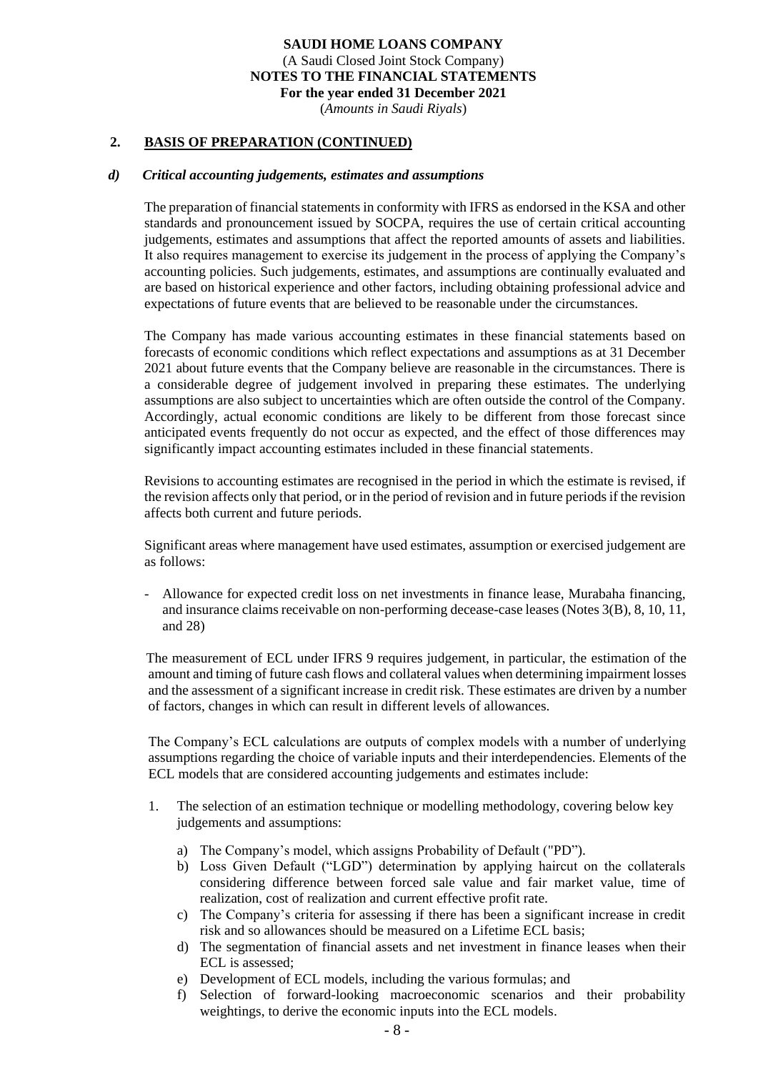(*Amounts in Saudi Riyals*)

#### **2. BASIS OF PREPARATION (CONTINUED)**

#### *d) Critical accounting judgements, estimates and assumptions*

The preparation of financial statements in conformity with IFRS as endorsed in the KSA and other standards and pronouncement issued by SOCPA, requires the use of certain critical accounting judgements, estimates and assumptions that affect the reported amounts of assets and liabilities. It also requires management to exercise its judgement in the process of applying the Company's accounting policies. Such judgements, estimates, and assumptions are continually evaluated and are based on historical experience and other factors, including obtaining professional advice and expectations of future events that are believed to be reasonable under the circumstances.

The Company has made various accounting estimates in these financial statements based on forecasts of economic conditions which reflect expectations and assumptions as at 31 December 2021 about future events that the Company believe are reasonable in the circumstances. There is a considerable degree of judgement involved in preparing these estimates. The underlying assumptions are also subject to uncertainties which are often outside the control of the Company. Accordingly, actual economic conditions are likely to be different from those forecast since anticipated events frequently do not occur as expected, and the effect of those differences may significantly impact accounting estimates included in these financial statements .

Revisions to accounting estimates are recognised in the period in which the estimate is revised, if the revision affects only that period, or in the period of revision and in future periods if the revision affects both current and future periods.

Significant areas where management have used estimates, assumption or exercised judgement are as follows:

- Allowance for expected credit loss on net investments in finance lease, Murabaha financing, and insurance claims receivable on non-performing decease-case leases (Notes 3(B), 8, 10, 11, and 28)

The measurement of ECL under IFRS 9 requires judgement, in particular, the estimation of the amount and timing of future cash flows and collateral values when determining impairment losses and the assessment of a significant increase in credit risk. These estimates are driven by a number of factors, changes in which can result in different levels of allowances.

The Company's ECL calculations are outputs of complex models with a number of underlying assumptions regarding the choice of variable inputs and their interdependencies. Elements of the ECL models that are considered accounting judgements and estimates include:

- 1. The selection of an estimation technique or modelling methodology, covering below key judgements and assumptions:
	- a) The Company's model, which assigns Probability of Default ("PD").
	- b) Loss Given Default ("LGD") determination by applying haircut on the collaterals considering difference between forced sale value and fair market value, time of realization, cost of realization and current effective profit rate.
	- c) The Company's criteria for assessing if there has been a significant increase in credit risk and so allowances should be measured on a Lifetime ECL basis;
	- d) The segmentation of financial assets and net investment in finance leases when their ECL is assessed;
	- e) Development of ECL models, including the various formulas; and
	- f) Selection of forward-looking macroeconomic scenarios and their probability weightings, to derive the economic inputs into the ECL models.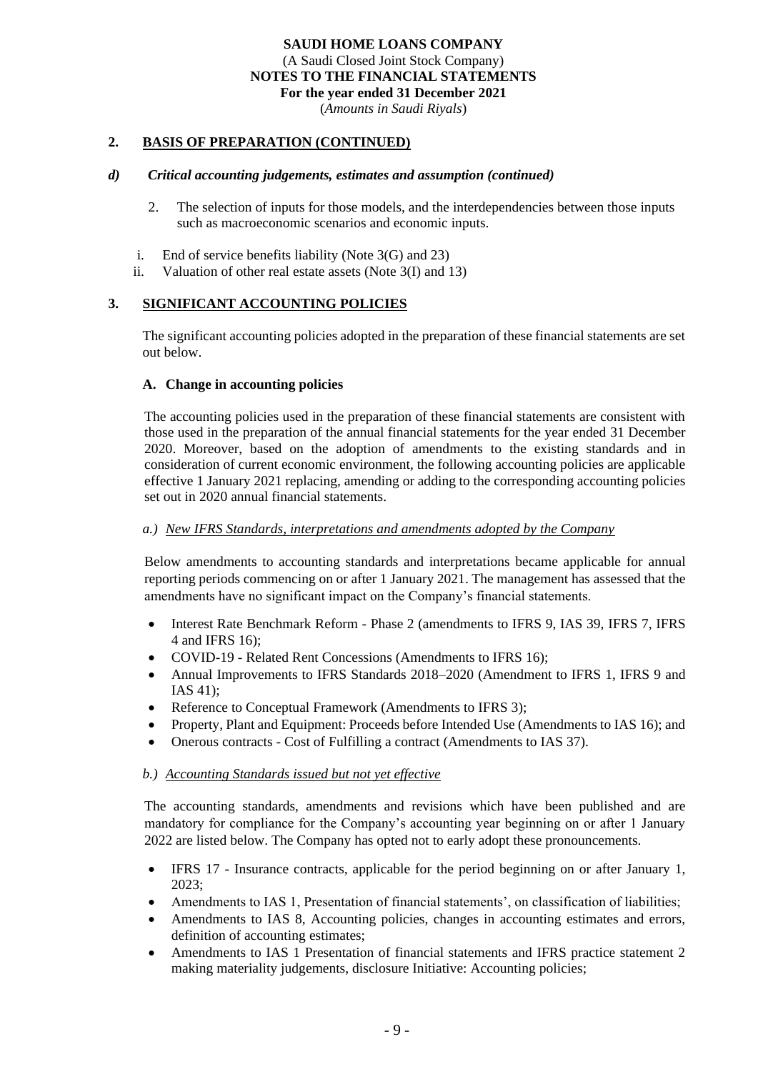(*Amounts in Saudi Riyals*)

## **2. BASIS OF PREPARATION (CONTINUED)**

#### *d) Critical accounting judgements, estimates and assumption (continued)*

- 2. The selection of inputs for those models, and the interdependencies between those inputs such as macroeconomic scenarios and economic inputs.
- i. End of service benefits liability (Note 3(G) and 23)
- ii. Valuation of other real estate assets (Note 3(I) and 13)

## **3. SIGNIFICANT ACCOUNTING POLICIES**

The significant accounting policies adopted in the preparation of these financial statements are set out below.

#### **A. Change in accounting policies**

The accounting policies used in the preparation of these financial statements are consistent with those used in the preparation of the annual financial statements for the year ended 31 December 2020. Moreover, based on the adoption of amendments to the existing standards and in consideration of current economic environment, the following accounting policies are applicable effective 1 January 2021 replacing, amending or adding to the corresponding accounting policies set out in 2020 annual financial statements.

## *a.) New IFRS Standards, interpretations and amendments adopted by the Company*

Below amendments to accounting standards and interpretations became applicable for annual reporting periods commencing on or after 1 January 2021. The management has assessed that the amendments have no significant impact on the Company's financial statements.

- Interest Rate Benchmark Reform Phase 2 (amendments to IFRS 9, IAS 39, IFRS 7, IFRS 4 and IFRS 16);
- COVID-19 Related Rent Concessions (Amendments to IFRS 16);
- Annual Improvements to IFRS Standards 2018–2020 (Amendment to IFRS 1, IFRS 9 and IAS 41);
- Reference to Conceptual Framework (Amendments to IFRS 3);
- Property, Plant and Equipment: Proceeds before Intended Use (Amendments to IAS 16); and
- Onerous contracts Cost of Fulfilling a contract (Amendments to IAS 37).

#### *b.) Accounting Standards issued but not yet effective*

The accounting standards, amendments and revisions which have been published and are mandatory for compliance for the Company's accounting year beginning on or after 1 January 2022 are listed below. The Company has opted not to early adopt these pronouncements.

- IFRS 17 Insurance contracts, applicable for the period beginning on or after January 1, 2023;
- Amendments to IAS 1, Presentation of financial statements', on classification of liabilities;
- Amendments to IAS 8, Accounting policies, changes in accounting estimates and errors, definition of accounting estimates;
- Amendments to IAS 1 Presentation of financial statements and IFRS practice statement 2 making materiality judgements, disclosure Initiative: Accounting policies;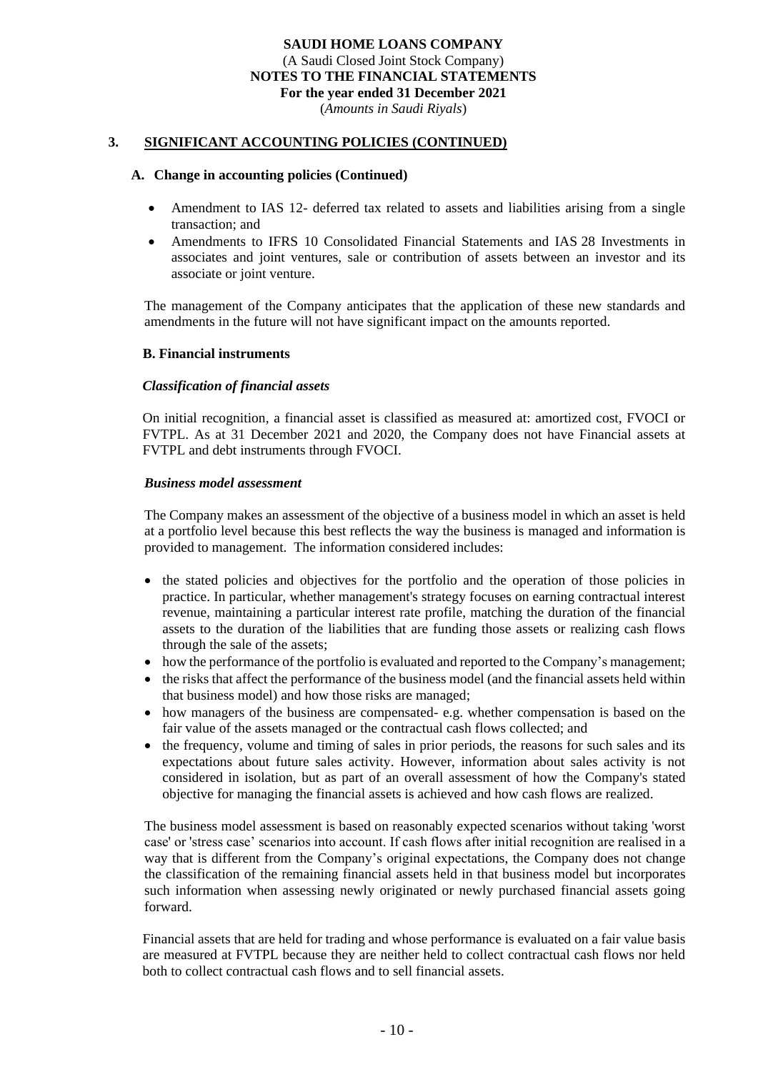(*Amounts in Saudi Riyals*)

#### **3. SIGNIFICANT ACCOUNTING POLICIES (CONTINUED)**

#### **A. Change in accounting policies (Continued)**

- Amendment to IAS 12- deferred tax related to assets and liabilities arising from a single transaction; and
- Amendments to IFRS 10 Consolidated Financial Statements and IAS 28 Investments in associates and joint ventures, sale or contribution of assets between an investor and its associate or joint venture.

The management of the Company anticipates that the application of these new standards and amendments in the future will not have significant impact on the amounts reported.

#### **B. Financial instruments**

#### *Classification of financial assets*

On initial recognition, a financial asset is classified as measured at: amortized cost, FVOCI or FVTPL. As at 31 December 2021 and 2020, the Company does not have Financial assets at FVTPL and debt instruments through FVOCI.

#### *Business model assessment*

The Company makes an assessment of the objective of a business model in which an asset is held at a portfolio level because this best reflects the way the business is managed and information is provided to management. The information considered includes:

- the stated policies and objectives for the portfolio and the operation of those policies in practice. In particular, whether management's strategy focuses on earning contractual interest revenue, maintaining a particular interest rate profile, matching the duration of the financial assets to the duration of the liabilities that are funding those assets or realizing cash flows through the sale of the assets;
- how the performance of the portfolio is evaluated and reported to the Company's management;
- the risks that affect the performance of the business model (and the financial assets held within that business model) and how those risks are managed;
- how managers of the business are compensated- e.g. whether compensation is based on the fair value of the assets managed or the contractual cash flows collected; and
- the frequency, volume and timing of sales in prior periods, the reasons for such sales and its expectations about future sales activity. However, information about sales activity is not considered in isolation, but as part of an overall assessment of how the Company's stated objective for managing the financial assets is achieved and how cash flows are realized.

The business model assessment is based on reasonably expected scenarios without taking 'worst case' or 'stress case' scenarios into account. If cash flows after initial recognition are realised in a way that is different from the Company's original expectations, the Company does not change the classification of the remaining financial assets held in that business model but incorporates such information when assessing newly originated or newly purchased financial assets going forward.

Financial assets that are held for trading and whose performance is evaluated on a fair value basis are measured at FVTPL because they are neither held to collect contractual cash flows nor held both to collect contractual cash flows and to sell financial assets.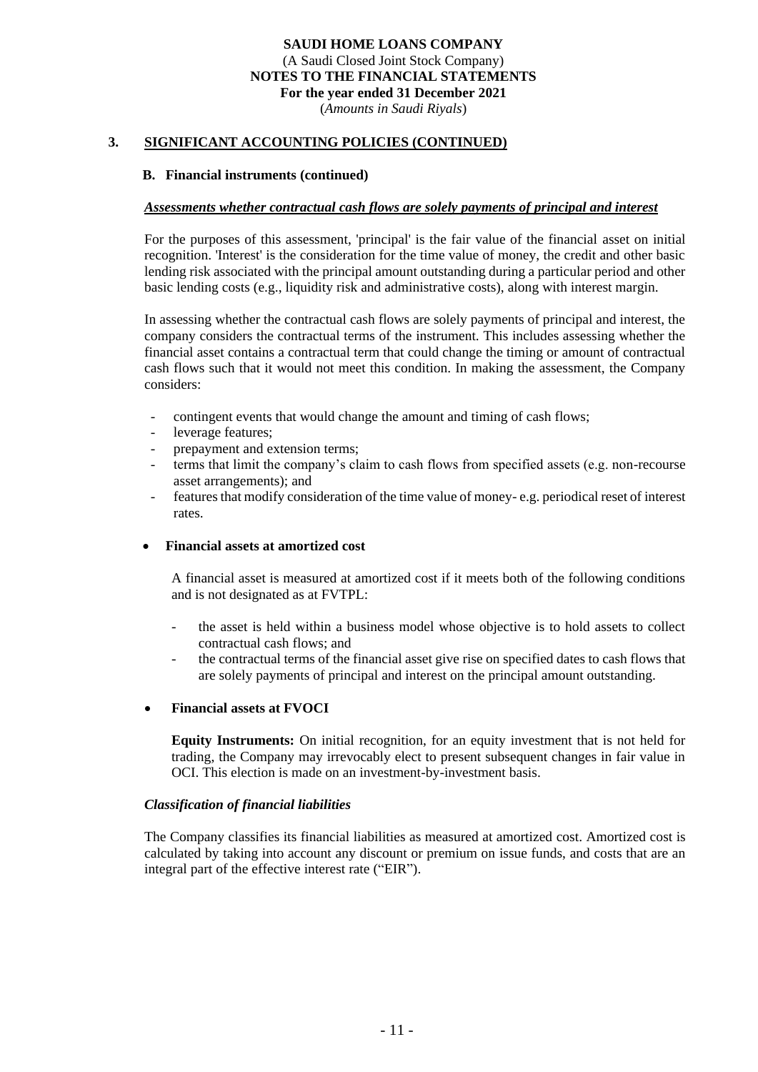(*Amounts in Saudi Riyals*)

#### **3. SIGNIFICANT ACCOUNTING POLICIES (CONTINUED)**

#### **B. Financial instruments (continued)**

#### *Assessments whether contractual cash flows are solely payments of principal and interest*

For the purposes of this assessment, 'principal' is the fair value of the financial asset on initial recognition. 'Interest' is the consideration for the time value of money, the credit and other basic lending risk associated with the principal amount outstanding during a particular period and other basic lending costs (e.g., liquidity risk and administrative costs), along with interest margin.

In assessing whether the contractual cash flows are solely payments of principal and interest, the company considers the contractual terms of the instrument. This includes assessing whether the financial asset contains a contractual term that could change the timing or amount of contractual cash flows such that it would not meet this condition. In making the assessment, the Company considers:

- contingent events that would change the amount and timing of cash flows;
- leverage features;
- prepayment and extension terms;
- terms that limit the company's claim to cash flows from specified assets (e.g. non-recourse asset arrangements); and
- features that modify consideration of the time value of money- e.g. periodical reset of interest rates.

#### • **Financial assets at amortized cost**

A financial asset is measured at amortized cost if it meets both of the following conditions and is not designated as at FVTPL:

- the asset is held within a business model whose objective is to hold assets to collect contractual cash flows; and
- the contractual terms of the financial asset give rise on specified dates to cash flows that are solely payments of principal and interest on the principal amount outstanding.

#### • **Financial assets at FVOCI**

**Equity Instruments:** On initial recognition, for an equity investment that is not held for trading, the Company may irrevocably elect to present subsequent changes in fair value in OCI. This election is made on an investment-by-investment basis.

#### *Classification of financial liabilities*

The Company classifies its financial liabilities as measured at amortized cost. Amortized cost is calculated by taking into account any discount or premium on issue funds, and costs that are an integral part of the effective interest rate ("EIR").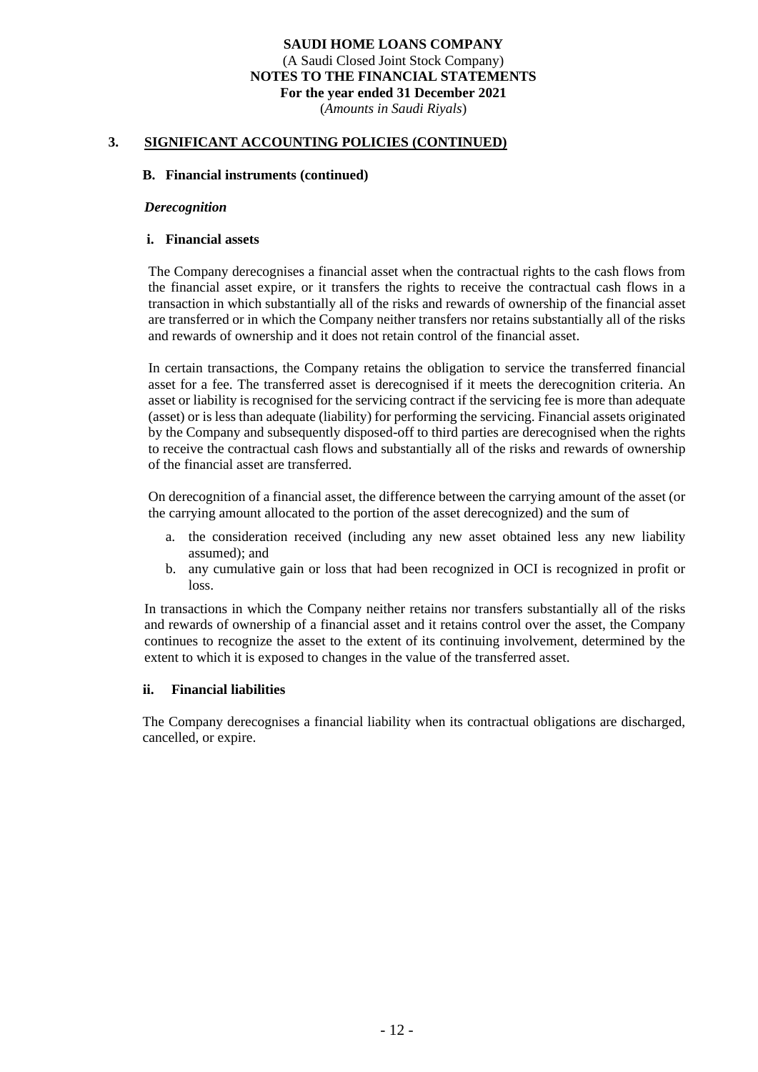(*Amounts in Saudi Riyals*)

#### **3. SIGNIFICANT ACCOUNTING POLICIES (CONTINUED)**

#### **B. Financial instruments (continued)**

#### *Derecognition*

#### **i. Financial assets**

The Company derecognises a financial asset when the contractual rights to the cash flows from the financial asset expire, or it transfers the rights to receive the contractual cash flows in a transaction in which substantially all of the risks and rewards of ownership of the financial asset are transferred or in which the Company neither transfers nor retains substantially all of the risks and rewards of ownership and it does not retain control of the financial asset.

In certain transactions, the Company retains the obligation to service the transferred financial asset for a fee. The transferred asset is derecognised if it meets the derecognition criteria. An asset or liability is recognised for the servicing contract if the servicing fee is more than adequate (asset) or is less than adequate (liability) for performing the servicing. Financial assets originated by the Company and subsequently disposed-off to third parties are derecognised when the rights to receive the contractual cash flows and substantially all of the risks and rewards of ownership of the financial asset are transferred.

On derecognition of a financial asset, the difference between the carrying amount of the asset (or the carrying amount allocated to the portion of the asset derecognized) and the sum of

- a. the consideration received (including any new asset obtained less any new liability assumed); and
- b. any cumulative gain or loss that had been recognized in OCI is recognized in profit or loss.

In transactions in which the Company neither retains nor transfers substantially all of the risks and rewards of ownership of a financial asset and it retains control over the asset, the Company continues to recognize the asset to the extent of its continuing involvement, determined by the extent to which it is exposed to changes in the value of the transferred asset.

#### **ii. Financial liabilities**

The Company derecognises a financial liability when its contractual obligations are discharged, cancelled, or expire.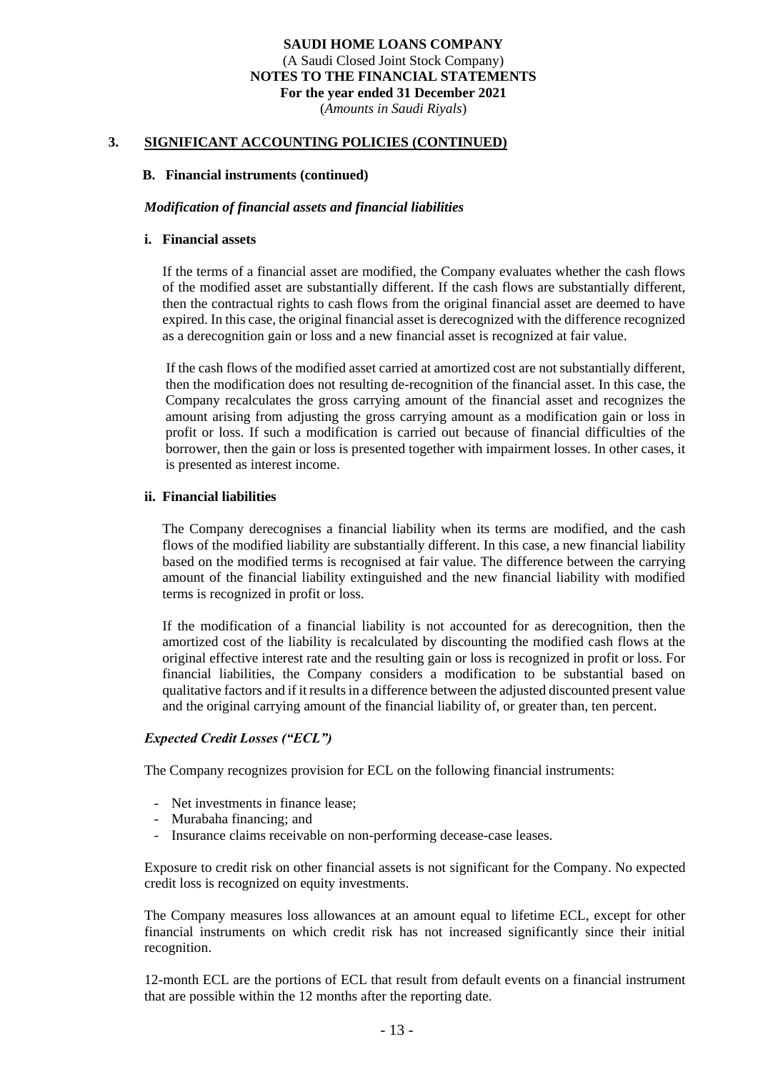(*Amounts in Saudi Riyals*)

#### **3. SIGNIFICANT ACCOUNTING POLICIES (CONTINUED)**

#### **B. Financial instruments (continued)**

#### *Modification of financial assets and financial liabilities*

#### **i. Financial assets**

If the terms of a financial asset are modified, the Company evaluates whether the cash flows of the modified asset are substantially different. If the cash flows are substantially different, then the contractual rights to cash flows from the original financial asset are deemed to have expired. In this case, the original financial asset is derecognized with the difference recognized as a derecognition gain or loss and a new financial asset is recognized at fair value.

 If the cash flows of the modified asset carried at amortized cost are not substantially different, then the modification does not resulting de-recognition of the financial asset. In this case, the Company recalculates the gross carrying amount of the financial asset and recognizes the amount arising from adjusting the gross carrying amount as a modification gain or loss in profit or loss. If such a modification is carried out because of financial difficulties of the borrower, then the gain or loss is presented together with impairment losses. In other cases, it is presented as interest income.

#### **ii. Financial liabilities**

The Company derecognises a financial liability when its terms are modified, and the cash flows of the modified liability are substantially different. In this case, a new financial liability based on the modified terms is recognised at fair value. The difference between the carrying amount of the financial liability extinguished and the new financial liability with modified terms is recognized in profit or loss.

If the modification of a financial liability is not accounted for as derecognition, then the amortized cost of the liability is recalculated by discounting the modified cash flows at the original effective interest rate and the resulting gain or loss is recognized in profit or loss. For financial liabilities, the Company considers a modification to be substantial based on qualitative factors and if it results in a difference between the adjusted discounted present value and the original carrying amount of the financial liability of, or greater than, ten percent.

#### *Expected Credit Losses ("ECL")*

The Company recognizes provision for ECL on the following financial instruments:

- Net investments in finance lease;
- Murabaha financing; and
- Insurance claims receivable on non-performing decease-case leases.

Exposure to credit risk on other financial assets is not significant for the Company. No expected credit loss is recognized on equity investments.

The Company measures loss allowances at an amount equal to lifetime ECL, except for other financial instruments on which credit risk has not increased significantly since their initial recognition.

12-month ECL are the portions of ECL that result from default events on a financial instrument that are possible within the 12 months after the reporting date.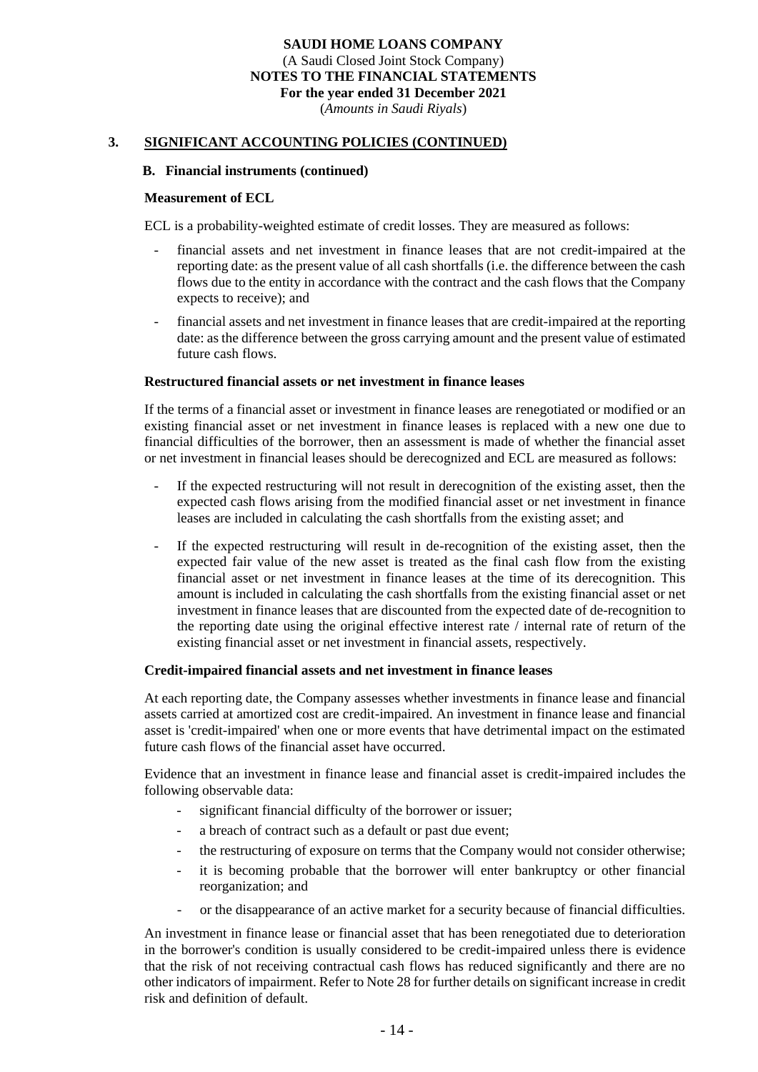(*Amounts in Saudi Riyals*)

#### **3. SIGNIFICANT ACCOUNTING POLICIES (CONTINUED)**

#### **B. Financial instruments (continued)**

#### **Measurement of ECL**

ECL is a probability-weighted estimate of credit losses. They are measured as follows:

- financial assets and net investment in finance leases that are not credit-impaired at the reporting date: as the present value of all cash shortfalls (i.e. the difference between the cash flows due to the entity in accordance with the contract and the cash flows that the Company expects to receive); and
- financial assets and net investment in finance leases that are credit-impaired at the reporting date: as the difference between the gross carrying amount and the present value of estimated future cash flows.

#### **Restructured financial assets or net investment in finance leases**

If the terms of a financial asset or investment in finance leases are renegotiated or modified or an existing financial asset or net investment in finance leases is replaced with a new one due to financial difficulties of the borrower, then an assessment is made of whether the financial asset or net investment in financial leases should be derecognized and ECL are measured as follows:

- If the expected restructuring will not result in derecognition of the existing asset, then the expected cash flows arising from the modified financial asset or net investment in finance leases are included in calculating the cash shortfalls from the existing asset; and
- If the expected restructuring will result in de-recognition of the existing asset, then the expected fair value of the new asset is treated as the final cash flow from the existing financial asset or net investment in finance leases at the time of its derecognition. This amount is included in calculating the cash shortfalls from the existing financial asset or net investment in finance leases that are discounted from the expected date of de-recognition to the reporting date using the original effective interest rate / internal rate of return of the existing financial asset or net investment in financial assets, respectively.

#### **Credit-impaired financial assets and net investment in finance leases**

At each reporting date, the Company assesses whether investments in finance lease and financial assets carried at amortized cost are credit-impaired. An investment in finance lease and financial asset is 'credit-impaired' when one or more events that have detrimental impact on the estimated future cash flows of the financial asset have occurred.

Evidence that an investment in finance lease and financial asset is credit-impaired includes the following observable data:

- significant financial difficulty of the borrower or issuer;
- a breach of contract such as a default or past due event;
- the restructuring of exposure on terms that the Company would not consider otherwise;
- it is becoming probable that the borrower will enter bankruptcy or other financial reorganization; and
- or the disappearance of an active market for a security because of financial difficulties.

An investment in finance lease or financial asset that has been renegotiated due to deterioration in the borrower's condition is usually considered to be credit-impaired unless there is evidence that the risk of not receiving contractual cash flows has reduced significantly and there are no other indicators of impairment. Refer to Note 28 for further details on significant increase in credit risk and definition of default.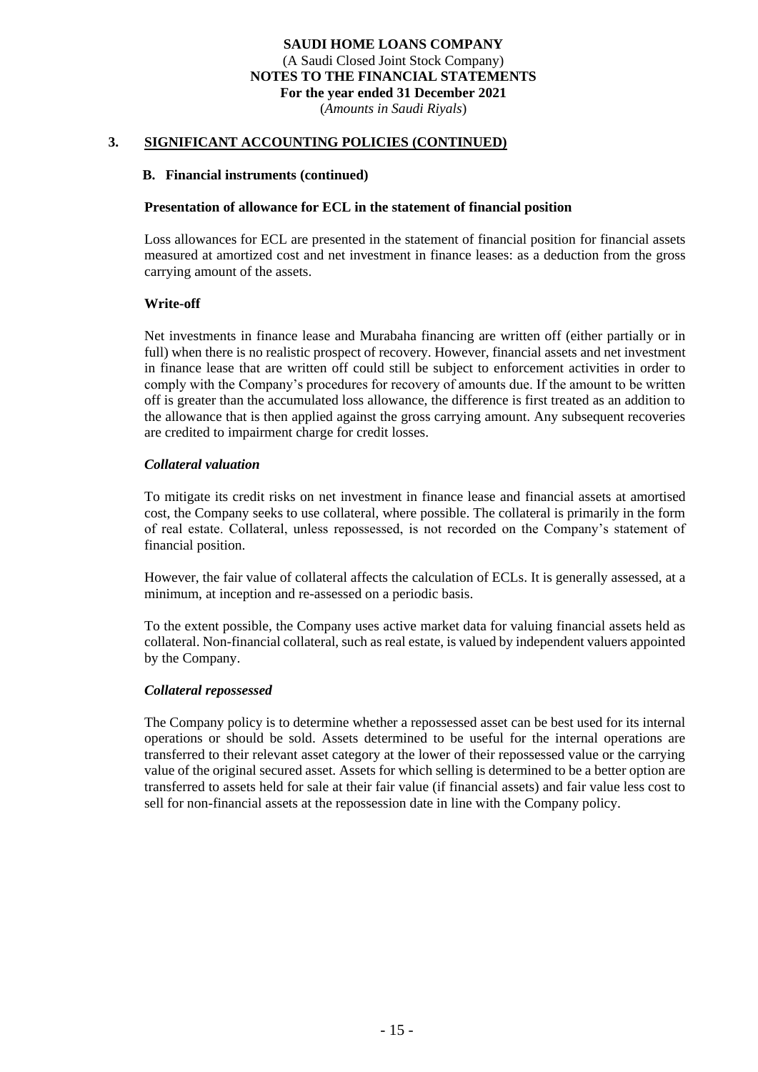(*Amounts in Saudi Riyals*)

## **3. SIGNIFICANT ACCOUNTING POLICIES (CONTINUED)**

#### **B. Financial instruments (continued)**

#### **Presentation of allowance for ECL in the statement of financial position**

Loss allowances for ECL are presented in the statement of financial position for financial assets measured at amortized cost and net investment in finance leases: as a deduction from the gross carrying amount of the assets.

#### **Write-off**

Net investments in finance lease and Murabaha financing are written off (either partially or in full) when there is no realistic prospect of recovery. However, financial assets and net investment in finance lease that are written off could still be subject to enforcement activities in order to comply with the Company's procedures for recovery of amounts due. If the amount to be written off is greater than the accumulated loss allowance, the difference is first treated as an addition to the allowance that is then applied against the gross carrying amount. Any subsequent recoveries are credited to impairment charge for credit losses.

#### *Collateral valuation*

To mitigate its credit risks on net investment in finance lease and financial assets at amortised cost, the Company seeks to use collateral, where possible. The collateral is primarily in the form of real estate. Collateral, unless repossessed, is not recorded on the Company's statement of financial position.

However, the fair value of collateral affects the calculation of ECLs. It is generally assessed, at a minimum, at inception and re-assessed on a periodic basis.

To the extent possible, the Company uses active market data for valuing financial assets held as collateral. Non-financial collateral, such as real estate, is valued by independent valuers appointed by the Company.

#### *Collateral repossessed*

The Company policy is to determine whether a repossessed asset can be best used for its internal operations or should be sold. Assets determined to be useful for the internal operations are transferred to their relevant asset category at the lower of their repossessed value or the carrying value of the original secured asset. Assets for which selling is determined to be a better option are transferred to assets held for sale at their fair value (if financial assets) and fair value less cost to sell for non-financial assets at the repossession date in line with the Company policy.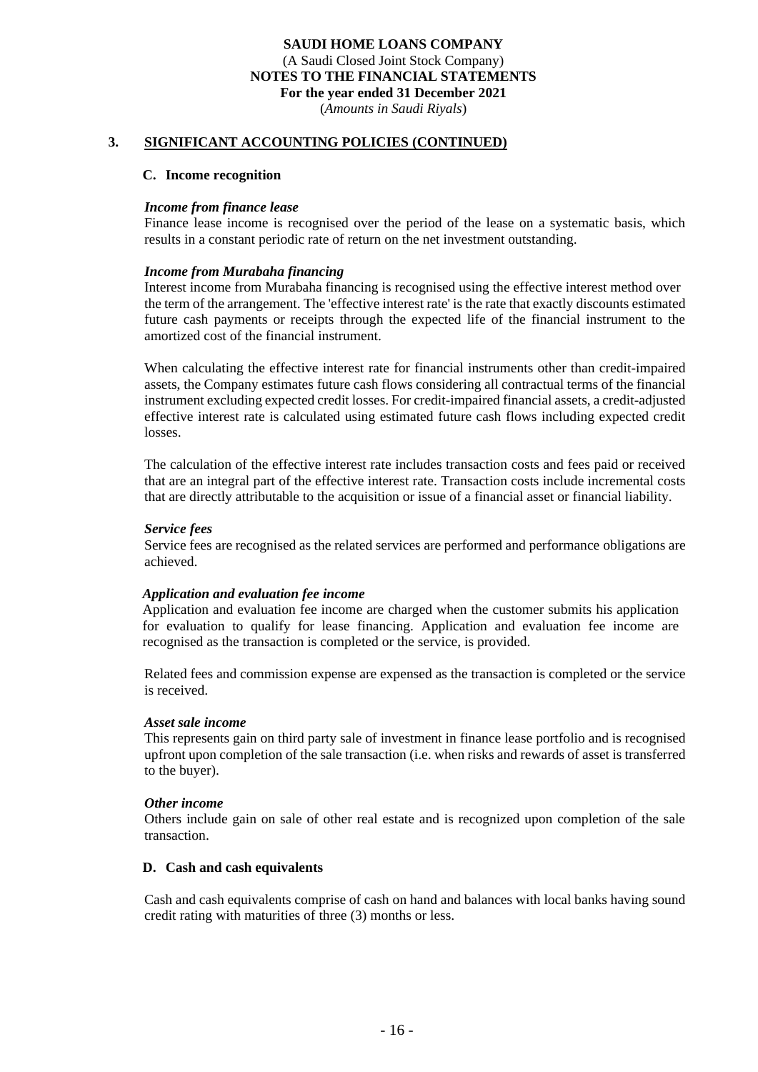(*Amounts in Saudi Riyals*)

#### **3. SIGNIFICANT ACCOUNTING POLICIES (CONTINUED)**

#### **C. Income recognition**

#### *Income from finance lease*

Finance lease income is recognised over the period of the lease on a systematic basis, which results in a constant periodic rate of return on the net investment outstanding.

#### *Income from Murabaha financing*

Interest income from Murabaha financing is recognised using the effective interest method over the term of the arrangement. The 'effective interest rate' is the rate that exactly discounts estimated future cash payments or receipts through the expected life of the financial instrument to the amortized cost of the financial instrument.

When calculating the effective interest rate for financial instruments other than credit-impaired assets, the Company estimates future cash flows considering all contractual terms of the financial instrument excluding expected credit losses. For credit-impaired financial assets, a credit-adjusted effective interest rate is calculated using estimated future cash flows including expected credit losses.

The calculation of the effective interest rate includes transaction costs and fees paid or received that are an integral part of the effective interest rate. Transaction costs include incremental costs that are directly attributable to the acquisition or issue of a financial asset or financial liability.

#### *Service fees*

Service fees are recognised as the related services are performed and performance obligations are achieved.

#### *Application and evaluation fee income*

Application and evaluation fee income are charged when the customer submits his application for evaluation to qualify for lease financing. Application and evaluation fee income are recognised as the transaction is completed or the service, is provided.

Related fees and commission expense are expensed as the transaction is completed or the service is received.

#### *Asset sale income*

This represents gain on third party sale of investment in finance lease portfolio and is recognised upfront upon completion of the sale transaction (i.e. when risks and rewards of asset is transferred to the buyer).

#### *Other income*

Others include gain on sale of other real estate and is recognized upon completion of the sale transaction.

#### **D. Cash and cash equivalents**

Cash and cash equivalents comprise of cash on hand and balances with local banks having sound credit rating with maturities of three (3) months or less.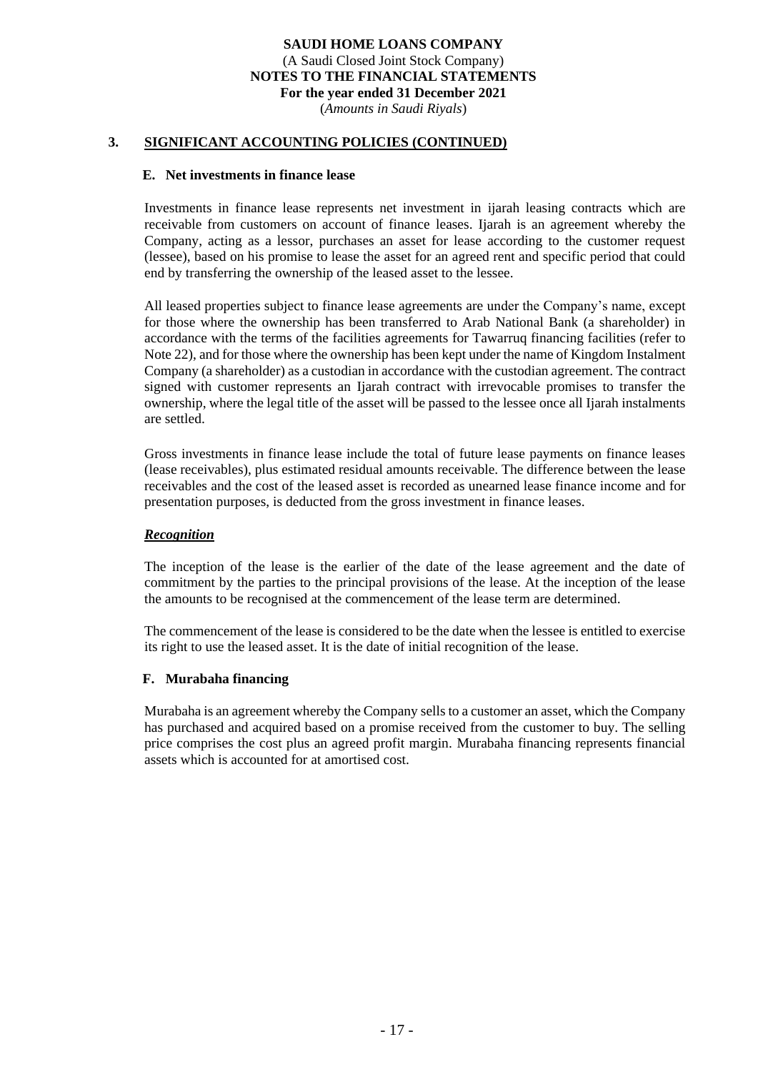(*Amounts in Saudi Riyals*)

## **3. SIGNIFICANT ACCOUNTING POLICIES (CONTINUED)**

#### **E. Net investments in finance lease**

Investments in finance lease represents net investment in ijarah leasing contracts which are receivable from customers on account of finance leases. Ijarah is an agreement whereby the Company, acting as a lessor, purchases an asset for lease according to the customer request (lessee), based on his promise to lease the asset for an agreed rent and specific period that could end by transferring the ownership of the leased asset to the lessee.

All leased properties subject to finance lease agreements are under the Company's name, except for those where the ownership has been transferred to Arab National Bank (a shareholder) in accordance with the terms of the facilities agreements for Tawarruq financing facilities (refer to Note 22), and for those where the ownership has been kept under the name of Kingdom Instalment Company (a shareholder) as a custodian in accordance with the custodian agreement. The contract signed with customer represents an Ijarah contract with irrevocable promises to transfer the ownership, where the legal title of the asset will be passed to the lessee once all Ijarah instalments are settled.

Gross investments in finance lease include the total of future lease payments on finance leases (lease receivables), plus estimated residual amounts receivable. The difference between the lease receivables and the cost of the leased asset is recorded as unearned lease finance income and for presentation purposes, is deducted from the gross investment in finance leases.

#### *Recognition*

The inception of the lease is the earlier of the date of the lease agreement and the date of commitment by the parties to the principal provisions of the lease. At the inception of the lease the amounts to be recognised at the commencement of the lease term are determined.

The commencement of the lease is considered to be the date when the lessee is entitled to exercise its right to use the leased asset. It is the date of initial recognition of the lease.

#### **F. Murabaha financing**

Murabaha is an agreement whereby the Company sells to a customer an asset, which the Company has purchased and acquired based on a promise received from the customer to buy. The selling price comprises the cost plus an agreed profit margin. Murabaha financing represents financial assets which is accounted for at amortised cost.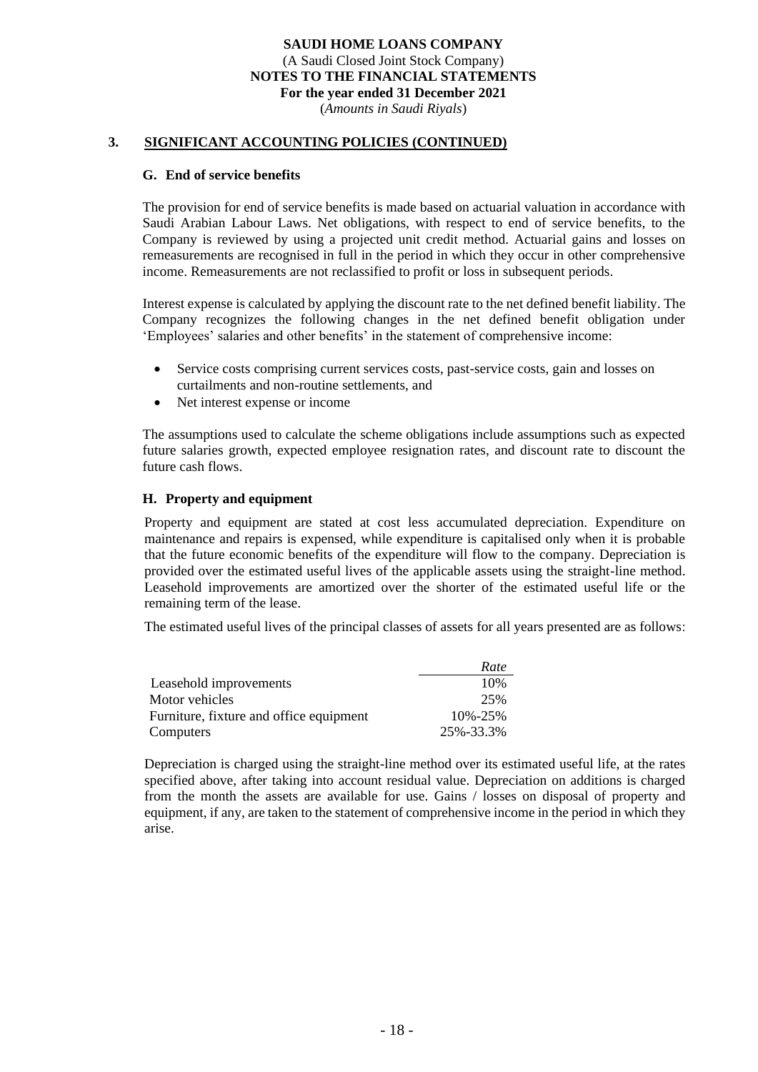(*Amounts in Saudi Riyals*)

#### **3. SIGNIFICANT ACCOUNTING POLICIES (CONTINUED)**

#### **G. End of service benefits**

The provision for end of service benefits is made based on actuarial valuation in accordance with Saudi Arabian Labour Laws. Net obligations, with respect to end of service benefits, to the Company is reviewed by using a projected unit credit method. Actuarial gains and losses on remeasurements are recognised in full in the period in which they occur in other comprehensive income. Remeasurements are not reclassified to profit or loss in subsequent periods.

Interest expense is calculated by applying the discount rate to the net defined benefit liability. The Company recognizes the following changes in the net defined benefit obligation under 'Employees' salaries and other benefits' in the statement of comprehensive income:

- Service costs comprising current services costs, past-service costs, gain and losses on curtailments and non-routine settlements, and
- Net interest expense or income

The assumptions used to calculate the scheme obligations include assumptions such as expected future salaries growth, expected employee resignation rates, and discount rate to discount the future cash flows.

#### **H. Property and equipment**

Property and equipment are stated at cost less accumulated depreciation. Expenditure on maintenance and repairs is expensed, while expenditure is capitalised only when it is probable that the future economic benefits of the expenditure will flow to the company. Depreciation is provided over the estimated useful lives of the applicable assets using the straight-line method. Leasehold improvements are amortized over the shorter of the estimated useful life or the remaining term of the lease.

The estimated useful lives of the principal classes of assets for all years presented are as follows :

|                                         | Rate          |
|-----------------------------------------|---------------|
| Leasehold improvements                  | 10%           |
| Motor vehicles                          | 25%           |
| Furniture, fixture and office equipment | $10\% - 25\%$ |
| Computers                               | 25%-33.3%     |

Depreciation is charged using the straight-line method over its estimated useful life, at the rates specified above, after taking into account residual value. Depreciation on additions is charged from the month the assets are available for use. Gains / losses on disposal of property and equipment, if any, are taken to the statement of comprehensive income in the period in which they arise.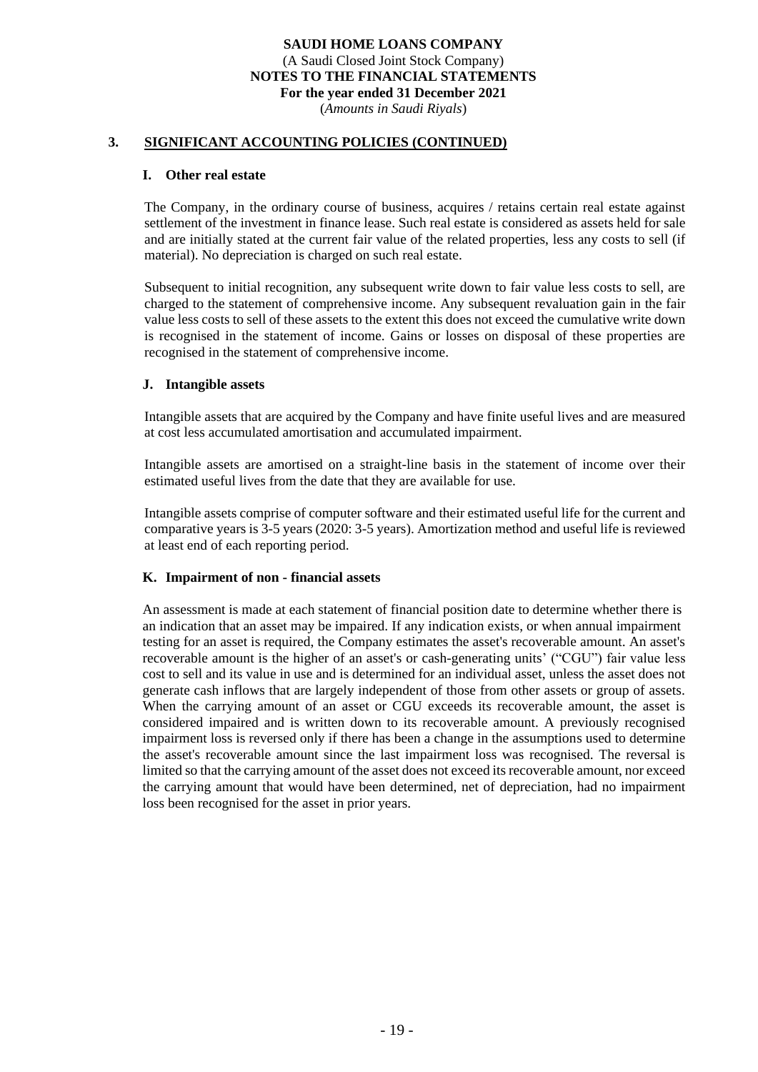(*Amounts in Saudi Riyals*)

#### **3. SIGNIFICANT ACCOUNTING POLICIES (CONTINUED)**

#### **I. Other real estate**

The Company, in the ordinary course of business, acquires / retains certain real estate against settlement of the investment in finance lease. Such real estate is considered as assets held for sale and are initially stated at the current fair value of the related properties, less any costs to sell (if material). No depreciation is charged on such real estate.

Subsequent to initial recognition, any subsequent write down to fair value less costs to sell, are charged to the statement of comprehensive income. Any subsequent revaluation gain in the fair value less costs to sell of these assets to the extent this does not exceed the cumulative write down is recognised in the statement of income. Gains or losses on disposal of these properties are recognised in the statement of comprehensive income.

#### **J. Intangible assets**

Intangible assets that are acquired by the Company and have finite useful lives and are measured at cost less accumulated amortisation and accumulated impairment.

Intangible assets are amortised on a straight-line basis in the statement of income over their estimated useful lives from the date that they are available for use.

Intangible assets comprise of computer software and their estimated useful life for the current and comparative years is 3-5 years (2020: 3-5 years). Amortization method and useful life is reviewed at least end of each reporting period.

#### **K. Impairment of non - financial assets**

An assessment is made at each statement of financial position date to determine whether there is an indication that an asset may be impaired. If any indication exists, or when annual impairment testing for an asset is required, the Company estimates the asset's recoverable amount. An asset's recoverable amount is the higher of an asset's or cash-generating units' ("CGU") fair value less cost to sell and its value in use and is determined for an individual asset, unless the asset does not generate cash inflows that are largely independent of those from other assets or group of assets. When the carrying amount of an asset or CGU exceeds its recoverable amount, the asset is considered impaired and is written down to its recoverable amount. A previously recognised impairment loss is reversed only if there has been a change in the assumptions used to determine the asset's recoverable amount since the last impairment loss was recognised. The reversal is limited so that the carrying amount of the asset does not exceed its recoverable amount, nor exceed the carrying amount that would have been determined, net of depreciation, had no impairment loss been recognised for the asset in prior years.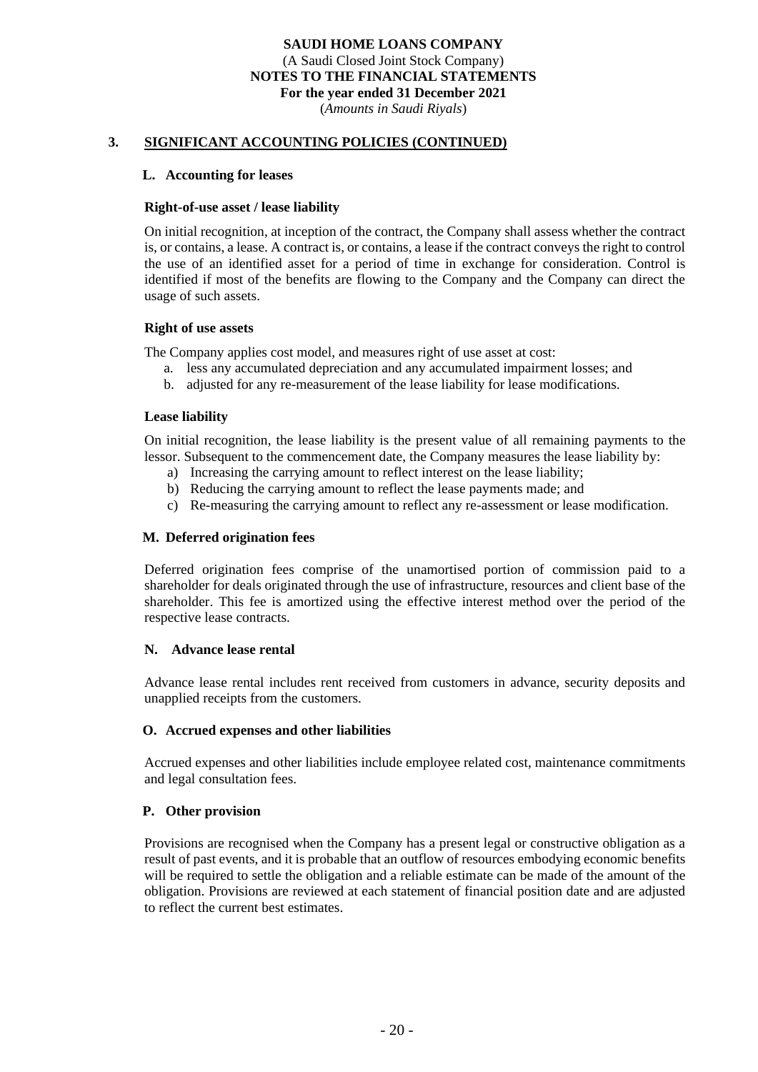(*Amounts in Saudi Riyals*)

#### **3. SIGNIFICANT ACCOUNTING POLICIES (CONTINUED)**

#### **L. Accounting for leases**

#### **Right-of-use asset / lease liability**

On initial recognition, at inception of the contract, the Company shall assess whether the contract is, or contains, a lease. A contract is, or contains, a lease if the contract conveys the right to control the use of an identified asset for a period of time in exchange for consideration. Control is identified if most of the benefits are flowing to the Company and the Company can direct the usage of such assets.

#### **Right of use assets**

The Company applies cost model, and measures right of use asset at cost:

- a. less any accumulated depreciation and any accumulated impairment losses; and
- b. adjusted for any re-measurement of the lease liability for lease modifications.

#### **Lease liability**

On initial recognition, the lease liability is the present value of all remaining payments to the lessor. Subsequent to the commencement date, the Company measures the lease liability by:

- a) Increasing the carrying amount to reflect interest on the lease liability;
- b) Reducing the carrying amount to reflect the lease payments made; and
- c) Re-measuring the carrying amount to reflect any re-assessment or lease modification.

#### **M. Deferred origination fees**

Deferred origination fees comprise of the unamortised portion of commission paid to a shareholder for deals originated through the use of infrastructure, resources and client base of the shareholder. This fee is amortized using the effective interest method over the period of the respective lease contracts.

#### **N. Advance lease rental**

Advance lease rental includes rent received from customers in advance, security deposits and unapplied receipts from the customers.

#### **O. Accrued expenses and other liabilities**

Accrued expenses and other liabilities include employee related cost, maintenance commitments and legal consultation fees.

## **P. Other provision**

Provisions are recognised when the Company has a present legal or constructive obligation as a result of past events, and it is probable that an outflow of resources embodying economic benefits will be required to settle the obligation and a reliable estimate can be made of the amount of the obligation. Provisions are reviewed at each statement of financial position date and are adjusted to reflect the current best estimates.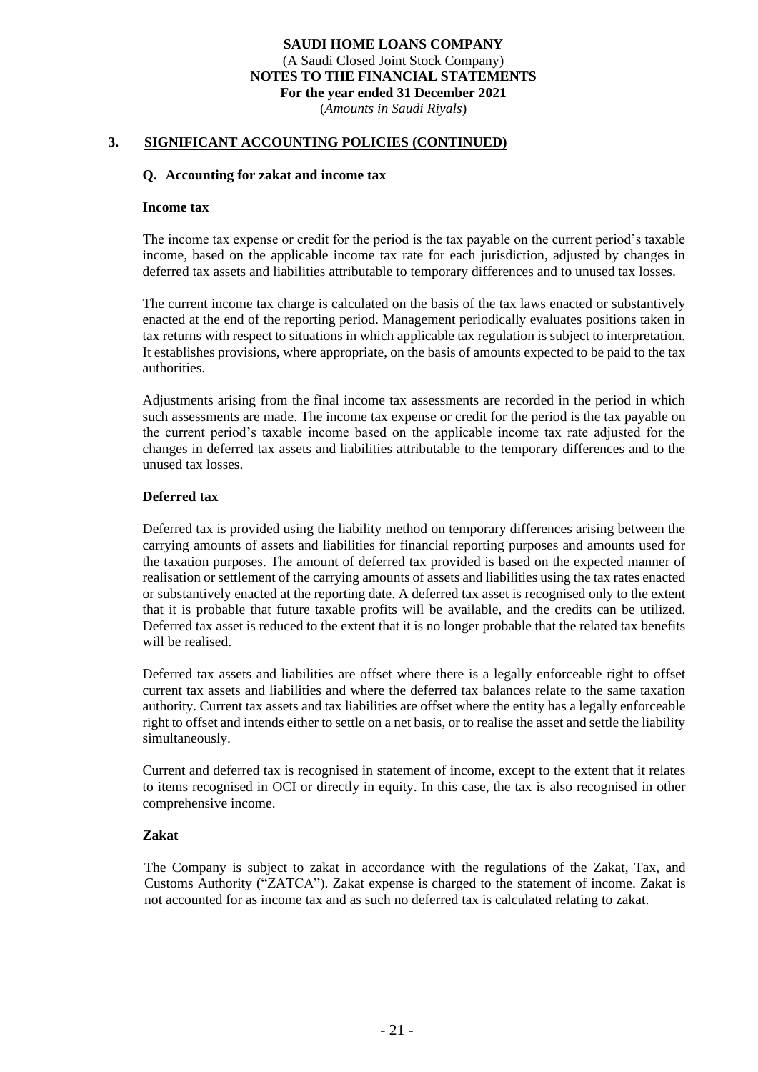(*Amounts in Saudi Riyals*)

#### **3. SIGNIFICANT ACCOUNTING POLICIES (CONTINUED)**

#### **Q. Accounting for zakat and income tax**

#### **Income tax**

The income tax expense or credit for the period is the tax payable on the current period's taxable income, based on the applicable income tax rate for each jurisdiction, adjusted by changes in deferred tax assets and liabilities attributable to temporary differences and to unused tax losses.

The current income tax charge is calculated on the basis of the tax laws enacted or substantively enacted at the end of the reporting period. Management periodically evaluates positions taken in tax returns with respect to situations in which applicable tax regulation is subject to interpretation. It establishes provisions, where appropriate, on the basis of amounts expected to be paid to the tax authorities.

Adjustments arising from the final income tax assessments are recorded in the period in which such assessments are made. The income tax expense or credit for the period is the tax payable on the current period's taxable income based on the applicable income tax rate adjusted for the changes in deferred tax assets and liabilities attributable to the temporary differences and to the unused tax losses.

#### **Deferred tax**

Deferred tax is provided using the liability method on temporary differences arising between the carrying amounts of assets and liabilities for financial reporting purposes and amounts used for the taxation purposes. The amount of deferred tax provided is based on the expected manner of realisation or settlement of the carrying amounts of assets and liabilities using the tax rates enacted or substantively enacted at the reporting date. A deferred tax asset is recognised only to the extent that it is probable that future taxable profits will be available, and the credits can be utilized. Deferred tax asset is reduced to the extent that it is no longer probable that the related tax benefits will be realised.

Deferred tax assets and liabilities are offset where there is a legally enforceable right to offset current tax assets and liabilities and where the deferred tax balances relate to the same taxation authority. Current tax assets and tax liabilities are offset where the entity has a legally enforceable right to offset and intends either to settle on a net basis, or to realise the asset and settle the liability simultaneously.

Current and deferred tax is recognised in statement of income, except to the extent that it relates to items recognised in OCI or directly in equity. In this case, the tax is also recognised in other comprehensive income.

#### **Zakat**

The Company is subject to zakat in accordance with the regulations of the Zakat, Tax, and Customs Authority ("ZATCA"). Zakat expense is charged to the statement of income. Zakat is not accounted for as income tax and as such no deferred tax is calculated relating to zakat.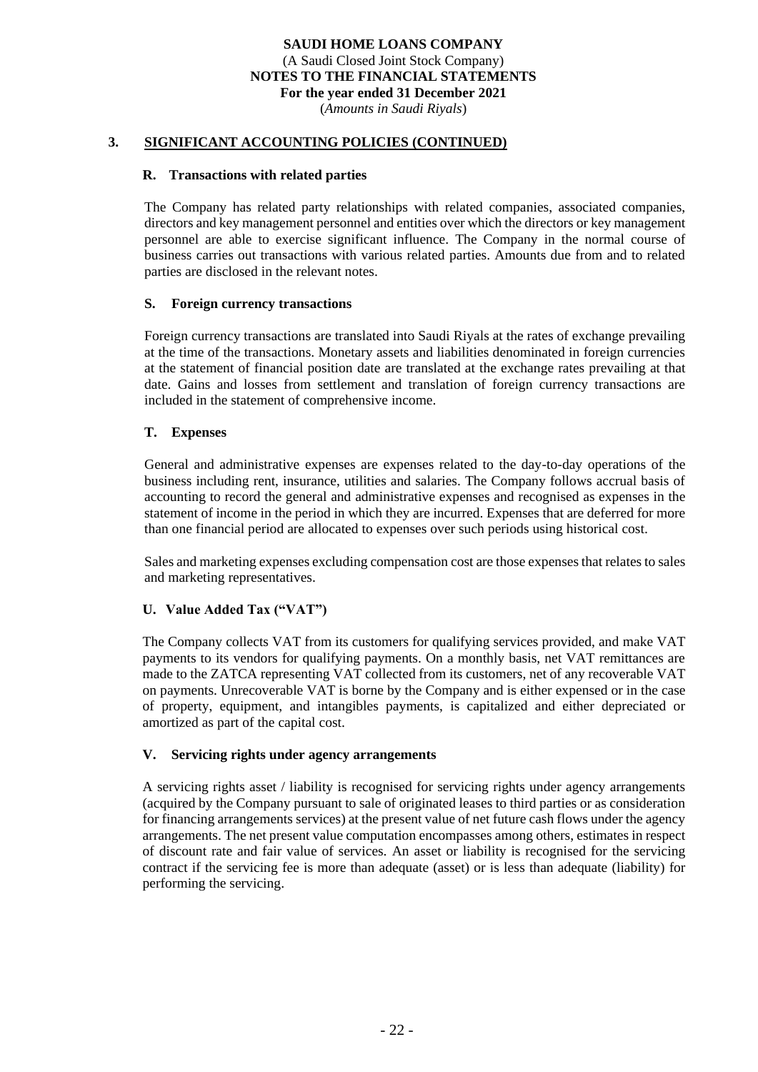(*Amounts in Saudi Riyals*)

#### **3. SIGNIFICANT ACCOUNTING POLICIES (CONTINUED)**

#### **R. Transactions with related parties**

The Company has related party relationships with related companies, associated companies, directors and key management personnel and entities over which the directors or key management personnel are able to exercise significant influence. The Company in the normal course of business carries out transactions with various related parties. Amounts due from and to related parties are disclosed in the relevant notes.

#### **S. Foreign currency transactions**

Foreign currency transactions are translated into Saudi Riyals at the rates of exchange prevailing at the time of the transactions. Monetary assets and liabilities denominated in foreign currencies at the statement of financial position date are translated at the exchange rates prevailing at that date. Gains and losses from settlement and translation of foreign currency transactions are included in the statement of comprehensive income.

#### **T. Expenses**

General and administrative expenses are expenses related to the day-to-day operations of the business including rent, insurance, utilities and salaries. The Company follows accrual basis of accounting to record the general and administrative expenses and recognised as expenses in the statement of income in the period in which they are incurred. Expenses that are deferred for more than one financial period are allocated to expenses over such periods using historical cost.

Sales and marketing expenses excluding compensation cost are those expenses that relates to sales and marketing representatives.

#### **U. Value Added Tax ("VAT")**

The Company collects VAT from its customers for qualifying services provided, and make VAT payments to its vendors for qualifying payments. On a monthly basis, net VAT remittances are made to the ZATCA representing VAT collected from its customers, net of any recoverable VAT on payments. Unrecoverable VAT is borne by the Company and is either expensed or in the case of property, equipment, and intangibles payments, is capitalized and either depreciated or amortized as part of the capital cost.

#### **V. Servicing rights under agency arrangements**

A servicing rights asset / liability is recognised for servicing rights under agency arrangements (acquired by the Company pursuant to sale of originated leases to third parties or as consideration for financing arrangements services) at the present value of net future cash flows under the agency arrangements. The net present value computation encompasses among others, estimates in respect of discount rate and fair value of services. An asset or liability is recognised for the servicing contract if the servicing fee is more than adequate (asset) or is less than adequate (liability) for performing the servicing.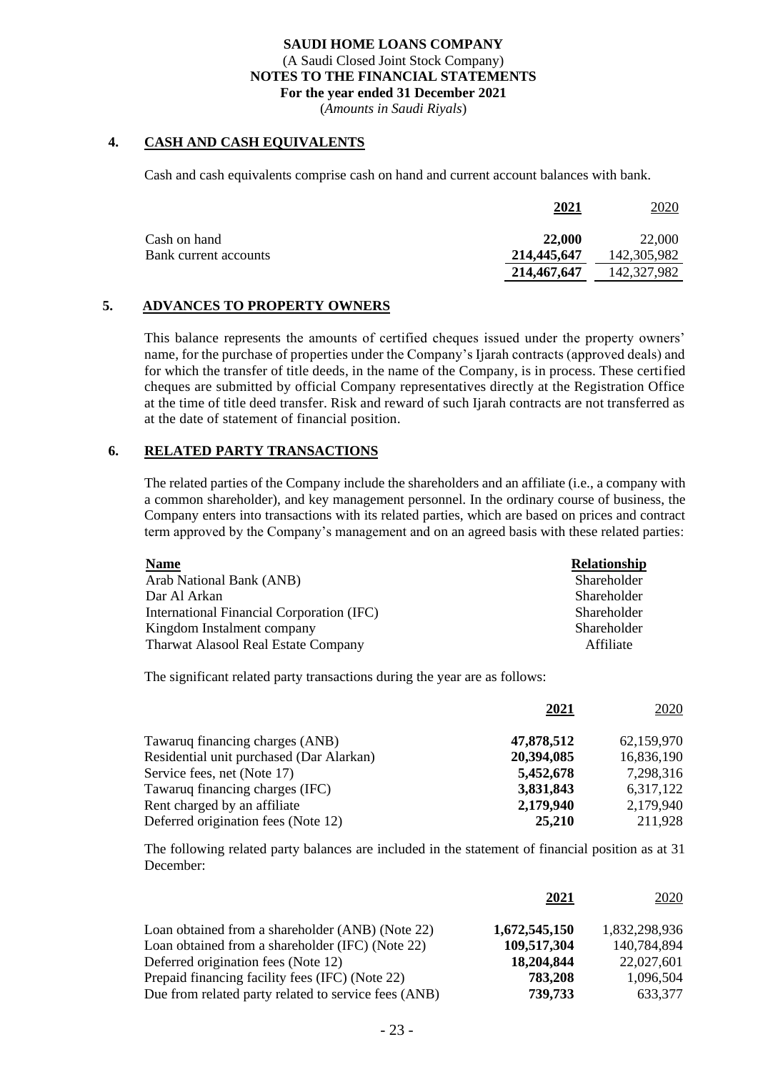(*Amounts in Saudi Riyals*)

## **4. CASH AND CASH EQUIVALENTS**

Cash and cash equivalents comprise cash on hand and current account balances with bank.

|                       | 2021        | 2020        |
|-----------------------|-------------|-------------|
| Cash on hand          | 22,000      | 22,000      |
| Bank current accounts | 214,445,647 | 142,305,982 |
|                       | 214,467,647 | 142,327,982 |

## **5. ADVANCES TO PROPERTY OWNERS**

This balance represents the amounts of certified cheques issued under the property owners' name, for the purchase of properties under the Company's Ijarah contracts (approved deals) and for which the transfer of title deeds, in the name of the Company, is in process. These certified cheques are submitted by official Company representatives directly at the Registration Office at the time of title deed transfer. Risk and reward of such Ijarah contracts are not transferred as at the date of statement of financial position.

## **6. RELATED PARTY TRANSACTIONS**

The related parties of the Company include the shareholders and an affiliate (i.e., a company with a common shareholder), and key management personnel. In the ordinary course of business, the Company enters into transactions with its related parties, which are based on prices and contract term approved by the Company's management and on an agreed basis with these related parties:

| <b>Name</b>                                | <b>Relationship</b> |
|--------------------------------------------|---------------------|
| Arab National Bank (ANB)                   | Shareholder         |
| Dar Al Arkan                               | Shareholder         |
| International Financial Corporation (IFC)  | Shareholder         |
| Kingdom Instalment company                 | Shareholder         |
| <b>Tharwat Alasool Real Estate Company</b> | Affiliate           |

The significant related party transactions during the year are as follows:

|                                          | 2021       | 2020       |
|------------------------------------------|------------|------------|
| Tawaruq financing charges (ANB)          | 47,878,512 | 62,159,970 |
| Residential unit purchased (Dar Alarkan) | 20,394,085 | 16,836,190 |
| Service fees, net (Note 17)              | 5,452,678  | 7,298,316  |
| Tawaruq financing charges (IFC)          | 3,831,843  | 6,317,122  |
| Rent charged by an affiliate             | 2,179,940  | 2,179,940  |
| Deferred origination fees (Note 12)      | 25,210     | 211,928    |

The following related party balances are included in the statement of financial position as at 31 December:

|                                                      | 2021          | 2020          |
|------------------------------------------------------|---------------|---------------|
| Loan obtained from a shareholder (ANB) (Note 22)     | 1,672,545,150 | 1,832,298,936 |
| Loan obtained from a shareholder (IFC) (Note 22)     | 109,517,304   | 140,784,894   |
| Deferred origination fees (Note 12)                  | 18,204,844    | 22,027,601    |
| Prepaid financing facility fees (IFC) (Note 22)      | 783,208       | 1,096,504     |
| Due from related party related to service fees (ANB) | 739,733       | 633,377       |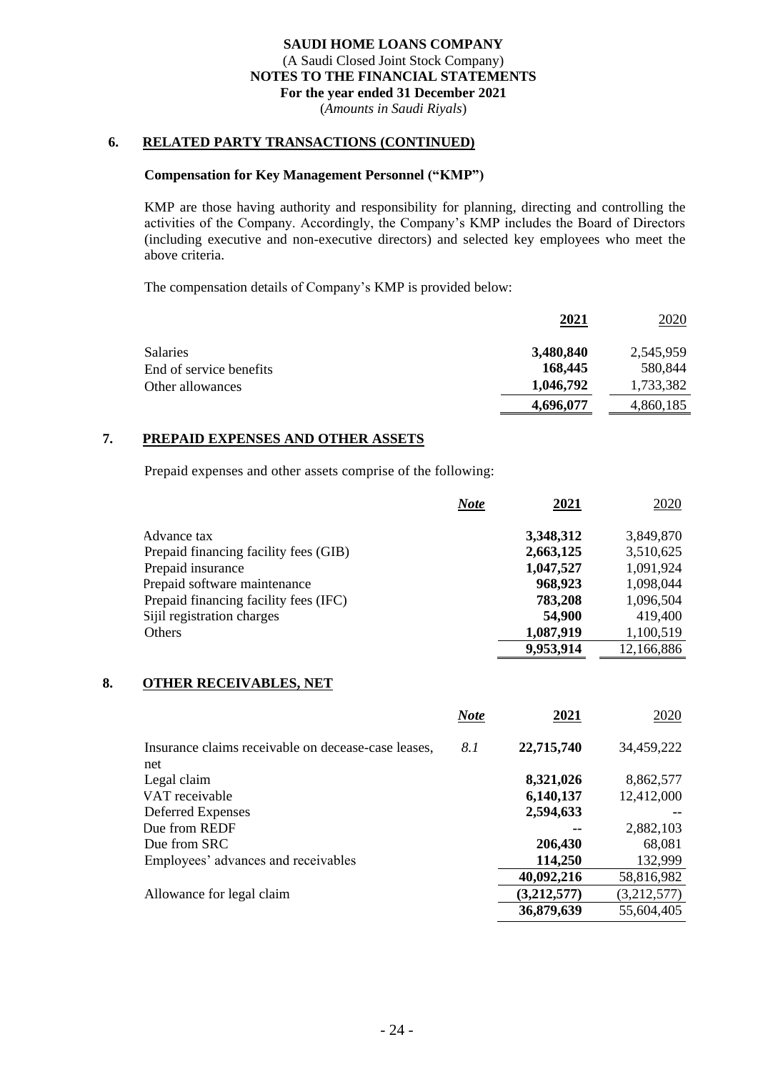(*Amounts in Saudi Riyals*)

## **6. RELATED PARTY TRANSACTIONS (CONTINUED)**

#### **Compensation for Key Management Personnel ("KMP")**

KMP are those having authority and responsibility for planning, directing and controlling the activities of the Company. Accordingly, the Company's KMP includes the Board of Directors (including executive and non-executive directors) and selected key employees who meet the above criteria.

The compensation details of Company's KMP is provided below:

|                         | 2021      | 2020      |
|-------------------------|-----------|-----------|
| <b>Salaries</b>         | 3,480,840 | 2,545,959 |
| End of service benefits | 168,445   | 580,844   |
| Other allowances        | 1,046,792 | 1,733,382 |
|                         | 4,696,077 | 4,860,185 |

## **7. PREPAID EXPENSES AND OTHER ASSETS**

Prepaid expenses and other assets comprise of the following:

|                                       | 2021<br>Note | 2020       |
|---------------------------------------|--------------|------------|
| Advance tax                           | 3,348,312    | 3,849,870  |
| Prepaid financing facility fees (GIB) | 2,663,125    | 3,510,625  |
| Prepaid insurance                     | 1,047,527    | 1,091,924  |
| Prepaid software maintenance          | 968,923      | 1,098,044  |
| Prepaid financing facility fees (IFC) | 783,208      | 1,096,504  |
| Sijil registration charges            | 54,900       | 419,400    |
| Others                                | 1,087,919    | 1,100,519  |
|                                       | 9,953,914    | 12,166,886 |

#### **8. OTHER RECEIVABLES, NET**

|                                                            | <b>Note</b> | 2021        | 2020        |
|------------------------------------------------------------|-------------|-------------|-------------|
| Insurance claims receivable on decease-case leases,<br>net | 8.1         | 22,715,740  | 34,459,222  |
| Legal claim                                                |             | 8,321,026   | 8,862,577   |
| VAT receivable                                             |             | 6,140,137   | 12,412,000  |
| Deferred Expenses                                          |             | 2,594,633   |             |
| Due from REDF                                              |             |             | 2,882,103   |
| Due from SRC                                               |             | 206,430     | 68,081      |
| Employees' advances and receivables                        |             | 114,250     | 132,999     |
|                                                            |             | 40,092,216  | 58,816,982  |
| Allowance for legal claim                                  |             | (3,212,577) | (3,212,577) |
|                                                            |             | 36,879,639  | 55,604,405  |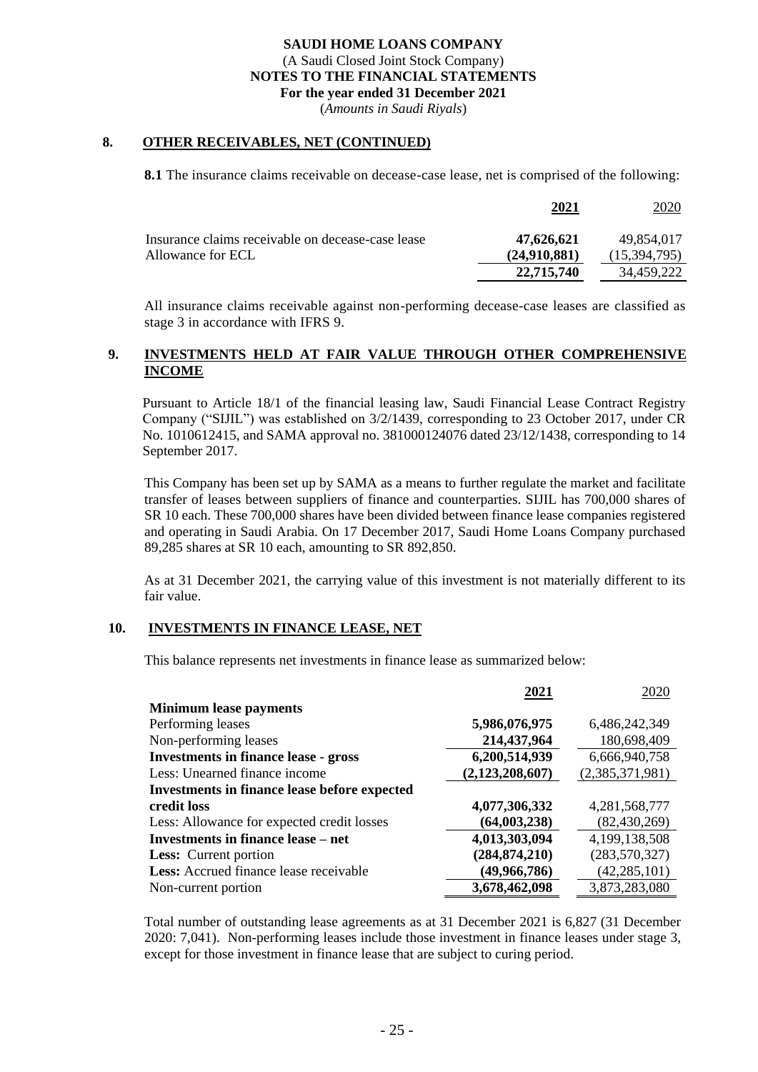(*Amounts in Saudi Riyals*)

#### **8. OTHER RECEIVABLES, NET (CONTINUED)**

**8.1** The insurance claims receivable on decease-case lease, net is comprised of the following:

|                                                   | 2021         | 2020         |
|---------------------------------------------------|--------------|--------------|
| Insurance claims receivable on decease-case lease | 47,626,621   | 49.854.017   |
| Allowance for ECL                                 | (24.910.881) | (15,394,795) |
|                                                   | 22,715,740   | 34.459.222   |

All insurance claims receivable against non-performing decease-case leases are classified as stage 3 in accordance with IFRS 9.

## **9. INVESTMENTS HELD AT FAIR VALUE THROUGH OTHER COMPREHENSIVE INCOME**

Pursuant to Article 18/1 of the financial leasing law, Saudi Financial Lease Contract Registry Company ("SIJIL") was established on 3/2/1439, corresponding to 23 October 2017, under CR No. 1010612415, and SAMA approval no. 381000124076 dated 23/12/1438, corresponding to 14 September 2017.

This Company has been set up by SAMA as a means to further regulate the market and facilitate transfer of leases between suppliers of finance and counterparties. SIJIL has 700,000 shares of SR 10 each. These 700,000 shares have been divided between finance lease companies registered and operating in Saudi Arabia. On 17 December 2017, Saudi Home Loans Company purchased 89,285 shares at SR 10 each, amounting to SR 892,850.

As at 31 December 2021, the carrying value of this investment is not materially different to its fair value.

#### **10. INVESTMENTS IN FINANCE LEASE, NET**

This balance represents net investments in finance lease as summarized below:

|                                                     | 2021            | 2020            |
|-----------------------------------------------------|-----------------|-----------------|
| <b>Minimum lease payments</b>                       |                 |                 |
| Performing leases                                   | 5,986,076,975   | 6,486,242,349   |
| Non-performing leases                               | 214,437,964     | 180,698,409     |
| <b>Investments in finance lease - gross</b>         | 6,200,514,939   | 6,666,940,758   |
| Less: Unearned finance income                       | (2,123,208,607) | (2,385,371,981) |
| <b>Investments in finance lease before expected</b> |                 |                 |
| credit loss                                         | 4,077,306,332   | 4,281,568,777   |
| Less: Allowance for expected credit losses          | (64,003,238)    | (82, 430, 269)  |
| Investments in finance lease – net                  | 4,013,303,094   | 4,199,138,508   |
| <b>Less:</b> Current portion                        | (284, 874, 210) | (283, 570, 327) |
| Less: Accrued finance lease receivable              | (49, 966, 786)  | (42, 285, 101)  |
| Non-current portion                                 | 3,678,462,098   | 3,873,283,080   |

Total number of outstanding lease agreements as at 31 December 2021 is 6,827 (31 December 2020: 7,041). Non-performing leases include those investment in finance leases under stage 3, except for those investment in finance lease that are subject to curing period.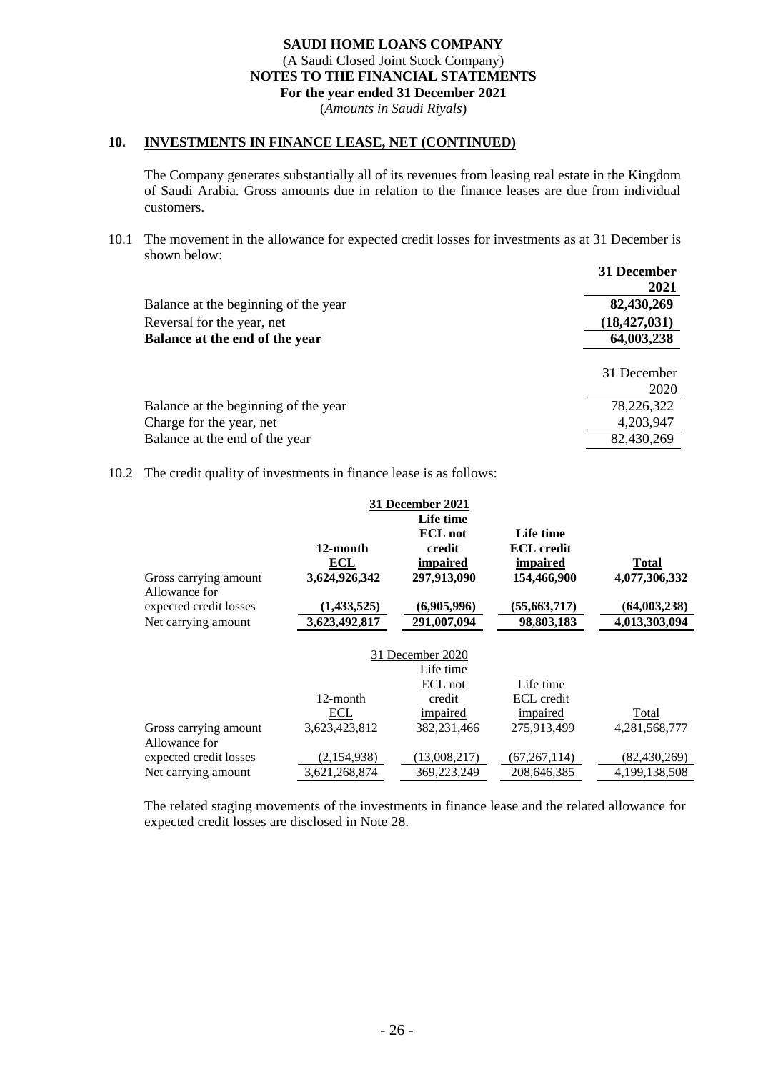(*Amounts in Saudi Riyals*)

#### **10. INVESTMENTS IN FINANCE LEASE, NET (CONTINUED)**

The Company generates substantially all of its revenues from leasing real estate in the Kingdom of Saudi Arabia. Gross amounts due in relation to the finance leases are due from individual customers.

10.1 The movement in the allowance for expected credit losses for investments as at 31 December is shown below:

|                                      | 31 December<br>2021 |
|--------------------------------------|---------------------|
| Balance at the beginning of the year | 82,430,269          |
| Reversal for the year, net           | (18, 427, 031)      |
| Balance at the end of the year       | 64,003,238          |
|                                      | 31 December         |
|                                      | 2020                |
| Balance at the beginning of the year | 78,226,322          |
| Charge for the year, net             | 4,203,947           |
| Balance at the end of the year       | 82,430,269          |

10.2 The credit quality of investments in finance lease is as follows:

|                        |               | <b>31 December 2021</b> |                   |                |
|------------------------|---------------|-------------------------|-------------------|----------------|
|                        |               | Life time               |                   |                |
|                        |               | <b>ECL</b> not          | Life time         |                |
|                        | 12-month      | credit                  | <b>ECL</b> credit |                |
|                        | ECL           | impaired                | impaired          | Total          |
| Gross carrying amount  | 3,624,926,342 | 297,913,090             | 154,466,900       | 4,077,306,332  |
| Allowance for          |               |                         |                   |                |
| expected credit losses | (1,433,525)   | (6,905,996)             | (55, 663, 717)    | (64,003,238)   |
| Net carrying amount    | 3,623,492,817 | 291,007,094             | 98,803,183        | 4,013,303,094  |
|                        |               |                         |                   |                |
|                        |               | 31 December 2020        |                   |                |
|                        |               | Life time               |                   |                |
|                        |               | ECL not                 | Life time         |                |
|                        | 12-month      | credit                  | ECL credit        |                |
|                        | ECL           | impaired                | impaired          | Total          |
| Gross carrying amount  | 3,623,423,812 | 382,231,466             | 275,913,499       | 4,281,568,777  |
| Allowance for          |               |                         |                   |                |
| expected credit losses | (2,154,938)   | (13,008,217)            | (67, 267, 114)    | (82, 430, 269) |
| Net carrying amount    | 3,621,268,874 | 369,223,249             | 208,646,385       | 4,199,138,508  |
|                        |               |                         |                   |                |

The related staging movements of the investments in finance lease and the related allowance for expected credit losses are disclosed in Note 28.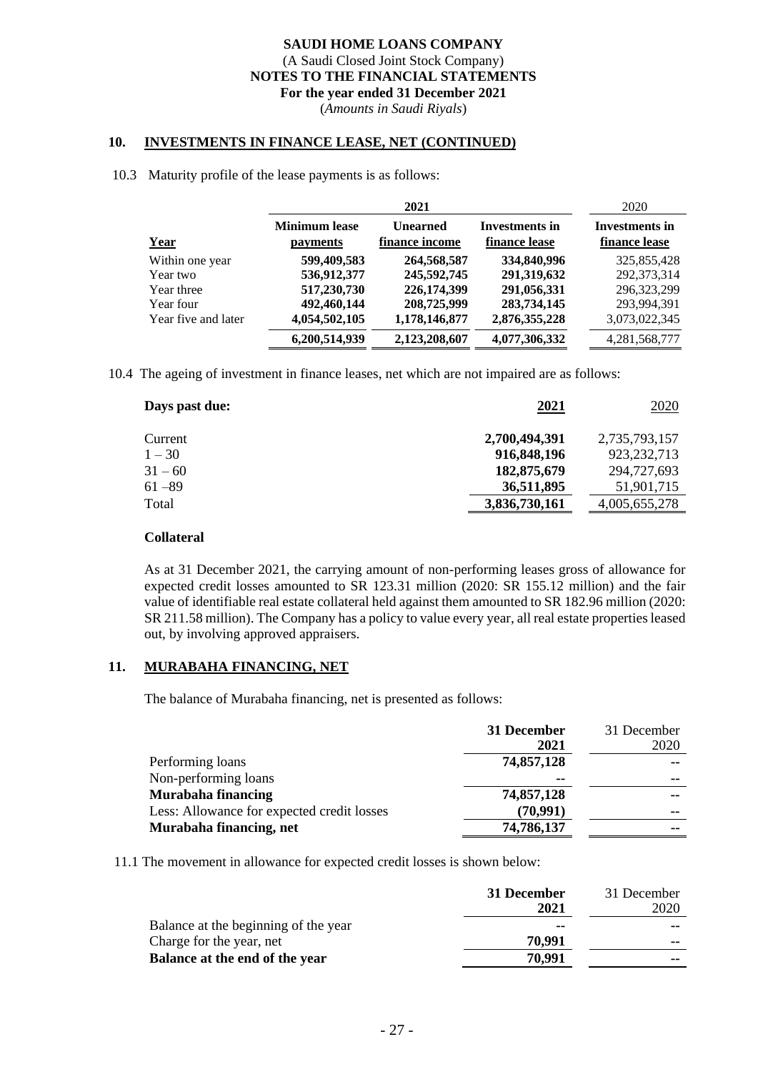(*Amounts in Saudi Riyals*)

#### **10. INVESTMENTS IN FINANCE LEASE, NET (CONTINUED)**

#### 10.3 Maturity profile of the lease payments is as follows:

|                     | 2021                             |                                   | 2020                                   |                                 |
|---------------------|----------------------------------|-----------------------------------|----------------------------------------|---------------------------------|
| <b>Year</b>         | <b>Minimum</b> lease<br>payments | <b>Unearned</b><br>finance income | <b>Investments in</b><br>finance lease | Investments in<br>finance lease |
| Within one year     | 599,409,583                      | 264,568,587                       | 334,840,996                            | 325,855,428                     |
| Year two            | 536,912,377                      | 245,592,745                       | 291,319,632                            | 292, 373, 314                   |
| Year three          | 517,230,730                      | 226,174,399                       | 291,056,331                            | 296, 323, 299                   |
| Year four           | 492,460,144                      | 208,725,999                       | 283,734,145                            | 293.994.391                     |
| Year five and later | 4,054,502,105                    | 1,178,146,877                     | 2,876,355,228                          | 3,073,022,345                   |
|                     | 6,200,514,939                    | 2,123,208,607                     | 4,077,306,332                          | 4,281,568,777                   |

10.4 The ageing of investment in finance leases, net which are not impaired are as follows:

| Days past due: | 2021          | 2020          |
|----------------|---------------|---------------|
| Current        | 2,700,494,391 | 2,735,793,157 |
| $1 - 30$       | 916,848,196   | 923, 232, 713 |
| $31 - 60$      | 182,875,679   | 294,727,693   |
| $61 - 89$      | 36,511,895    | 51,901,715    |
| Total          | 3,836,730,161 | 4,005,655,278 |
|                |               |               |

#### **Collateral**

As at 31 December 2021, the carrying amount of non-performing leases gross of allowance for expected credit losses amounted to SR 123.31 million (2020: SR 155.12 million) and the fair value of identifiable real estate collateral held against them amounted to SR 182.96 million (2020: SR 211.58 million). The Company has a policy to value every year, all real estate properties leased out, by involving approved appraisers.

#### **11. MURABAHA FINANCING, NET**

The balance of Murabaha financing, net is presented as follows:

|                                            | 31 December | 31 December |
|--------------------------------------------|-------------|-------------|
|                                            | 2021        | 2020        |
| Performing loans                           | 74,857,128  |             |
| Non-performing loans                       | --          | --          |
| Murabaha financing                         | 74,857,128  | --          |
| Less: Allowance for expected credit losses | (70, 991)   | --          |
| Murabaha financing, net                    | 74,786,137  | --          |

11.1 The movement in allowance for expected credit losses is shown below:

|                                      | 31 December | 31 December |
|--------------------------------------|-------------|-------------|
|                                      | 2021        | 2020        |
| Balance at the beginning of the year | --          | --          |
| Charge for the year, net             | 70.991      | --          |
| Balance at the end of the year       | 70,991      | --          |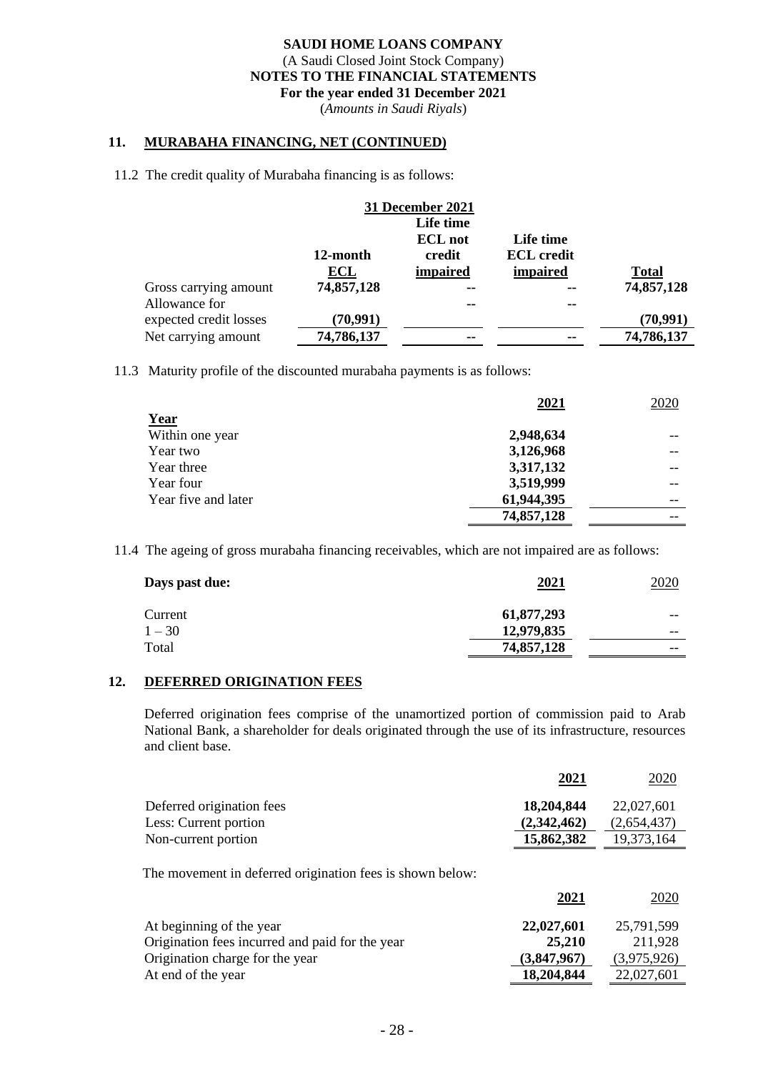(*Amounts in Saudi Riyals*)

#### **11. MURABAHA FINANCING, NET (CONTINUED)**

11.2 The credit quality of Murabaha financing is as follows:

| <b>31 December 2021</b> |            |                |                   |              |
|-------------------------|------------|----------------|-------------------|--------------|
|                         |            | Life time      |                   |              |
|                         |            | <b>ECL</b> not | Life time         |              |
|                         | 12-month   | credit         | <b>ECL</b> credit |              |
|                         | ECL        | impaired       | impaired          | <b>Total</b> |
| Gross carrying amount   | 74,857,128 | --             | --                | 74,857,128   |
| Allowance for           |            | --             | --                |              |
| expected credit losses  | (70, 991)  |                |                   | (70, 991)    |
| Net carrying amount     | 74,786,137 | --             | --                | 74,786,137   |

11.3 Maturity profile of the discounted murabaha payments is as follows:

|                     | 2021       | 2020 |
|---------------------|------------|------|
| Year                |            |      |
| Within one year     | 2,948,634  |      |
| Year two            | 3,126,968  |      |
| Year three          | 3,317,132  |      |
| Year four           | 3,519,999  |      |
| Year five and later | 61,944,395 |      |
|                     | 74,857,128 |      |

11.4 The ageing of gross murabaha financing receivables, which are not impaired are as follows:

| Days past due: | <u>2021</u> | 2020  |
|----------------|-------------|-------|
| Current        | 61,877,293  | $- -$ |
| $1 - 30$       | 12,979,835  | $- -$ |
| Total          | 74,857,128  | $- -$ |

# **12. DEFERRED ORIGINATION FEES**

Deferred origination fees comprise of the unamortized portion of commission paid to Arab National Bank, a shareholder for deals originated through the use of its infrastructure, resources and client base.

|                           | 2021        | 2020        |
|---------------------------|-------------|-------------|
| Deferred origination fees | 18,204,844  | 22,027,601  |
| Less: Current portion     | (2,342,462) | (2,654,437) |
| Non-current portion       | 15,862,382  | 19,373,164  |
|                           |             |             |

The movement in deferred origination fees is shown below:

|                                                 | 2021        | <u>2020</u> |
|-------------------------------------------------|-------------|-------------|
| At beginning of the year                        | 22,027,601  | 25,791,599  |
| Origination fees incurred and paid for the year | 25,210      | 211,928     |
| Origination charge for the year                 | (3,847,967) | (3,975,926) |
| At end of the year                              | 18,204,844  | 22,027,601  |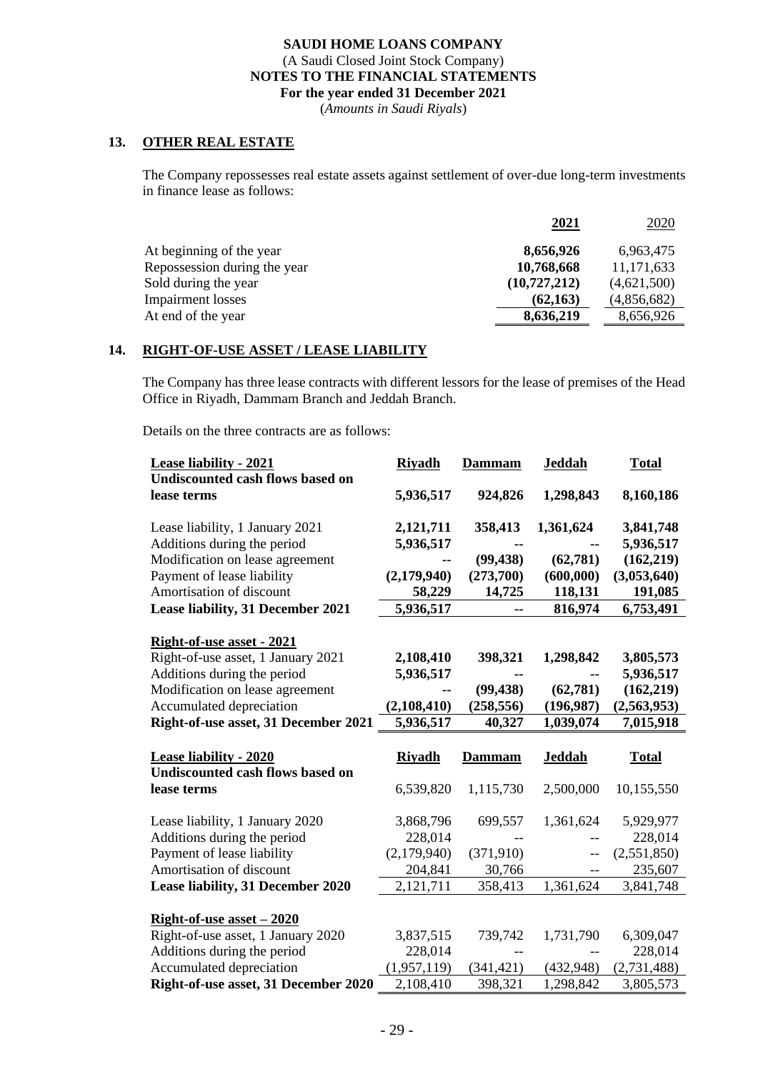(*Amounts in Saudi Riyals*)

## **13. OTHER REAL ESTATE**

The Company repossesses real estate assets against settlement of over-due long-term investments in finance lease as follows:

|                              | 2021           | 2020        |
|------------------------------|----------------|-------------|
| At beginning of the year     | 8,656,926      | 6,963,475   |
| Repossession during the year | 10,768,668     | 11,171,633  |
| Sold during the year         | (10, 727, 212) | (4,621,500) |
| <b>Impairment</b> losses     | (62, 163)      | (4,856,682) |
| At end of the year           | 8,636,219      | 8,656,926   |

#### **14. RIGHT-OF-USE ASSET / LEASE LIABILITY**

The Company has three lease contracts with different lessors for the lease of premises of the Head Office in Riyadh, Dammam Branch and Jeddah Branch.

Details on the three contracts are as follows:

| <b>Lease liability - 2021</b>                           | <b>Riyadh</b>          | Dammam        | <b>Jeddah</b> | <b>Total</b>           |
|---------------------------------------------------------|------------------------|---------------|---------------|------------------------|
| Undiscounted cash flows based on                        |                        |               |               |                        |
| lease terms                                             | 5,936,517              | 924,826       | 1,298,843     | 8,160,186              |
| Lease liability, 1 January 2021                         | 2,121,711              | 358,413       | 1,361,624     | 3,841,748              |
| Additions during the period                             | 5,936,517              |               |               | 5,936,517              |
| Modification on lease agreement                         |                        | (99, 438)     | (62, 781)     | (162, 219)             |
| Payment of lease liability                              | (2,179,940)            | (273,700)     | (600,000)     | (3,053,640)            |
| Amortisation of discount                                | 58,229                 | 14,725        | 118,131       | 191,085                |
| Lease liability, 31 December 2021                       | 5,936,517              | --            | 816,974       | 6,753,491              |
|                                                         |                        |               |               |                        |
| Right-of-use asset - 2021                               |                        |               |               |                        |
| Right-of-use asset, 1 January 2021                      | 2,108,410              | 398,321       | 1,298,842     | 3,805,573              |
| Additions during the period                             | 5,936,517              |               |               | 5,936,517              |
| Modification on lease agreement                         |                        | (99, 438)     | (62, 781)     | (162, 219)             |
| Accumulated depreciation                                | (2,108,410)            | (258, 556)    | (196, 987)    | (2,563,953)            |
| Right-of-use asset, 31 December 2021                    | 5,936,517              | 40,327        | 1,039,074     | 7,015,918              |
|                                                         |                        |               |               |                        |
|                                                         |                        |               |               |                        |
| <b>Lease liability - 2020</b>                           | <b>Riyadh</b>          | <b>Dammam</b> | <b>Jeddah</b> | <b>Total</b>           |
| Undiscounted cash flows based on                        |                        |               |               |                        |
| lease terms                                             | 6,539,820              | 1,115,730     | 2,500,000     | 10,155,550             |
|                                                         |                        |               |               |                        |
| Lease liability, 1 January 2020                         | 3,868,796              | 699,557       | 1,361,624     | 5,929,977              |
| Additions during the period                             | 228,014                |               |               | 228,014                |
| Payment of lease liability                              | (2,179,940)            | (371,910)     | $-$           | (2,551,850)            |
| Amortisation of discount                                | 204,841                | 30,766        | $-$           | 235,607                |
| Lease liability, 31 December 2020                       | 2,121,711              | 358,413       | 1,361,624     | 3,841,748              |
|                                                         |                        |               |               |                        |
| <u>Right-of-use asset <math>-2020</math></u>            |                        |               |               |                        |
| Right-of-use asset, 1 January 2020                      | 3,837,515              | 739,742       | 1,731,790     | 6,309,047              |
| Additions during the period<br>Accumulated depreciation | 228,014<br>(1,957,119) | (341, 421)    | (432, 948)    | 228,014<br>(2,731,488) |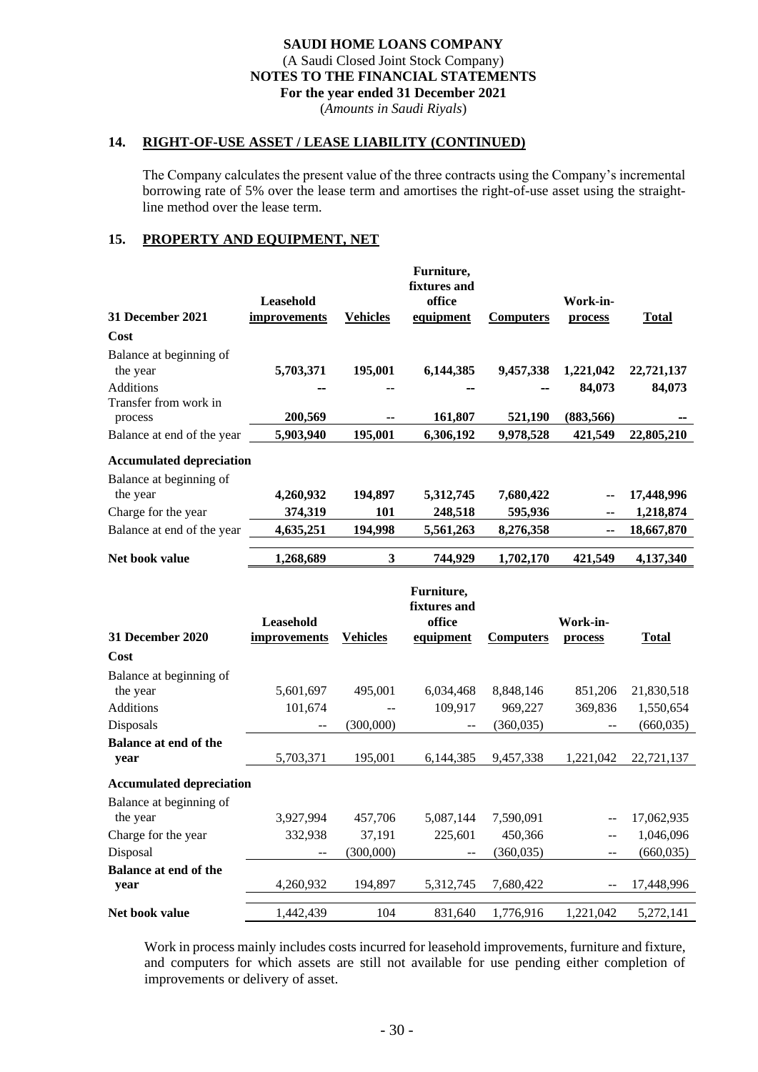(*Amounts in Saudi Riyals*)

#### **14. RIGHT-OF-USE ASSET / LEASE LIABILITY (CONTINUED)**

The Company calculates the present value of the three contracts using the Company's incremental borrowing rate of 5% over the lease term and amortises the right-of-use asset using the straightline method over the lease term.

## **15. PROPERTY AND EQUIPMENT, NET**

| <b>31 December 2021</b><br>Cost      | Leasehold<br>improvements        | <b>Vehicles</b> | Furniture,<br>fixtures and<br>office<br>equipment | <b>Computers</b> | Work-in-<br>process      | <b>Total</b> |
|--------------------------------------|----------------------------------|-----------------|---------------------------------------------------|------------------|--------------------------|--------------|
| Balance at beginning of              |                                  |                 |                                                   |                  |                          |              |
| the year                             | 5,703,371                        | 195,001         | 6,144,385                                         | 9,457,338        | 1,221,042                | 22,721,137   |
| <b>Additions</b>                     |                                  |                 |                                                   |                  | 84,073                   | 84,073       |
| Transfer from work in                |                                  |                 |                                                   |                  |                          |              |
| process                              | 200,569                          |                 | 161,807                                           | 521,190          | (883, 566)               |              |
| Balance at end of the year           | 5,903,940                        | 195,001         | 6,306,192                                         | 9,978,528        | 421,549                  | 22,805,210   |
| <b>Accumulated depreciation</b>      |                                  |                 |                                                   |                  |                          |              |
| Balance at beginning of              |                                  |                 |                                                   |                  |                          |              |
| the year                             | 4,260,932                        | 194,897         | 5,312,745                                         | 7,680,422        | --                       | 17,448,996   |
| Charge for the year                  | 374,319                          | 101             | 248,518                                           | 595,936          | --                       | 1,218,874    |
| Balance at end of the year           | 4,635,251                        | 194,998         | 5,561,263                                         | 8,276,358        | --                       | 18,667,870   |
| Net book value                       | 1,268,689                        | 3               | 744,929                                           | 1,702,170        | 421,549                  | 4,137,340    |
| 31 December 2020                     | <b>Leasehold</b><br>improvements | <b>Vehicles</b> | Furniture,<br>fixtures and<br>office<br>equipment | <b>Computers</b> | Work-in-<br>process      | Total        |
| Cost                                 |                                  |                 |                                                   |                  |                          |              |
|                                      |                                  |                 |                                                   |                  |                          |              |
| Balance at beginning of              |                                  |                 |                                                   |                  |                          |              |
| the year                             | 5,601,697                        | 495,001         | 6,034,468                                         | 8,848,146        | 851,206                  | 21,830,518   |
| <b>Additions</b>                     | 101,674                          |                 | 109,917                                           | 969,227          | 369,836                  | 1,550,654    |
| Disposals                            |                                  | (300,000)       | $-$                                               | (360, 035)       | $\overline{\phantom{a}}$ | (660, 035)   |
| <b>Balance at end of the</b>         |                                  |                 |                                                   |                  |                          |              |
| year                                 | 5,703,371                        | 195,001         | 6,144,385                                         | 9,457,338        | 1,221,042                | 22,721,137   |
| <b>Accumulated depreciation</b>      |                                  |                 |                                                   |                  |                          |              |
| Balance at beginning of              |                                  |                 |                                                   |                  |                          |              |
| the year                             | 3,927,994                        | 457,706         | 5,087,144                                         | 7,590,091        | --                       | 17,062,935   |
| Charge for the year                  | 332,938                          | 37,191          | 225,601                                           | 450,366          | $\mathbf{u}$             | 1,046,096    |
| Disposal                             | $-$                              | (300,000)       | $-$                                               | (360, 035)       | $-$                      | (660, 035)   |
| <b>Balance at end of the</b><br>year | 4,260,932                        | 194,897         | 5,312,745                                         | 7,680,422        | $\overline{\phantom{a}}$ | 17,448,996   |

Work in process mainly includes costs incurred for leasehold improvements, furniture and fixture, and computers for which assets are still not available for use pending either completion of improvements or delivery of asset.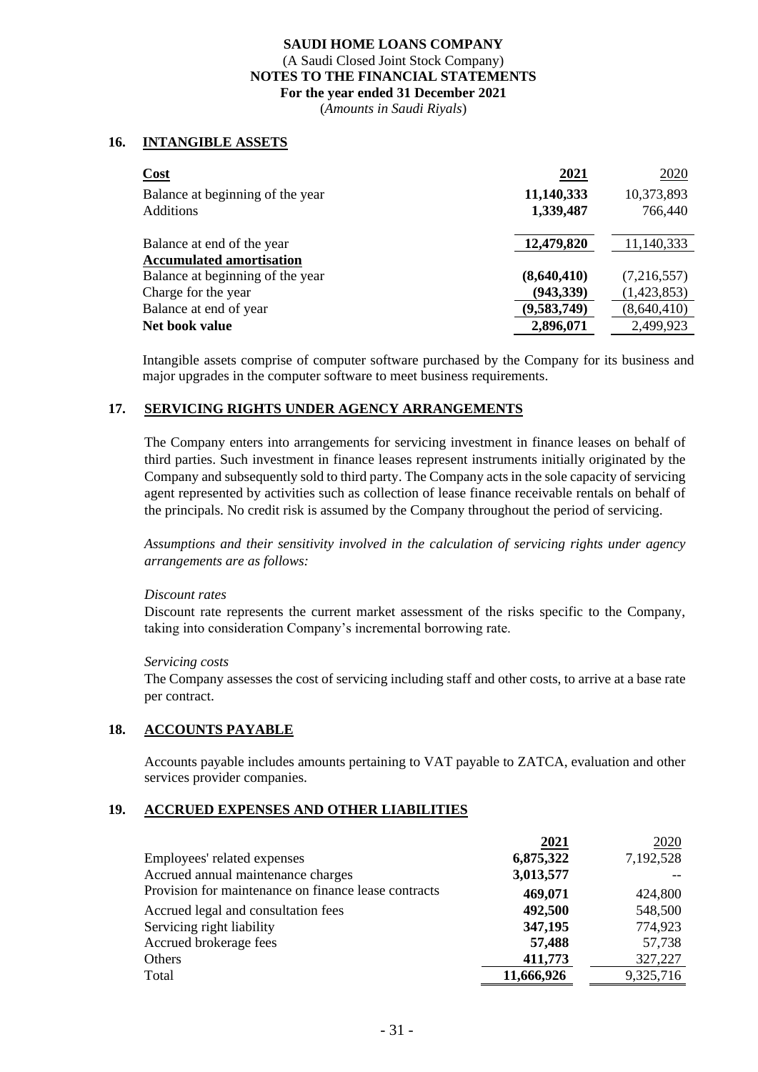(*Amounts in Saudi Riyals*)

## **16. INTANGIBLE ASSETS**

| <b>Cost</b>                      | 2021        | 2020        |
|----------------------------------|-------------|-------------|
| Balance at beginning of the year | 11,140,333  | 10,373,893  |
| <b>Additions</b>                 | 1,339,487   | 766,440     |
| Balance at end of the year       | 12,479,820  | 11,140,333  |
| <b>Accumulated amortisation</b>  |             |             |
| Balance at beginning of the year | (8,640,410) | (7,216,557) |
| Charge for the year              | (943, 339)  | (1,423,853) |
| Balance at end of year           | (9,583,749) | (8,640,410) |
| Net book value                   | 2,896,071   | 2,499,923   |

Intangible assets comprise of computer software purchased by the Company for its business and major upgrades in the computer software to meet business requirements.

## **17. SERVICING RIGHTS UNDER AGENCY ARRANGEMENTS**

The Company enters into arrangements for servicing investment in finance leases on behalf of third parties. Such investment in finance leases represent instruments initially originated by the Company and subsequently sold to third party. The Company acts in the sole capacity of servicing agent represented by activities such as collection of lease finance receivable rentals on behalf of the principals. No credit risk is assumed by the Company throughout the period of servicing.

*Assumptions and their sensitivity involved in the calculation of servicing rights under agency arrangements are as follows:*

#### *Discount rates*

Discount rate represents the current market assessment of the risks specific to the Company, taking into consideration Company's incremental borrowing rate.

#### *Servicing costs*

The Company assesses the cost of servicing including staff and other costs, to arrive at a base rate per contract.

#### **18. ACCOUNTS PAYABLE**

Accounts payable includes amounts pertaining to VAT payable to ZATCA, evaluation and other services provider companies.

#### **19. ACCRUED EXPENSES AND OTHER LIABILITIES**

|                                                      | 2021       | 2020      |
|------------------------------------------------------|------------|-----------|
| Employees' related expenses                          | 6,875,322  | 7,192,528 |
| Accrued annual maintenance charges                   | 3,013,577  |           |
| Provision for maintenance on finance lease contracts | 469,071    | 424,800   |
| Accrued legal and consultation fees                  | 492,500    | 548,500   |
| Servicing right liability                            | 347,195    | 774,923   |
| Accrued brokerage fees                               | 57,488     | 57,738    |
| Others                                               | 411,773    | 327,227   |
| Total                                                | 11,666,926 | 9,325,716 |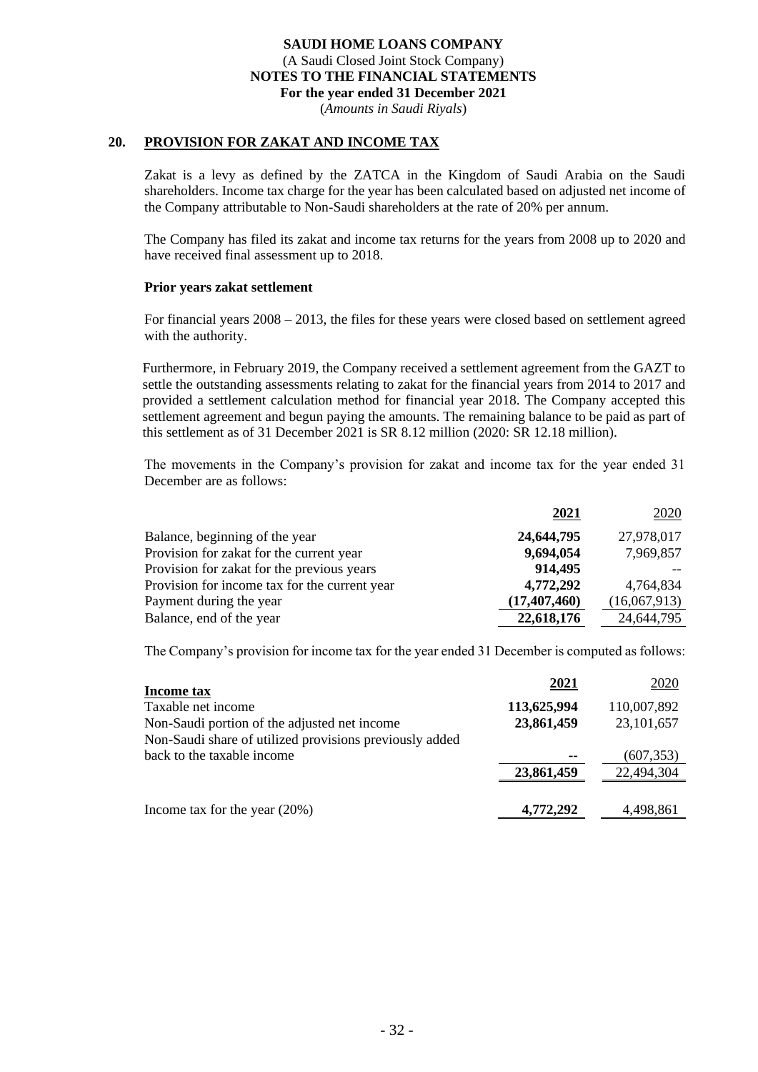(*Amounts in Saudi Riyals*)

#### **20. PROVISION FOR ZAKAT AND INCOME TAX**

Zakat is a levy as defined by the ZATCA in the Kingdom of Saudi Arabia on the Saudi shareholders. Income tax charge for the year has been calculated based on adjusted net income of the Company attributable to Non-Saudi shareholders at the rate of 20% per annum.

The Company has filed its zakat and income tax returns for the years from 2008 up to 2020 and have received final assessment up to 2018.

#### **Prior years zakat settlement**

For financial years 2008 – 2013, the files for these years were closed based on settlement agreed with the authority.

Furthermore, in February 2019, the Company received a settlement agreement from the GAZT to settle the outstanding assessments relating to zakat for the financial years from 2014 to 2017 and provided a settlement calculation method for financial year 2018. The Company accepted this settlement agreement and begun paying the amounts. The remaining balance to be paid as part of this settlement as of 31 December 2021 is SR 8.12 million (2020: SR 12.18 million).

The movements in the Company's provision for zakat and income tax for the year ended 31 December are as follows:

|                                               | 2021           | 2020         |
|-----------------------------------------------|----------------|--------------|
| Balance, beginning of the year                | 24,644,795     | 27,978,017   |
| Provision for zakat for the current year      | 9,694,054      | 7,969,857    |
| Provision for zakat for the previous years    | 914,495        |              |
| Provision for income tax for the current year | 4,772,292      | 4,764,834    |
| Payment during the year                       | (17, 407, 460) | (16,067,913) |
| Balance, end of the year                      | 22,618,176     | 24,644,795   |

The Company's provision for income tax for the year ended 31 December is computed as follows:

| Income tax                                              | 2021        | 2020         |
|---------------------------------------------------------|-------------|--------------|
| Taxable net income                                      | 113,625,994 | 110,007,892  |
| Non-Saudi portion of the adjusted net income            | 23,861,459  | 23, 101, 657 |
| Non-Saudi share of utilized provisions previously added |             |              |
| back to the taxable income                              |             | (607, 353)   |
|                                                         | 23,861,459  | 22,494,304   |
|                                                         |             |              |
| Income tax for the year $(20\%)$                        | 4,772,292   | 4,498,861    |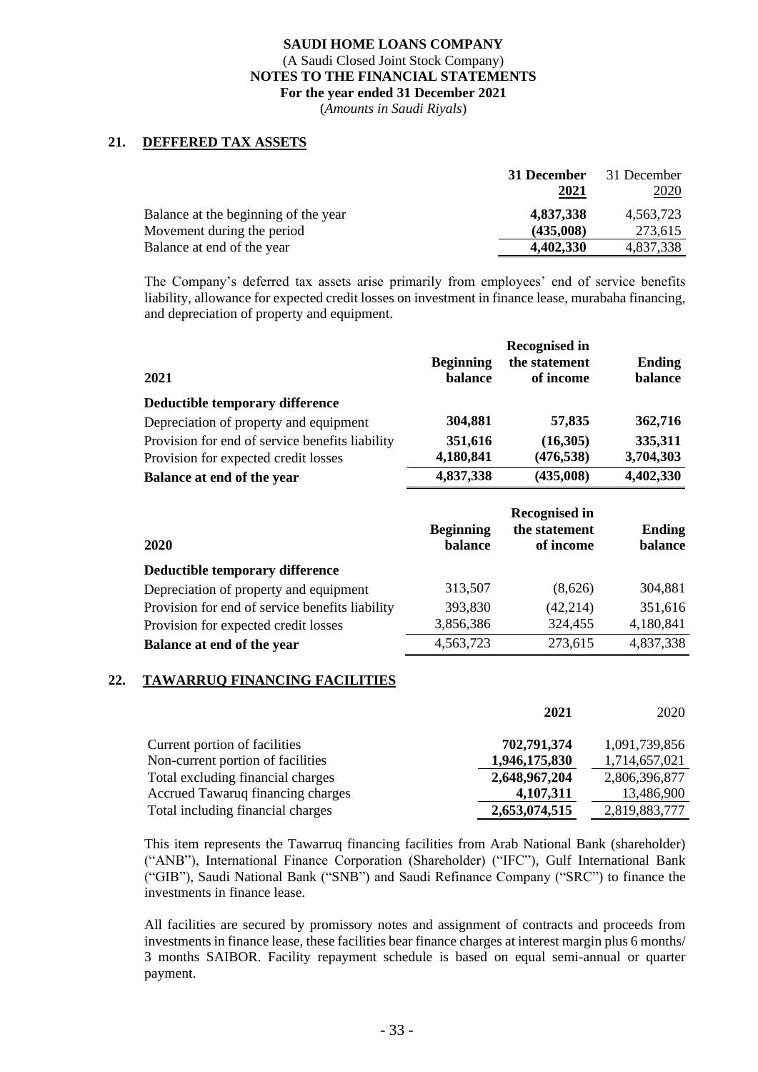(*Amounts in Saudi Riyals*)

## **21. DEFFERED TAX ASSETS**

|                                      | 31 December | 31 December |
|--------------------------------------|-------------|-------------|
|                                      | 2021        | 2020        |
| Balance at the beginning of the year | 4,837,338   | 4.563.723   |
| Movement during the period           | (435,008)   | 273.615     |
| Balance at end of the year           | 4,402,330   | 4,837,338   |

The Company's deferred tax assets arise primarily from employees' end of service benefits liability, allowance for expected credit losses on investment in finance lease, murabaha financing, and depreciation of property and equipment.

| 2021                                            | <b>Beginning</b><br>balance | <b>Recognised in</b><br>the statement<br>of income | <b>Ending</b><br>balance |
|-------------------------------------------------|-----------------------------|----------------------------------------------------|--------------------------|
| Deductible temporary difference                 |                             |                                                    |                          |
| Depreciation of property and equipment          | 304,881                     | 57,835                                             | 362,716                  |
| Provision for end of service benefits liability | 351,616                     | (16,305)                                           | 335,311                  |
| Provision for expected credit losses            | 4,180,841                   | (476, 538)                                         | 3,704,303                |
| Balance at end of the year                      | 4,837,338                   | (435,008)                                          | 4,402,330                |
|                                                 |                             | T.                                                 |                          |

| 2020                                            | <b>Beginning</b><br>balance | <b>Recognised in</b><br>the statement<br>of income | Ending<br>balance |
|-------------------------------------------------|-----------------------------|----------------------------------------------------|-------------------|
| Deductible temporary difference                 |                             |                                                    |                   |
| Depreciation of property and equipment          | 313,507                     | (8,626)                                            | 304,881           |
| Provision for end of service benefits liability | 393,830                     | (42, 214)                                          | 351,616           |
| Provision for expected credit losses            | 3,856,386                   | 324,455                                            | 4,180,841         |
| Balance at end of the year                      | 4,563,723                   | 273,615                                            | 4,837,338         |

## **22. TAWARRUQ FINANCING FACILITIES**

|                                   | 2021          | 2020          |
|-----------------------------------|---------------|---------------|
| Current portion of facilities     | 702,791,374   | 1,091,739,856 |
| Non-current portion of facilities | 1,946,175,830 | 1,714,657,021 |
| Total excluding financial charges | 2,648,967,204 | 2,806,396,877 |
| Accrued Tawaruq financing charges | 4,107,311     | 13,486,900    |
| Total including financial charges | 2,653,074,515 | 2,819,883,777 |

This item represents the Tawarruq financing facilities from Arab National Bank (shareholder) ("ANB"), International Finance Corporation (Shareholder) ("IFC"), Gulf International Bank ("GIB"), Saudi National Bank ("SNB") and Saudi Refinance Company ("SRC") to finance the investments in finance lease.

All facilities are secured by promissory notes and assignment of contracts and proceeds from investments in finance lease, these facilities bear finance charges at interest margin plus 6 months/ 3 months SAIBOR. Facility repayment schedule is based on equal semi-annual or quarter payment.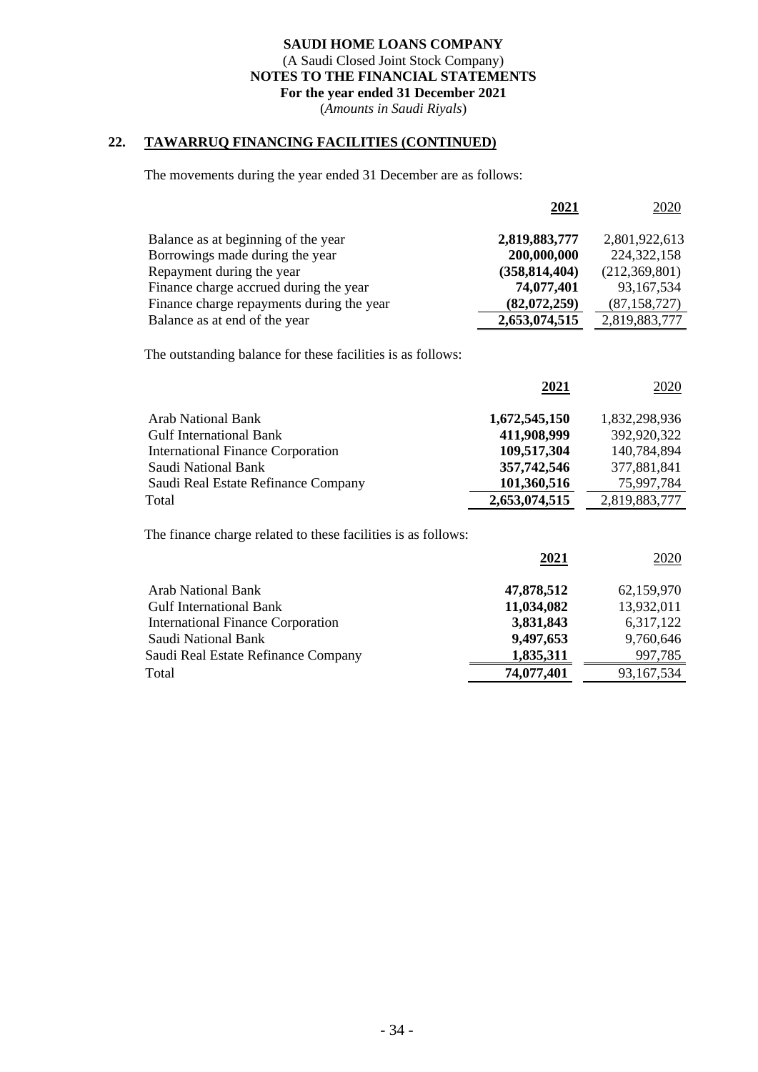(*Amounts in Saudi Riyals*)

# **22. TAWARRUQ FINANCING FACILITIES (CONTINUED)**

The movements during the year ended 31 December are as follows:

|                                           | 2021            | 2020           |
|-------------------------------------------|-----------------|----------------|
| Balance as at beginning of the year       | 2,819,883,777   | 2,801,922,613  |
| Borrowings made during the year           | 200,000,000     | 224, 322, 158  |
| Repayment during the year                 | (358, 814, 404) | (212,369,801)  |
| Finance charge accrued during the year    | 74,077,401      | 93,167,534     |
| Finance charge repayments during the year | (82,072,259)    | (87, 158, 727) |
| Balance as at end of the year             | 2,653,074,515   | 2,819,883,777  |

The outstanding balance for these facilities is as follows:

|                                          | 2021          | 2020          |
|------------------------------------------|---------------|---------------|
| <b>Arab National Bank</b>                | 1,672,545,150 | 1,832,298,936 |
| <b>Gulf International Bank</b>           | 411,908,999   | 392,920,322   |
| <b>International Finance Corporation</b> | 109,517,304   | 140,784,894   |
| Saudi National Bank                      | 357,742,546   | 377,881,841   |
| Saudi Real Estate Refinance Company      | 101,360,516   | 75,997,784    |
| Total                                    | 2,653,074,515 | 2,819,883,777 |

The finance charge related to these facilities is as follows:

| 2021       | 2020       |
|------------|------------|
| 47,878,512 | 62,159,970 |
| 11,034,082 | 13,932,011 |
| 3,831,843  | 6,317,122  |
| 9,497,653  | 9,760,646  |
| 1,835,311  | 997,785    |
| 74,077,401 | 93,167,534 |
|            |            |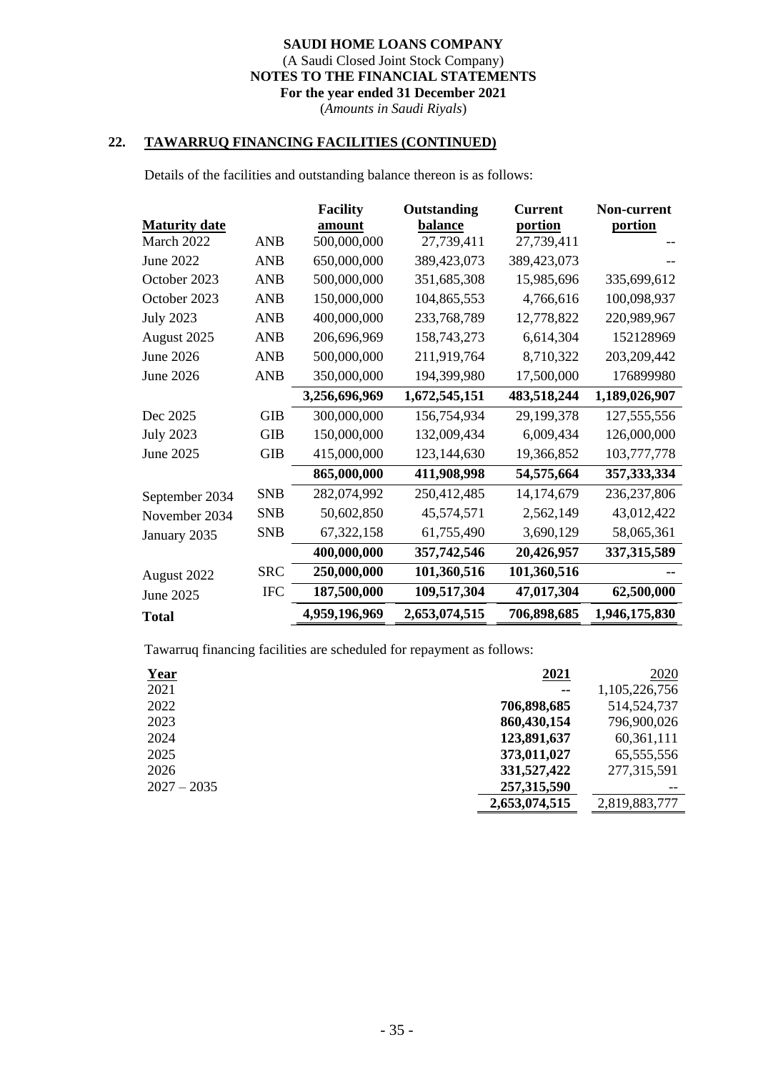(*Amounts in Saudi Riyals*)

## **22. TAWARRUQ FINANCING FACILITIES (CONTINUED)**

Details of the facilities and outstanding balance thereon is as follows:

|                      |            | <b>Facility</b> | Outstanding   | <b>Current</b> | Non-current   |
|----------------------|------------|-----------------|---------------|----------------|---------------|
| <b>Maturity date</b> |            | amount          | balance       | portion        | portion       |
| March 2022           | <b>ANB</b> | 500,000,000     | 27,739,411    | 27,739,411     |               |
| June 2022            | <b>ANB</b> | 650,000,000     | 389,423,073   | 389,423,073    |               |
| October 2023         | <b>ANB</b> | 500,000,000     | 351,685,308   | 15,985,696     | 335,699,612   |
| October 2023         | <b>ANB</b> | 150,000,000     | 104,865,553   | 4,766,616      | 100,098,937   |
| <b>July 2023</b>     | <b>ANB</b> | 400,000,000     | 233,768,789   | 12,778,822     | 220,989,967   |
| August 2025          | <b>ANB</b> | 206,696,969     | 158,743,273   | 6,614,304      | 152128969     |
| June 2026            | <b>ANB</b> | 500,000,000     | 211,919,764   | 8,710,322      | 203, 209, 442 |
| June 2026            | <b>ANB</b> | 350,000,000     | 194,399,980   | 17,500,000     | 176899980     |
|                      |            | 3,256,696,969   | 1,672,545,151 | 483,518,244    | 1,189,026,907 |
| Dec 2025             | <b>GIB</b> | 300,000,000     | 156,754,934   | 29,199,378     | 127,555,556   |
| <b>July 2023</b>     | <b>GIB</b> | 150,000,000     | 132,009,434   | 6,009,434      | 126,000,000   |
| June 2025            | <b>GIB</b> | 415,000,000     | 123,144,630   | 19,366,852     | 103,777,778   |
|                      |            | 865,000,000     | 411,908,998   | 54,575,664     | 357, 333, 334 |
| September 2034       | <b>SNB</b> | 282,074,992     | 250,412,485   | 14,174,679     | 236, 237, 806 |
| November 2034        | <b>SNB</b> | 50,602,850      | 45,574,571    | 2,562,149      | 43,012,422    |
| January 2035         | <b>SNB</b> | 67,322,158      | 61,755,490    | 3,690,129      | 58,065,361    |
|                      |            | 400,000,000     | 357,742,546   | 20,426,957     | 337, 315, 589 |
| August 2022          | <b>SRC</b> | 250,000,000     | 101,360,516   | 101,360,516    |               |
| June 2025            | <b>IFC</b> | 187,500,000     | 109,517,304   | 47,017,304     | 62,500,000    |
| <b>Total</b>         |            | 4,959,196,969   | 2,653,074,515 | 706,898,685    | 1,946,175,830 |

Tawarruq financing facilities are scheduled for repayment as follows:

| <b>Year</b>   | 2021          | <u>2020</u>   |
|---------------|---------------|---------------|
| 2021          | --            | 1,105,226,756 |
| 2022          | 706,898,685   | 514, 524, 737 |
| 2023          | 860,430,154   | 796,900,026   |
| 2024          | 123,891,637   | 60,361,111    |
| 2025          | 373,011,027   | 65, 555, 556  |
| 2026          | 331,527,422   | 277,315,591   |
| $2027 - 2035$ | 257,315,590   |               |
|               | 2,653,074,515 | 2,819,883,777 |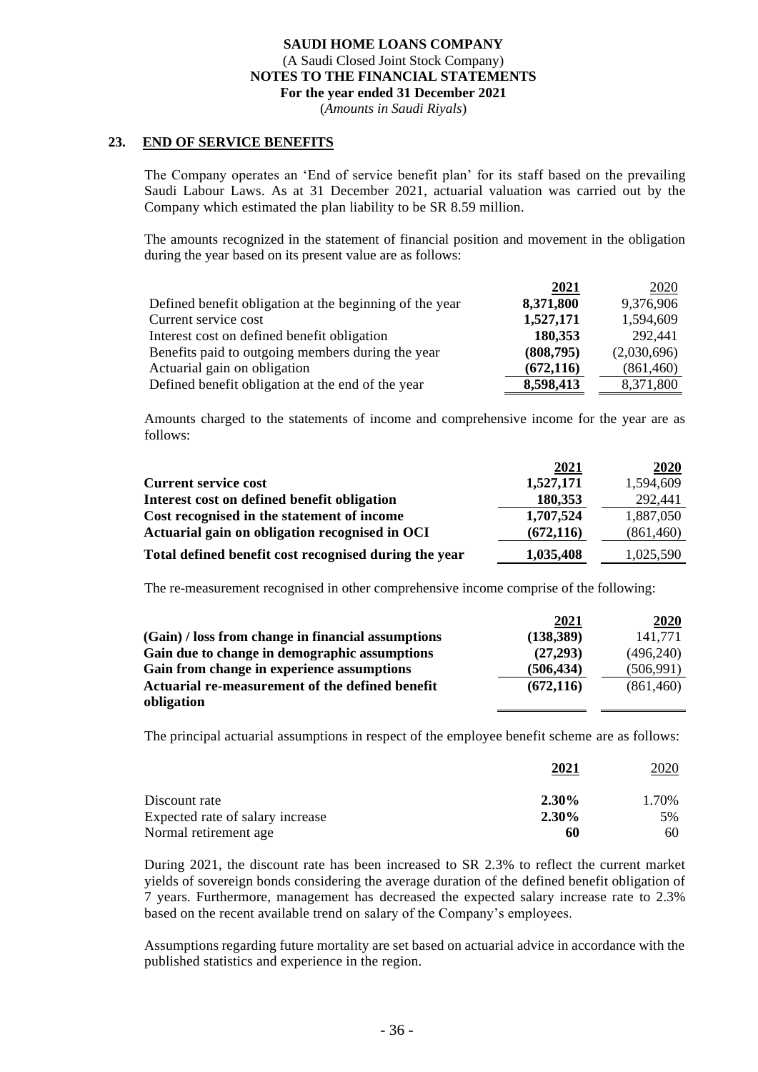(*Amounts in Saudi Riyals*)

#### **23. END OF SERVICE BENEFITS**

The Company operates an 'End of service benefit plan' for its staff based on the prevailing Saudi Labour Laws. As at 31 December 2021, actuarial valuation was carried out by the Company which estimated the plan liability to be SR 8.59 million.

The amounts recognized in the statement of financial position and movement in the obligation during the year based on its present value are as follows:

|                                                         | 2021       | 2020        |
|---------------------------------------------------------|------------|-------------|
| Defined benefit obligation at the beginning of the year | 8,371,800  | 9,376,906   |
| Current service cost                                    | 1,527,171  | 1,594,609   |
| Interest cost on defined benefit obligation             | 180,353    | 292,441     |
| Benefits paid to outgoing members during the year       | (808,795)  | (2,030,696) |
| Actuarial gain on obligation                            | (672, 116) | (861, 460)  |
| Defined benefit obligation at the end of the year       | 8,598,413  | 8,371,800   |

Amounts charged to the statements of income and comprehensive income for the year are as follows:

|                                                       | 2021       | 2020       |
|-------------------------------------------------------|------------|------------|
| <b>Current service cost</b>                           | 1,527,171  | 1,594,609  |
| Interest cost on defined benefit obligation           | 180,353    | 292,441    |
| Cost recognised in the statement of income            | 1,707,524  | 1,887,050  |
| Actuarial gain on obligation recognised in OCI        | (672, 116) | (861, 460) |
| Total defined benefit cost recognised during the year | 1,035,408  | 1,025,590  |

The re-measurement recognised in other comprehensive income comprise of the following:

|                                                    | 2021       | 2020       |
|----------------------------------------------------|------------|------------|
| (Gain) / loss from change in financial assumptions | (138, 389) | 141.771    |
| Gain due to change in demographic assumptions      | (27, 293)  | (496,240)  |
| Gain from change in experience assumptions         | (506, 434) | (506, 991) |
| Actuarial re-measurement of the defined benefit    | (672, 116) | (861, 460) |
| obligation                                         |            |            |

The principal actuarial assumptions in respect of the employee benefit scheme are as follows:

|                                  | 2021     | 2020  |
|----------------------------------|----------|-------|
| Discount rate                    | $2.30\%$ | 1.70% |
| Expected rate of salary increase | 2.30%    | 5%    |
| Normal retirement age            | 60       | 60    |

During 2021, the discount rate has been increased to SR 2.3% to reflect the current market yields of sovereign bonds considering the average duration of the defined benefit obligation of 7 years. Furthermore, management has decreased the expected salary increase rate to 2.3% based on the recent available trend on salary of the Company's employees.

Assumptions regarding future mortality are set based on actuarial advice in accordance with the published statistics and experience in the region.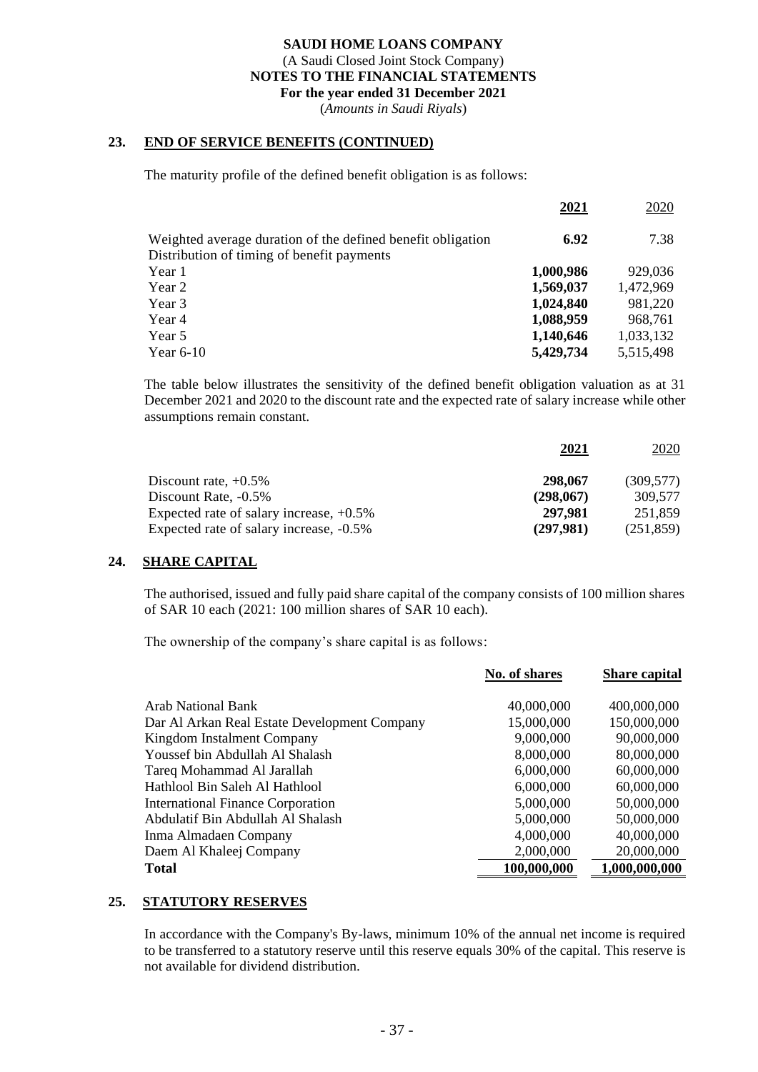(*Amounts in Saudi Riyals*)

## **23. END OF SERVICE BENEFITS (CONTINUED)**

The maturity profile of the defined benefit obligation is as follows:

|                                                                                                           | 2021      | 2020      |
|-----------------------------------------------------------------------------------------------------------|-----------|-----------|
| Weighted average duration of the defined benefit obligation<br>Distribution of timing of benefit payments | 6.92      | 7.38      |
| Year 1                                                                                                    | 1,000,986 | 929,036   |
| Year 2                                                                                                    | 1,569,037 | 1,472,969 |
| Year 3                                                                                                    | 1,024,840 | 981,220   |
| Year 4                                                                                                    | 1,088,959 | 968,761   |
| Year 5                                                                                                    | 1,140,646 | 1,033,132 |
| Year $6-10$                                                                                               | 5,429,734 | 5,515,498 |
|                                                                                                           |           |           |

The table below illustrates the sensitivity of the defined benefit obligation valuation as at 31 December 2021 and 2020 to the discount rate and the expected rate of salary increase while other assumptions remain constant.

| 2021      | 2020       |
|-----------|------------|
| 298,067   | (309.577)  |
| (298,067) | 309.577    |
| 297,981   | 251,859    |
| (297,981) | (251, 859) |
|           |            |

## **24. SHARE CAPITAL**

The authorised, issued and fully paid share capital of the company consists of 100 million shares of SAR 10 each (2021: 100 million shares of SAR 10 each).

The ownership of the company's share capital is as follows:

|                                              | No. of shares | <b>Share capital</b> |
|----------------------------------------------|---------------|----------------------|
| Arab National Bank                           | 40,000,000    | 400,000,000          |
| Dar Al Arkan Real Estate Development Company | 15,000,000    | 150,000,000          |
| Kingdom Instalment Company                   | 9,000,000     | 90,000,000           |
| Youssef bin Abdullah Al Shalash              | 8,000,000     | 80,000,000           |
| Tareq Mohammad Al Jarallah                   | 6,000,000     | 60,000,000           |
| Hathlool Bin Saleh Al Hathlool               | 6,000,000     | 60,000,000           |
| <b>International Finance Corporation</b>     | 5,000,000     | 50,000,000           |
| Abdulatif Bin Abdullah Al Shalash            | 5,000,000     | 50,000,000           |
| Inma Almadaen Company                        | 4,000,000     | 40,000,000           |
| Daem Al Khaleej Company                      | 2,000,000     | 20,000,000           |
| <b>Total</b>                                 | 100,000,000   | 1,000,000,000        |

## **25. STATUTORY RESERVES**

In accordance with the Company's By-laws, minimum 10% of the annual net income is required to be transferred to a statutory reserve until this reserve equals 30% of the capital. This reserve is not available for dividend distribution.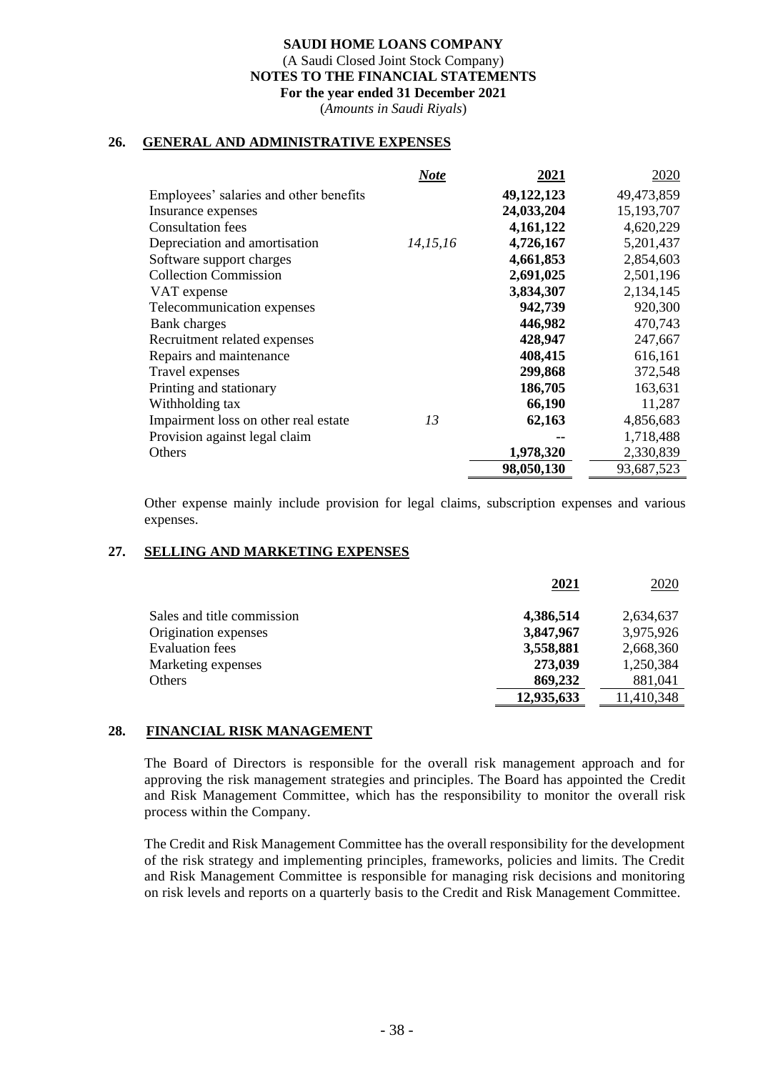(*Amounts in Saudi Riyals*)

#### **26. GENERAL AND ADMINISTRATIVE EXPENSES**

|                                        | <b>Note</b> | 2021       | 2020       |
|----------------------------------------|-------------|------------|------------|
| Employees' salaries and other benefits |             | 49,122,123 | 49,473,859 |
| Insurance expenses                     |             | 24,033,204 | 15,193,707 |
| <b>Consultation</b> fees               |             | 4,161,122  | 4,620,229  |
| Depreciation and amortisation          | 14, 15, 16  | 4,726,167  | 5,201,437  |
| Software support charges               |             | 4,661,853  | 2,854,603  |
| <b>Collection Commission</b>           |             | 2,691,025  | 2,501,196  |
| VAT expense                            |             | 3,834,307  | 2,134,145  |
| Telecommunication expenses             |             | 942,739    | 920,300    |
| Bank charges                           |             | 446,982    | 470,743    |
| Recruitment related expenses           |             | 428,947    | 247,667    |
| Repairs and maintenance                |             | 408,415    | 616,161    |
| Travel expenses                        |             | 299,868    | 372,548    |
| Printing and stationary                |             | 186,705    | 163,631    |
| Withholding tax                        |             | 66,190     | 11,287     |
| Impairment loss on other real estate   | 13          | 62,163     | 4,856,683  |
| Provision against legal claim          |             |            | 1,718,488  |
| Others                                 |             | 1,978,320  | 2,330,839  |
|                                        |             | 98,050,130 | 93,687,523 |

Other expense mainly include provision for legal claims, subscription expenses and various expenses.

## **27. SELLING AND MARKETING EXPENSES**

|                            | 2021       | <u>2020</u> |
|----------------------------|------------|-------------|
| Sales and title commission | 4,386,514  | 2,634,637   |
| Origination expenses       | 3,847,967  | 3,975,926   |
| <b>Evaluation fees</b>     | 3,558,881  | 2,668,360   |
| Marketing expenses         | 273,039    | 1,250,384   |
| Others                     | 869,232    | 881,041     |
|                            | 12,935,633 | 11,410,348  |

#### **28. FINANCIAL RISK MANAGEMENT**

The Board of Directors is responsible for the overall risk management approach and for approving the risk management strategies and principles. The Board has appointed the Credit and Risk Management Committee, which has the responsibility to monitor the overall risk process within the Company.

The Credit and Risk Management Committee has the overall responsibility for the development of the risk strategy and implementing principles, frameworks, policies and limits. The Credit and Risk Management Committee is responsible for managing risk decisions and monitoring on risk levels and reports on a quarterly basis to the Credit and Risk Management Committee.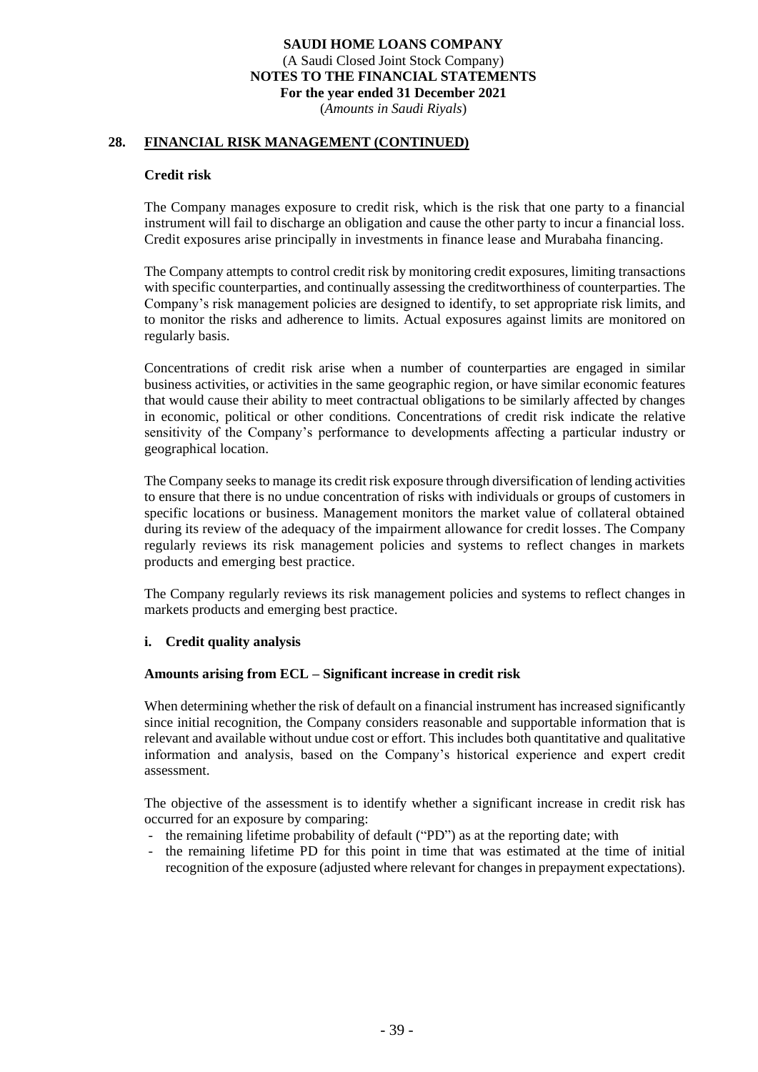(*Amounts in Saudi Riyals*)

## **28. FINANCIAL RISK MANAGEMENT (CONTINUED)**

#### **Credit risk**

The Company manages exposure to credit risk, which is the risk that one party to a financial instrument will fail to discharge an obligation and cause the other party to incur a financial loss. Credit exposures arise principally in investments in finance lease and Murabaha financing.

The Company attempts to control credit risk by monitoring credit exposures, limiting transactions with specific counterparties, and continually assessing the creditworthiness of counterparties. The Company's risk management policies are designed to identify, to set appropriate risk limits, and to monitor the risks and adherence to limits. Actual exposures against limits are monitored on regularly basis.

Concentrations of credit risk arise when a number of counterparties are engaged in similar business activities, or activities in the same geographic region, or have similar economic features that would cause their ability to meet contractual obligations to be similarly affected by changes in economic, political or other conditions. Concentrations of credit risk indicate the relative sensitivity of the Company's performance to developments affecting a particular industry or geographical location.

The Company seeks to manage its credit risk exposure through diversification of lending activities to ensure that there is no undue concentration of risks with individuals or groups of customers in specific locations or business. Management monitors the market value of collateral obtained during its review of the adequacy of the impairment allowance for credit losses. The Company regularly reviews its risk management policies and systems to reflect changes in markets products and emerging best practice.

The Company regularly reviews its risk management policies and systems to reflect changes in markets products and emerging best practice.

#### **i. Credit quality analysis**

#### **Amounts arising from ECL – Significant increase in credit risk**

When determining whether the risk of default on a financial instrument has increased significantly since initial recognition, the Company considers reasonable and supportable information that is relevant and available without undue cost or effort. This includes both quantitative and qualitative information and analysis, based on the Company's historical experience and expert credit assessment.

The objective of the assessment is to identify whether a significant increase in credit risk has occurred for an exposure by comparing:

- the remaining lifetime probability of default ("PD") as at the reporting date; with
- the remaining lifetime PD for this point in time that was estimated at the time of initial recognition of the exposure (adjusted where relevant for changes in prepayment expectations).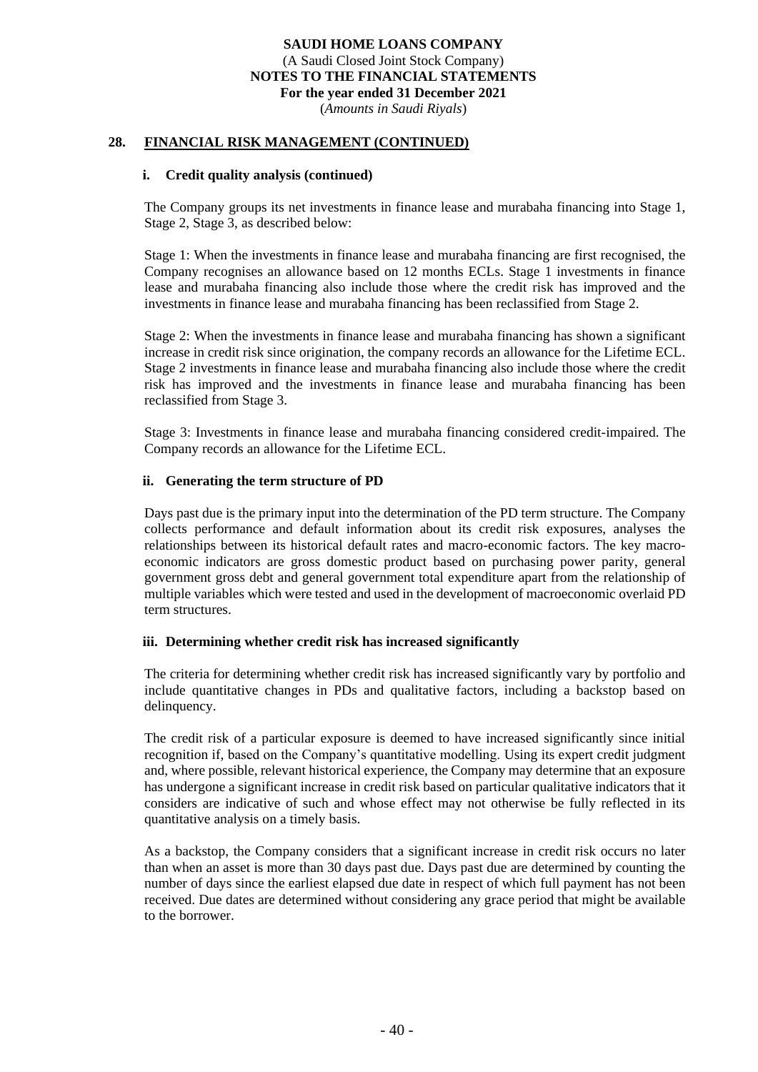(*Amounts in Saudi Riyals*)

#### **28. FINANCIAL RISK MANAGEMENT (CONTINUED)**

#### **i. Credit quality analysis (continued)**

The Company groups its net investments in finance lease and murabaha financing into Stage 1, Stage 2, Stage 3, as described below:

Stage 1: When the investments in finance lease and murabaha financing are first recognised, the Company recognises an allowance based on 12 months ECLs. Stage 1 investments in finance lease and murabaha financing also include those where the credit risk has improved and the investments in finance lease and murabaha financing has been reclassified from Stage 2.

Stage 2: When the investments in finance lease and murabaha financing has shown a significant increase in credit risk since origination, the company records an allowance for the Lifetime ECL. Stage 2 investments in finance lease and murabaha financing also include those where the credit risk has improved and the investments in finance lease and murabaha financing has been reclassified from Stage 3.

Stage 3: Investments in finance lease and murabaha financing considered credit-impaired. The Company records an allowance for the Lifetime ECL.

#### **ii. Generating the term structure of PD**

Days past due is the primary input into the determination of the PD term structure. The Company collects performance and default information about its credit risk exposures, analyses the relationships between its historical default rates and macro-economic factors. The key macroeconomic indicators are gross domestic product based on purchasing power parity, general government gross debt and general government total expenditure apart from the relationship of multiple variables which were tested and used in the development of macroeconomic overlaid PD term structures.

#### **iii. Determining whether credit risk has increased significantly**

The criteria for determining whether credit risk has increased significantly vary by portfolio and include quantitative changes in PDs and qualitative factors, including a backstop based on delinquency.

The credit risk of a particular exposure is deemed to have increased significantly since initial recognition if, based on the Company's quantitative modelling. Using its expert credit judgment and, where possible, relevant historical experience, the Company may determine that an exposure has undergone a significant increase in credit risk based on particular qualitative indicators that it considers are indicative of such and whose effect may not otherwise be fully reflected in its quantitative analysis on a timely basis.

As a backstop, the Company considers that a significant increase in credit risk occurs no later than when an asset is more than 30 days past due. Days past due are determined by counting the number of days since the earliest elapsed due date in respect of which full payment has not been received. Due dates are determined without considering any grace period that might be available to the borrower.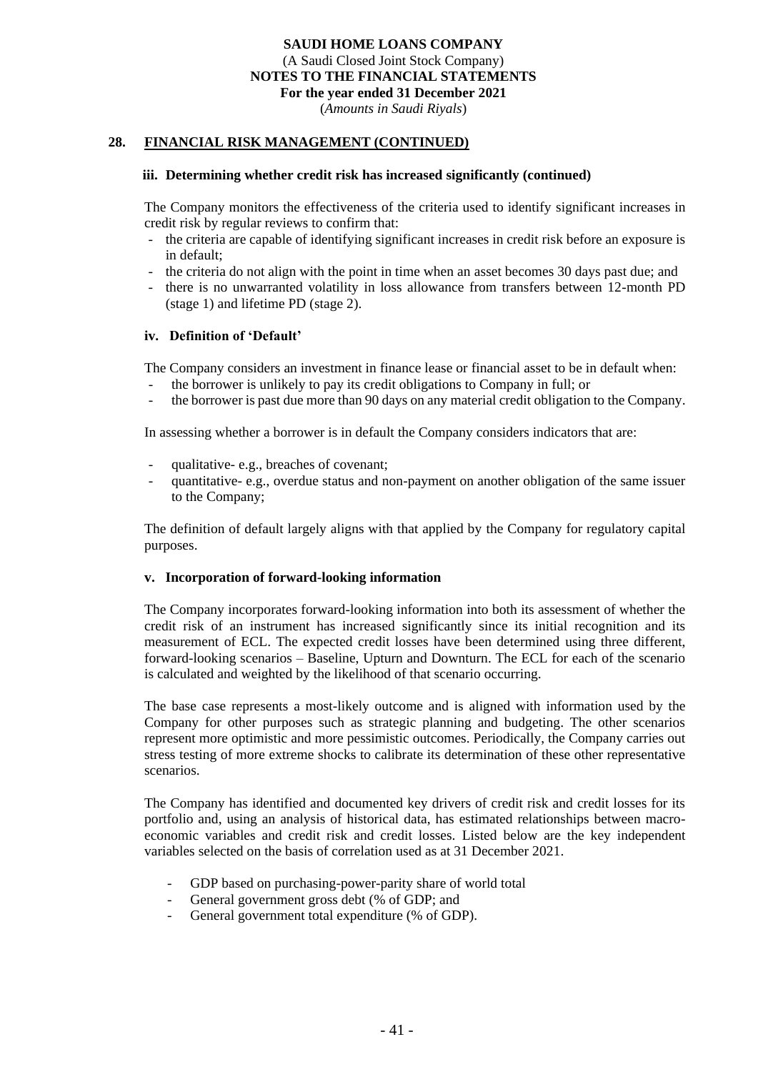(*Amounts in Saudi Riyals*)

## **28. FINANCIAL RISK MANAGEMENT (CONTINUED)**

#### **iii. Determining whether credit risk has increased significantly (continued)**

The Company monitors the effectiveness of the criteria used to identify significant increases in credit risk by regular reviews to confirm that:

- the criteria are capable of identifying significant increases in credit risk before an exposure is in default;
- the criteria do not align with the point in time when an asset becomes 30 days past due; and
- there is no unwarranted volatility in loss allowance from transfers between 12-month PD (stage 1) and lifetime PD (stage 2).

#### **iv. Definition of 'Default'**

The Company considers an investment in finance lease or financial asset to be in default when:

- the borrower is unlikely to pay its credit obligations to Company in full; or
- the borrower is past due more than 90 days on any material credit obligation to the Company.

In assessing whether a borrower is in default the Company considers indicators that are:

- qualitative- e.g., breaches of covenant;
- quantitative- e.g., overdue status and non-payment on another obligation of the same issuer to the Company;

The definition of default largely aligns with that applied by the Company for regulatory capital purposes.

#### **v. Incorporation of forward-looking information**

The Company incorporates forward-looking information into both its assessment of whether the credit risk of an instrument has increased significantly since its initial recognition and its measurement of ECL. The expected credit losses have been determined using three different, forward-looking scenarios – Baseline, Upturn and Downturn. The ECL for each of the scenario is calculated and weighted by the likelihood of that scenario occurring.

The base case represents a most-likely outcome and is aligned with information used by the Company for other purposes such as strategic planning and budgeting. The other scenarios represent more optimistic and more pessimistic outcomes. Periodically, the Company carries out stress testing of more extreme shocks to calibrate its determination of these other representative scenarios.

The Company has identified and documented key drivers of credit risk and credit losses for its portfolio and, using an analysis of historical data, has estimated relationships between macroeconomic variables and credit risk and credit losses. Listed below are the key independent variables selected on the basis of correlation used as at 31 December 2021.

- GDP based on purchasing-power-parity share of world total
- General government gross debt (% of GDP; and
- General government total expenditure (% of GDP).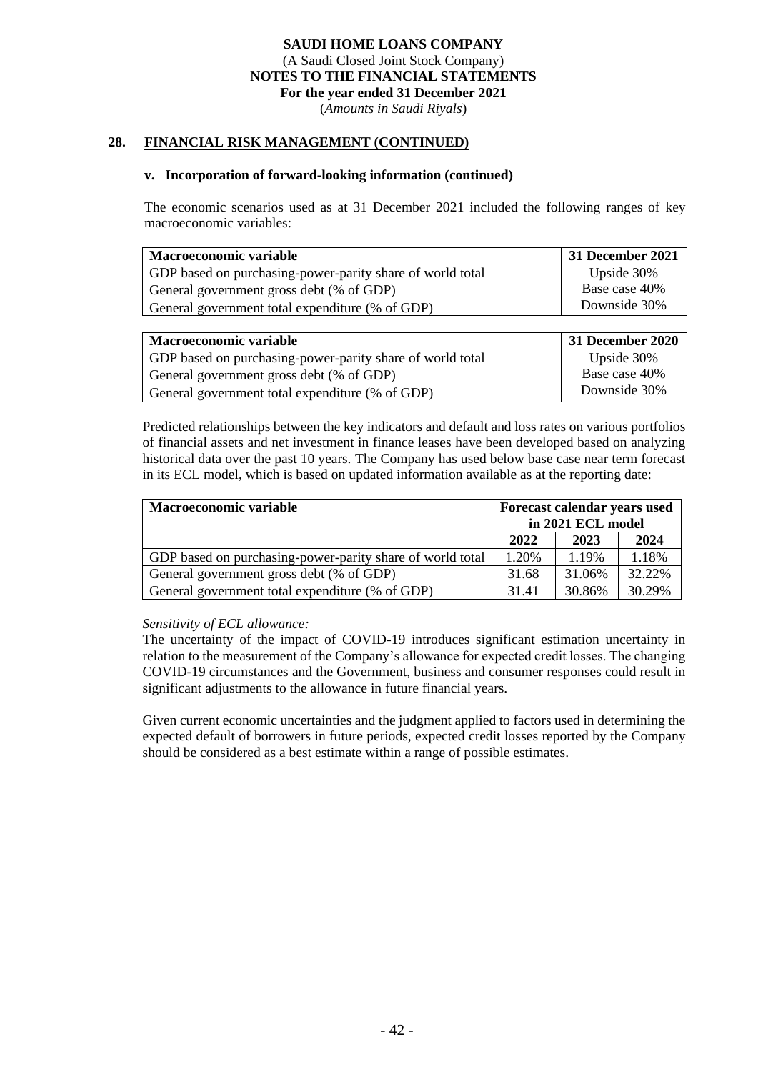(*Amounts in Saudi Riyals*)

## **28. FINANCIAL RISK MANAGEMENT (CONTINUED)**

#### **v. Incorporation of forward-looking information (continued)**

The economic scenarios used as at 31 December 2021 included the following ranges of key macroeconomic variables:

| Macroeconomic variable                                    | 31 December 2021 |
|-----------------------------------------------------------|------------------|
| GDP based on purchasing-power-parity share of world total | Upside 30%       |
| General government gross debt (% of GDP)                  | Base case 40%    |
| General government total expenditure (% of GDP)           | Downside 30%     |

| <b>Macroeconomic variable</b>                             | 31 December 2020 |
|-----------------------------------------------------------|------------------|
| GDP based on purchasing-power-parity share of world total | Upside 30%       |
| General government gross debt (% of GDP)                  | Base case 40%    |
| General government total expenditure (% of GDP)           | Downside 30%     |

Predicted relationships between the key indicators and default and loss rates on various portfolios of financial assets and net investment in finance leases have been developed based on analyzing historical data over the past 10 years. The Company has used below base case near term forecast in its ECL model, which is based on updated information available as at the reporting date:

| <b>Macroeconomic variable</b>                             | Forecast calendar years used<br>in 2021 ECL model |        |        |
|-----------------------------------------------------------|---------------------------------------------------|--------|--------|
|                                                           | 2022                                              | 2023   | 2024   |
| GDP based on purchasing-power-parity share of world total | 1.20%                                             | 1.19%  | 1.18%  |
| General government gross debt (% of GDP)                  | 31.68                                             | 31.06% | 32.22% |
| General government total expenditure (% of GDP)           | 31.41                                             | 30.86% | 30.29% |

#### *Sensitivity of ECL allowance:*

The uncertainty of the impact of COVID-19 introduces significant estimation uncertainty in relation to the measurement of the Company's allowance for expected credit losses. The changing COVID-19 circumstances and the Government, business and consumer responses could result in significant adjustments to the allowance in future financial years.

Given current economic uncertainties and the judgment applied to factors used in determining the expected default of borrowers in future periods, expected credit losses reported by the Company should be considered as a best estimate within a range of possible estimates.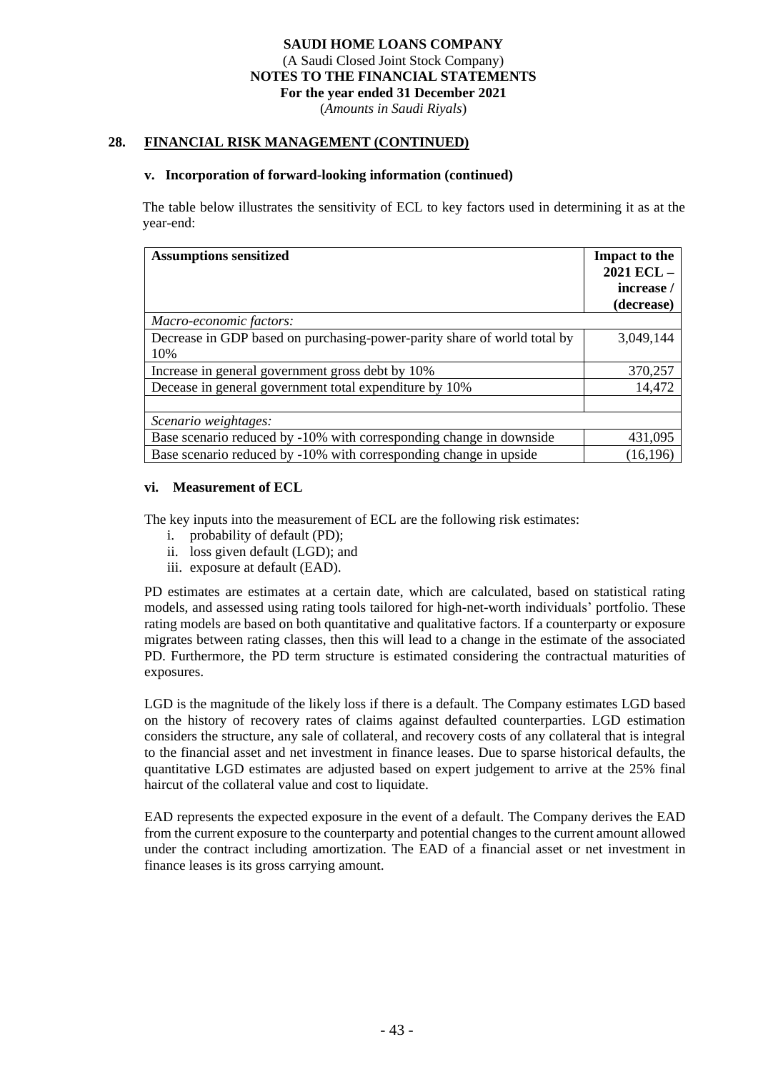(*Amounts in Saudi Riyals*)

#### **28. FINANCIAL RISK MANAGEMENT (CONTINUED)**

#### **v. Incorporation of forward-looking information (continued)**

The table below illustrates the sensitivity of ECL to key factors used in determining it as at the year-end:

| <b>Assumptions sensitized</b><br>Macro-economic factors:                        | <b>Impact to the</b><br>2021 ECL-<br>increase /<br>(decrease) |
|---------------------------------------------------------------------------------|---------------------------------------------------------------|
| Decrease in GDP based on purchasing-power-parity share of world total by<br>10% | 3,049,144                                                     |
| Increase in general government gross debt by 10%                                | 370,257                                                       |
| Decease in general government total expenditure by 10%                          | 14,472                                                        |
|                                                                                 |                                                               |
| Scenario weightages:                                                            |                                                               |
| Base scenario reduced by -10% with corresponding change in downside             | 431,095                                                       |
| Base scenario reduced by -10% with corresponding change in upside               | (16, 196)                                                     |

#### **vi. Measurement of ECL**

The key inputs into the measurement of ECL are the following risk estimates:

- i. probability of default (PD);
- ii. loss given default (LGD); and
- iii. exposure at default (EAD).

PD estimates are estimates at a certain date, which are calculated, based on statistical rating models, and assessed using rating tools tailored for high-net-worth individuals' portfolio. These rating models are based on both quantitative and qualitative factors. If a counterparty or exposure migrates between rating classes, then this will lead to a change in the estimate of the associated PD. Furthermore, the PD term structure is estimated considering the contractual maturities of exposures.

LGD is the magnitude of the likely loss if there is a default. The Company estimates LGD based on the history of recovery rates of claims against defaulted counterparties. LGD estimation considers the structure, any sale of collateral, and recovery costs of any collateral that is integral to the financial asset and net investment in finance leases. Due to sparse historical defaults, the quantitative LGD estimates are adjusted based on expert judgement to arrive at the 25% final haircut of the collateral value and cost to liquidate.

EAD represents the expected exposure in the event of a default. The Company derives the EAD from the current exposure to the counterparty and potential changes to the current amount allowed under the contract including amortization. The EAD of a financial asset or net investment in finance leases is its gross carrying amount.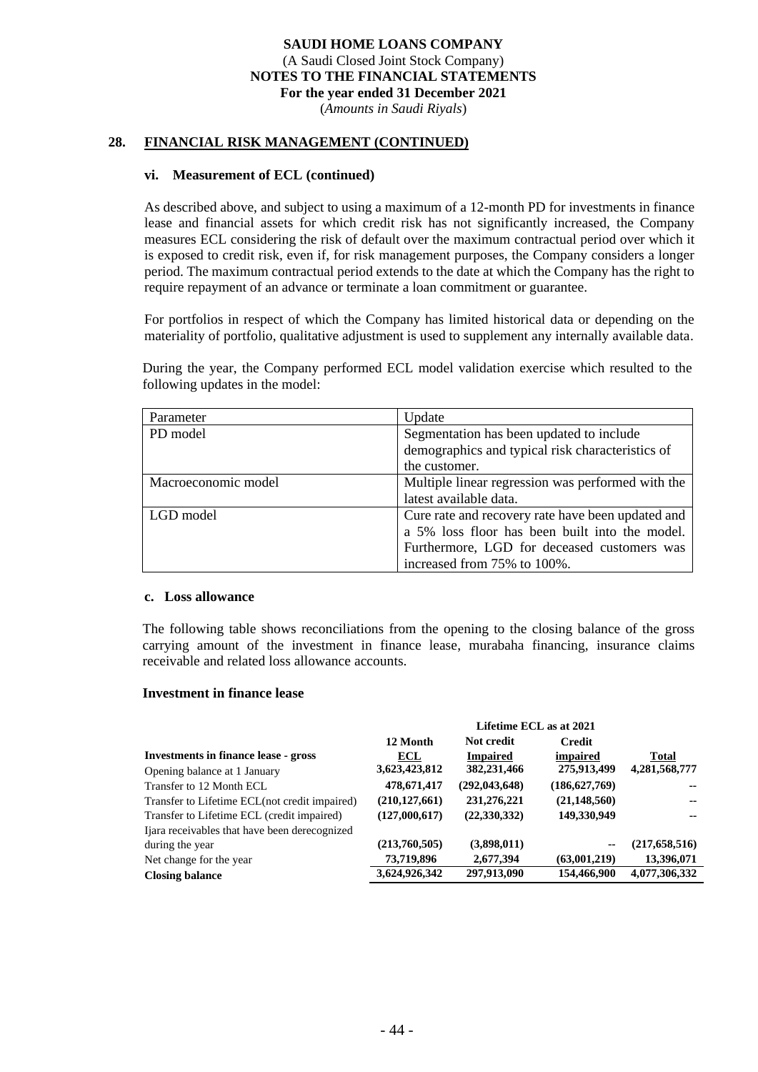(*Amounts in Saudi Riyals*)

#### **28. FINANCIAL RISK MANAGEMENT (CONTINUED)**

#### **vi. Measurement of ECL (continued)**

As described above, and subject to using a maximum of a 12-month PD for investments in finance lease and financial assets for which credit risk has not significantly increased, the Company measures ECL considering the risk of default over the maximum contractual period over which it is exposed to credit risk, even if, for risk management purposes, the Company considers a longer period. The maximum contractual period extends to the date at which the Company has the right to require repayment of an advance or terminate a loan commitment or guarantee.

For portfolios in respect of which the Company has limited historical data or depending on the materiality of portfolio, qualitative adjustment is used to supplement any internally available data.

During the year, the Company performed ECL model validation exercise which resulted to the following updates in the model:

| Parameter           | Update                                            |
|---------------------|---------------------------------------------------|
| PD model            | Segmentation has been updated to include          |
|                     | demographics and typical risk characteristics of  |
|                     | the customer.                                     |
| Macroeconomic model | Multiple linear regression was performed with the |
|                     | latest available data.                            |
| LGD model           | Cure rate and recovery rate have been updated and |
|                     | a 5% loss floor has been built into the model.    |
|                     | Furthermore, LGD for deceased customers was       |
|                     | increased from 75% to 100%.                       |

#### **c. Loss allowance**

The following table shows reconciliations from the opening to the closing balance of the gross carrying amount of the investment in finance lease, murabaha financing, insurance claims receivable and related loss allowance accounts.

#### **Investment in finance lease**

|                                                | Lifetime ECL as at 2021 |                 |                 |                 |
|------------------------------------------------|-------------------------|-----------------|-----------------|-----------------|
|                                                | 12 Month                | Not credit      | <b>Credit</b>   |                 |
| <b>Investments in finance lease - gross</b>    | ECL                     | <b>Impaired</b> | impaired        | Total           |
| Opening balance at 1 January                   | 3,623,423,812           | 382,231,466     | 275,913,499     | 4,281,568,777   |
| Transfer to 12 Month ECL                       | 478,671,417             | (292, 043, 648) | (186, 627, 769) | --              |
| Transfer to Lifetime ECL (not credit impaired) | (210, 127, 661)         | 231,276,221     | (21, 148, 560)  | --              |
| Transfer to Lifetime ECL (credit impaired)     | (127,000,617)           | (22, 330, 332)  | 149,330,949     | --              |
| I ara receivables that have been derecognized  |                         |                 |                 |                 |
| during the year                                | (213,760,505)           | (3,898,011)     | $\sim$ $-$      | (217, 658, 516) |
| Net change for the year                        | 73,719,896              | 2,677,394       | (63,001,219)    | 13,396,071      |
| <b>Closing balance</b>                         | 3,624,926,342           | 297,913,090     | 154,466,900     | 4,077,306,332   |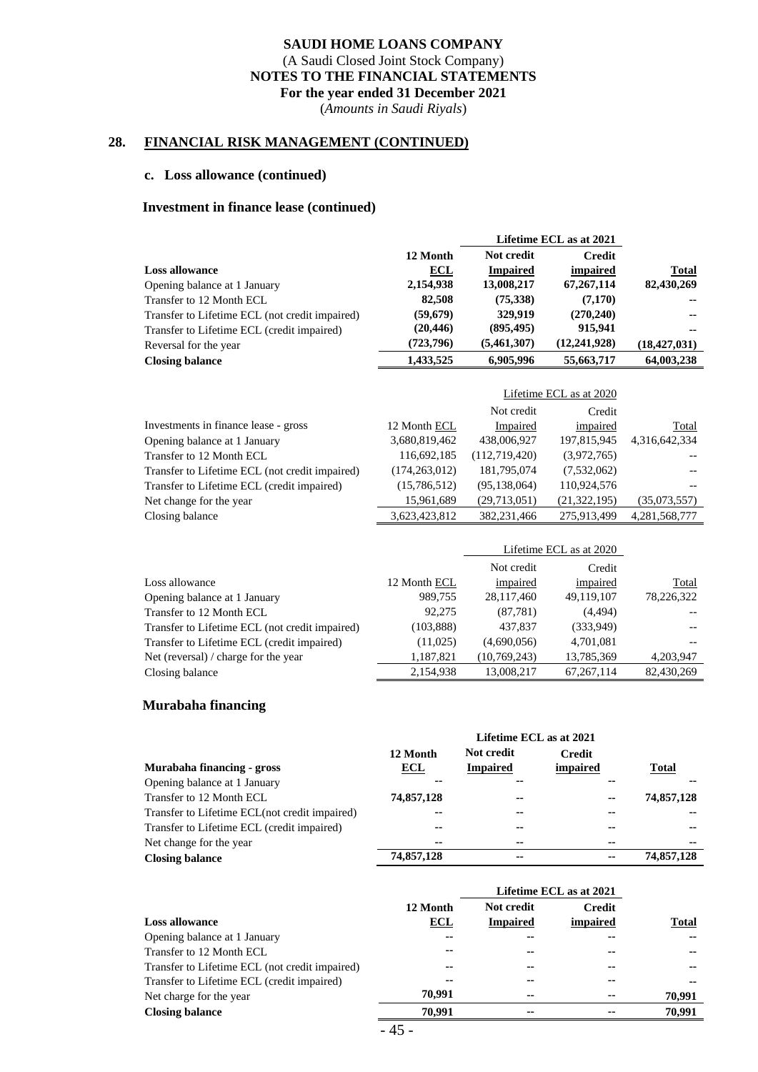(*Amounts in Saudi Riyals*)

#### **28. FINANCIAL RISK MANAGEMENT (CONTINUED)**

#### **c. Loss allowance (continued)**

#### **Investment in finance lease (continued)**

|                                                |                 |                 | Lifetime ECL as at 2021 |                |
|------------------------------------------------|-----------------|-----------------|-------------------------|----------------|
|                                                | 12 Month        | Not credit      | <b>Credit</b>           |                |
| <b>Loss allowance</b>                          | ECL             | <b>Impaired</b> | impaired                | <b>Total</b>   |
| Opening balance at 1 January                   | 2,154,938       | 13,008,217      | 67,267,114              | 82,430,269     |
| Transfer to 12 Month ECL                       | 82,508          | (75,338)        | (7,170)                 |                |
| Transfer to Lifetime ECL (not credit impaired) | (59, 679)       | 329,919         | (270, 240)              |                |
| Transfer to Lifetime ECL (credit impaired)     | (20, 446)       | (895, 495)      | 915,941                 |                |
| Reversal for the year                          | (723, 796)      | (5,461,307)     | (12, 241, 928)          | (18, 427, 031) |
| <b>Closing balance</b>                         | 1,433,525       | 6,905,996       | 55,663,717              | 64,003,238     |
|                                                |                 |                 |                         |                |
|                                                |                 |                 | Lifetime ECL as at 2020 |                |
|                                                |                 | Not credit      | Credit                  |                |
| Investments in finance lease - gross           | 12 Month ECL    | Impaired        | impaired                | Total          |
| Opening balance at 1 January                   | 3,680,819,462   | 438,006,927     | 197,815,945             | 4,316,642,334  |
| Transfer to 12 Month ECL                       | 116,692,185     | (112, 719, 420) | (3,972,765)             |                |
| Transfer to Lifetime ECL (not credit impaired) | (174, 263, 012) | 181,795,074     | (7,532,062)             |                |
| Transfer to Lifetime ECL (credit impaired)     | (15,786,512)    | (95, 138, 064)  | 110,924,576             |                |
| Net change for the year                        | 15,961,689      | (29,713,051)    | (21, 322, 195)          | (35,073,557)   |
| Closing balance                                | 3,623,423,812   | 382,231,466     | 275,913,499             | 4,281,568,777  |
|                                                |                 |                 |                         |                |
|                                                |                 |                 | Lifetime ECL as at 2020 |                |
|                                                |                 | Not credit      | Credit                  |                |
| Loss allowance                                 | 12 Month ECL    | impaired        | impaired                | Total          |
| Opening balance at 1 January                   | 989,755         | 28,117,460      | 49,119,107              | 78,226,322     |
| Transfer to 12 Month ECL                       | 92,275          | (87,781)        | (4,494)                 |                |
| Transfer to Lifetime ECL (not credit impaired) | (103, 888)      | 437,837         | (333,949)               |                |
| Transfer to Lifetime ECL (credit impaired)     | (11,025)        | (4,690,056)     | 4,701,081               |                |
| Net (reversal) / charge for the year           | 1,187,821       | (10, 769, 243)  | 13,785,369              | 4,203,947      |
| Closing balance                                | 2,154,938       | 13,008,217      | 67, 267, 114            | 82,430,269     |

## **Murabaha financing**

|                                                | Lifetime ECL as at 2021 |                               |                           |              |
|------------------------------------------------|-------------------------|-------------------------------|---------------------------|--------------|
| Murabaha financing - gross                     | 12 Month<br>ECL         | Not credit<br><b>Impaired</b> | <b>Credit</b><br>impaired | <b>Total</b> |
| Opening balance at 1 January                   | --                      | --                            | --                        | --           |
| Transfer to 12 Month ECL                       | 74,857,128              | --                            | $\sim$                    | 74,857,128   |
| Transfer to Lifetime ECL (not credit impaired) | --                      | --                            | $\sim$                    | --           |
| Transfer to Lifetime ECL (credit impaired)     | --                      | --                            | --                        | --           |
| Net change for the year.                       | --                      | $\sim$                        | --                        | --           |
| <b>Closing balance</b>                         | 74,857,128              | --                            | --                        | 74,857,128   |

|                                                |          |                 | Lifetime ECL as at 2021 |        |
|------------------------------------------------|----------|-----------------|-------------------------|--------|
|                                                | 12 Month | Not credit      | <b>Credit</b>           |        |
| <b>Loss allowance</b>                          | ECL      | <b>Impaired</b> | impaired                | Total  |
| Opening balance at 1 January                   | --       | --              | --                      | --     |
| Transfer to 12 Month ECL                       | --       |                 | --                      | --     |
| Transfer to Lifetime ECL (not credit impaired) | --       | --              | --                      | --     |
| Transfer to Lifetime ECL (credit impaired)     | --       | --              | --                      | --     |
| Net charge for the year                        | 70.991   | --              | --                      | 70.991 |
| <b>Closing balance</b>                         | 70.991   | $\sim$          | --                      | 70.991 |
|                                                |          |                 |                         |        |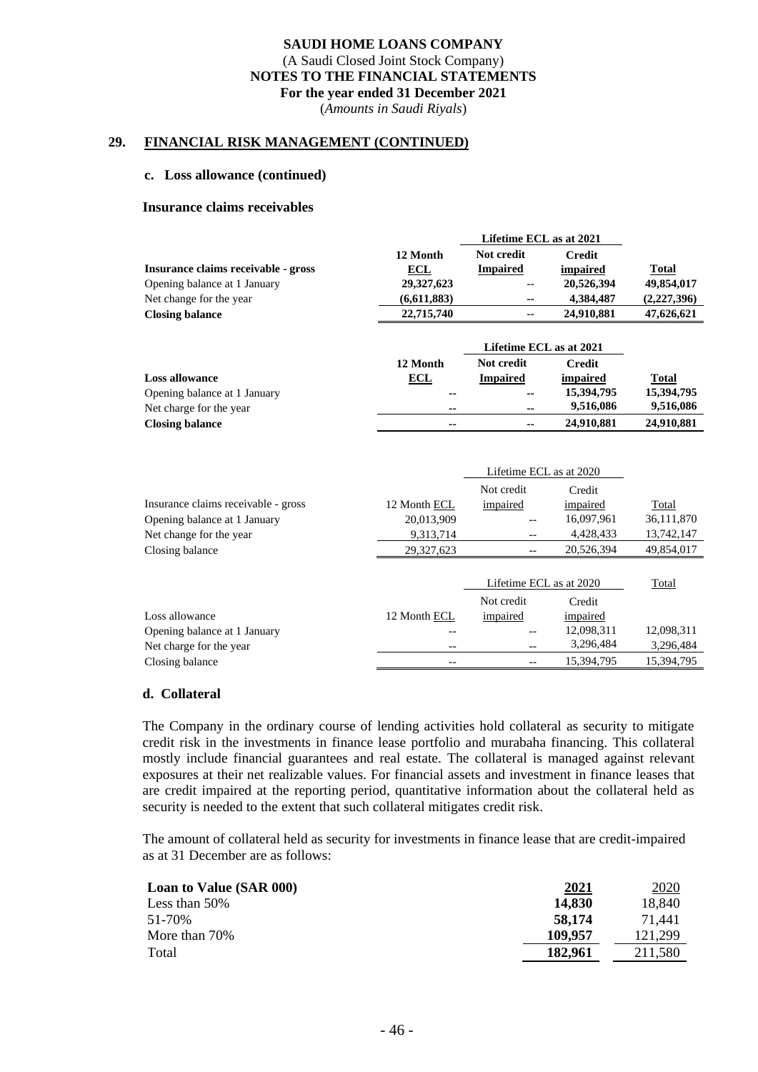(*Amounts in Saudi Riyals*)

## **29. FINANCIAL RISK MANAGEMENT (CONTINUED)**

#### **c. Loss allowance (continued)**

#### **Insurance claims receivables**

|                                     |             | Lifetime ECL as at 2021 |            |             |  |
|-------------------------------------|-------------|-------------------------|------------|-------------|--|
|                                     | 12 Month    | Not credit              | Credit     |             |  |
| Insurance claims receivable - gross | ECL         | <b>Impaired</b>         | impaired   | Total       |  |
| Opening balance at 1 January        | 29,327,623  | $- -$                   | 20,526,394 | 49,854,017  |  |
| Net change for the year             | (6,611,883) | $\sim$ $\sim$           | 4,384,487  | (2,227,396) |  |
| <b>Closing balance</b>              | 22,715,740  | $-\, -$                 | 24,910,881 | 47,626,621  |  |
|                                     |             |                         |            |             |  |

|                              |               | Lifetime ECL as at 2021 |            |              |
|------------------------------|---------------|-------------------------|------------|--------------|
|                              | 12 Month      | Not credit              | Credit     |              |
| <b>Loss allowance</b>        | ECL           | <b>Impaired</b>         | impaired   | <u>Total</u> |
| Opening balance at 1 January | $\sim$        | $\sim$                  | 15,394,795 | 15,394,795   |
| Net charge for the year      | $\sim$ $\sim$ | --                      | 9.516.086  | 9,516,086    |
| <b>Closing balance</b>       | $\sim$ $\sim$ | $\sim$                  | 24,910,881 | 24,910,881   |

|                                     |              | Lifetime ECL as at 2020 |            |            |
|-------------------------------------|--------------|-------------------------|------------|------------|
|                                     |              | Not credit              | Credit     |            |
| Insurance claims receivable - gross | 12 Month ECL | impaired                | impaired   | Total      |
| Opening balance at 1 January        | 20,013,909   |                         | 16,097,961 | 36,111,870 |
| Net change for the year.            | 9,313,714    | --                      | 4,428,433  | 13,742,147 |
| Closing balance                     | 29,327,623   |                         | 20,526,394 | 49,854,017 |
|                                     |              |                         |            |            |
|                                     |              | Lifetime ECL as at 2020 |            | Total      |
|                                     |              | Not credit              | Credit     |            |
| Loss allowance                      | 12 Month ECL | impaired                | impaired   |            |
| Opening balance at 1 January        |              |                         | 12,098,311 | 12,098,311 |
| Net charge for the year             | $- -$        | $- -$                   | 3,296,484  | 3,296,484  |
| Closing balance                     |              |                         | 15.394.795 | 15.394.795 |

#### **d. Collateral**

The Company in the ordinary course of lending activities hold collateral as security to mitigate credit risk in the investments in finance lease portfolio and murabaha financing. This collateral mostly include financial guarantees and real estate. The collateral is managed against relevant exposures at their net realizable values. For financial assets and investment in finance leases that are credit impaired at the reporting period, quantitative information about the collateral held as security is needed to the extent that such collateral mitigates credit risk.

The amount of collateral held as security for investments in finance lease that are credit-impaired as at 31 December are as follows:

| <b>Loan to Value (SAR 000)</b> | 2021    | <u>2020</u> |
|--------------------------------|---------|-------------|
| Less than $50\%$               | 14,830  | 18.840      |
| 51-70%                         | 58,174  | 71.441      |
| More than 70%                  | 109,957 | 121.299     |
| Total                          | 182,961 | 211.580     |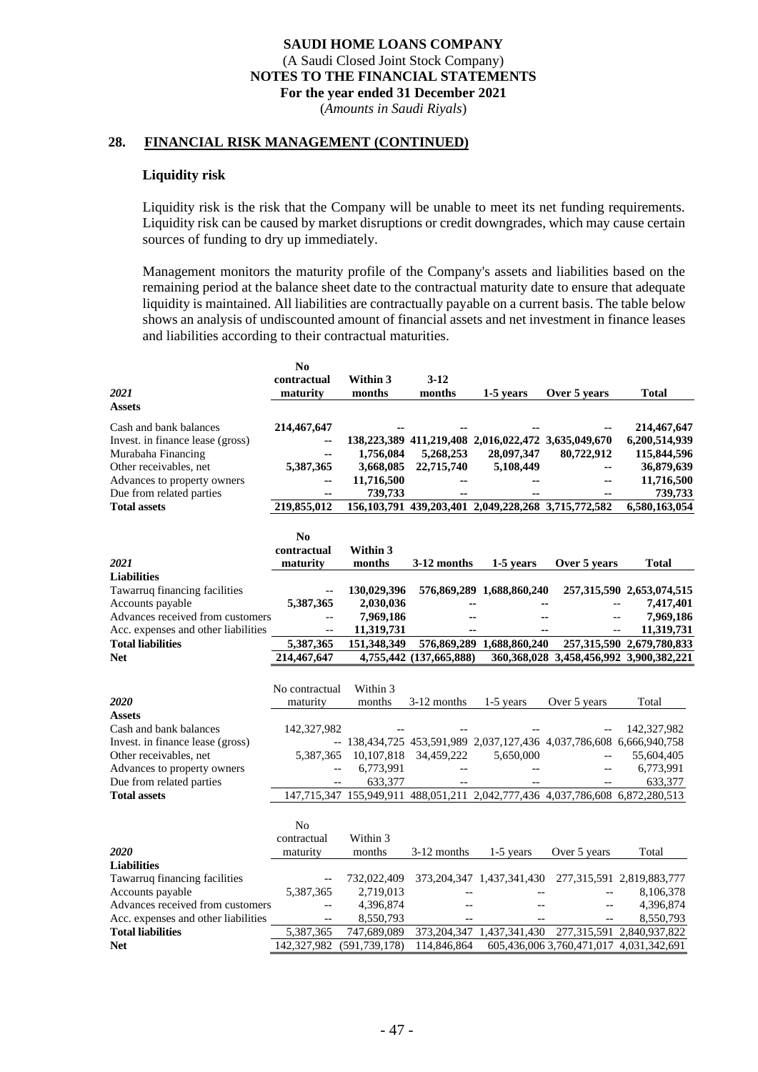(*Amounts in Saudi Riyals*)

#### **28. FINANCIAL RISK MANAGEMENT (CONTINUED)**

#### **Liquidity risk**

Liquidity risk is the risk that the Company will be unable to meet its net funding requirements. Liquidity risk can be caused by market disruptions or credit downgrades, which may cause certain sources of funding to dry up immediately.

Management monitors the maturity profile of the Company's assets and liabilities based on the remaining period at the balance sheet date to the contractual maturity date to ensure that adequate liquidity is maintained. All liabilities are contractually payable on a current basis. The table below shows an analysis of undiscounted amount of financial assets and net investment in finance leases and liabilities according to their contractual maturities.

|                                     | N <sub>0</sub> |                 |                          |                                                               |                                                                               |                                                 |
|-------------------------------------|----------------|-----------------|--------------------------|---------------------------------------------------------------|-------------------------------------------------------------------------------|-------------------------------------------------|
|                                     | contractual    | Within 3        | 3-12                     |                                                               |                                                                               |                                                 |
| 2021                                | maturity       | months          | months                   | 1-5 years                                                     | Over 5 years                                                                  | Total                                           |
| <b>Assets</b>                       |                |                 |                          |                                                               |                                                                               |                                                 |
|                                     |                |                 |                          |                                                               |                                                                               |                                                 |
| Cash and bank balances              | 214,467,647    |                 |                          |                                                               |                                                                               | 214,467,647                                     |
| Invest. in finance lease (gross)    | --             |                 |                          | 138,223,389 411,219,408 2,016,022,472 3,635,049,670           |                                                                               | 6,200,514,939                                   |
| Murabaha Financing                  | --             | 1,756,084       | 5,268,253                | 28,097,347                                                    | 80,722,912                                                                    | 115,844,596                                     |
| Other receivables, net              | 5,387,365      | 3,668,085       | 22,715,740               | 5,108,449                                                     |                                                                               | 36,879,639                                      |
| Advances to property owners         |                | 11,716,500      |                          |                                                               | --                                                                            | 11,716,500                                      |
| Due from related parties            | --             | 739,733         |                          |                                                               |                                                                               | 739,733                                         |
| <b>Total assets</b>                 | 219,855,012    |                 |                          | 156, 103, 791 439, 203, 401 2, 049, 228, 268 3, 715, 772, 582 |                                                                               | 6,580,163,054                                   |
|                                     |                |                 |                          |                                                               |                                                                               |                                                 |
|                                     | N <sub>0</sub> |                 |                          |                                                               |                                                                               |                                                 |
|                                     | contractual    | Within 3        |                          |                                                               |                                                                               |                                                 |
| 2021                                | maturity       | months          | 3-12 months              | 1-5 years                                                     | Over 5 years                                                                  | Total                                           |
| <b>Liabilities</b>                  |                |                 |                          |                                                               |                                                                               |                                                 |
| Tawarruq financing facilities       |                | 130,029,396     |                          | 576,869,289 1,688,860,240                                     |                                                                               | 257,315,590 2,653,074,515                       |
| Accounts payable                    | 5,387,365      | 2,030,036       |                          |                                                               |                                                                               | 7,417,401<br>$-$                                |
| Advances received from customers    | $-$            |                 |                          |                                                               |                                                                               | $\overline{\phantom{a}}$                        |
|                                     |                | 7,969,186       |                          |                                                               |                                                                               | 7,969,186                                       |
| Acc. expenses and other liabilities | $-$            | 11,319,731      |                          | --                                                            | --                                                                            | 11,319,731                                      |
| <b>Total liabilities</b>            | 5,387,365      | 151,348,349     |                          | 576,869,289 1,688,860,240                                     |                                                                               | 257, 315, 590 2, 679, 780, 833                  |
| <b>Net</b>                          | 214,467,647    |                 | 4,755,442 (137,665,888)  |                                                               |                                                                               | 360, 368, 028 3, 458, 456, 992 3, 900, 382, 221 |
|                                     |                |                 |                          |                                                               |                                                                               |                                                 |
|                                     | No contractual | Within 3        |                          |                                                               |                                                                               |                                                 |
| 2020                                | maturity       | months          | 3-12 months              | $1-5$ years                                                   | Over 5 years                                                                  | Total                                           |
| <b>Assets</b>                       |                |                 |                          |                                                               |                                                                               |                                                 |
| Cash and bank balances              | 142,327,982    |                 |                          |                                                               |                                                                               | 142,327,982                                     |
| Invest. in finance lease (gross)    |                |                 |                          |                                                               | -- 138,434,725 453,591,989 2,037,127,436 4,037,786,608 6,666,940,758          |                                                 |
| Other receivables, net              | 5,387,365      |                 | 10,107,818 34,459,222    | 5,650,000                                                     |                                                                               | 55,604,405                                      |
| Advances to property owners         | $-$            | 6,773,991       | $\overline{\phantom{a}}$ |                                                               |                                                                               | 6,773,991                                       |
| Due from related parties            | $- -$          | 633,377         | $\overline{\phantom{a}}$ |                                                               |                                                                               | 633,377                                         |
| <b>Total assets</b>                 |                |                 |                          |                                                               | 147,715,347 155,949,911 488,051,211 2,042,777,436 4,037,786,608 6,872,280,513 |                                                 |
|                                     |                |                 |                          |                                                               |                                                                               |                                                 |
|                                     | N <sub>0</sub> |                 |                          |                                                               |                                                                               |                                                 |
|                                     |                | Within 3        |                          |                                                               |                                                                               |                                                 |
| 2020                                | contractual    | months          |                          |                                                               |                                                                               | Total                                           |
|                                     | maturity       |                 | 3-12 months              | 1-5 years                                                     | Over 5 years                                                                  |                                                 |
| <b>Liabilities</b>                  |                |                 |                          |                                                               |                                                                               |                                                 |
| Tawarruq financing facilities       |                | 732,022,409     |                          | 373, 204, 347 1, 437, 341, 430                                |                                                                               | 277,315,591 2,819,883,777                       |
| Accounts payable                    | 5,387,365      | 2,719,013       |                          |                                                               |                                                                               | 8,106,378                                       |
| Advances received from customers    | $\overline{a}$ | 4,396,874       |                          |                                                               |                                                                               | 4,396,874                                       |
| Acc. expenses and other liabilities |                | 8,550,793       |                          |                                                               |                                                                               | 8,550,793                                       |
| <b>Total liabilities</b>            | 5,387,365      | 747,689,089     | 373, 204, 347            | 1,437,341,430                                                 |                                                                               | 277,315,591 2,840,937,822                       |
| <b>Net</b>                          | 142,327,982    | (591, 739, 178) | 114,846,864              |                                                               | 605,436,006 3,760,471,017 4,031,342,691                                       |                                                 |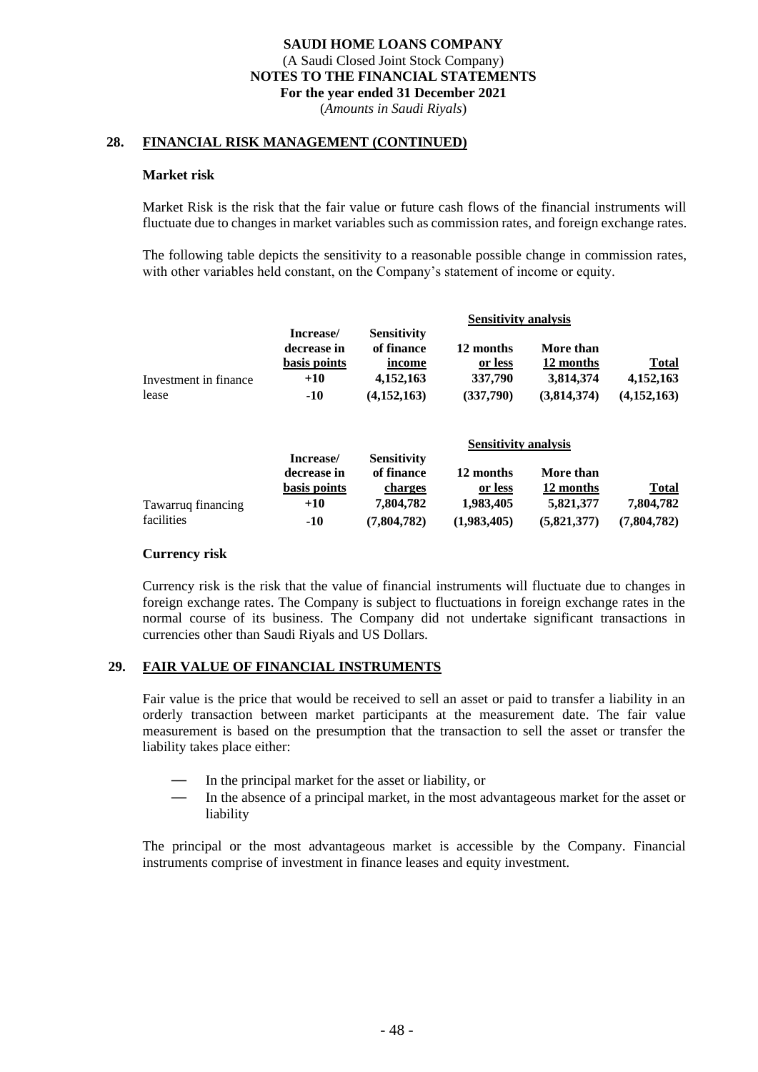(*Amounts in Saudi Riyals*)

#### **28. FINANCIAL RISK MANAGEMENT (CONTINUED)**

#### **Market risk**

Market Risk is the risk that the fair value or future cash flows of the financial instruments will fluctuate due to changes in market variables such as commission rates, and foreign exchange rates.

The following table depicts the sensitivity to a reasonable possible change in commission rates, with other variables held constant, on the Company's statement of income or equity.

|                       |                          | <b>Sensitivity analysis</b>      |           |             |              |  |
|-----------------------|--------------------------|----------------------------------|-----------|-------------|--------------|--|
|                       | Increase/<br>decrease in | <b>Sensitivity</b><br>of finance | 12 months | More than   |              |  |
|                       | basis points             | income                           | or less   | 12 months   | <b>Total</b> |  |
| Investment in finance | $+10$                    | 4,152,163                        | 337,790   | 3,814,374   | 4,152,163    |  |
| lease                 | $-10$                    | (4,152,163)                      | (337,790) | (3,814,374) | (4,152,163)  |  |
|                       |                          |                                  |           |             |              |  |

|                    |                          | Sensitivity analysis             |             |             |             |  |
|--------------------|--------------------------|----------------------------------|-------------|-------------|-------------|--|
|                    | Increase/<br>decrease in | <b>Sensitivity</b><br>of finance | 12 months   | More than   |             |  |
|                    | basis points             | charges                          | or less     | 12 months   | Total       |  |
| Tawarruq financing | $+10$                    | 7.804.782                        | 1,983,405   | 5,821,377   | 7.804.782   |  |
| facilities         | $-10$                    | (7.804.782)                      | (1,983,405) | (5,821,377) | (7,804,782) |  |

**Sensitivity analysis**

#### **Currency risk**

Currency risk is the risk that the value of financial instruments will fluctuate due to changes in foreign exchange rates. The Company is subject to fluctuations in foreign exchange rates in the normal course of its business. The Company did not undertake significant transactions in currencies other than Saudi Riyals and US Dollars.

#### **29. FAIR VALUE OF FINANCIAL INSTRUMENTS**

Fair value is the price that would be received to sell an asset or paid to transfer a liability in an orderly transaction between market participants at the measurement date. The fair value measurement is based on the presumption that the transaction to sell the asset or transfer the liability takes place either:

- In the principal market for the asset or liability, or
- In the absence of a principal market, in the most advantageous market for the asset or liability

The principal or the most advantageous market is accessible by the Company. Financial instruments comprise of investment in finance leases and equity investment.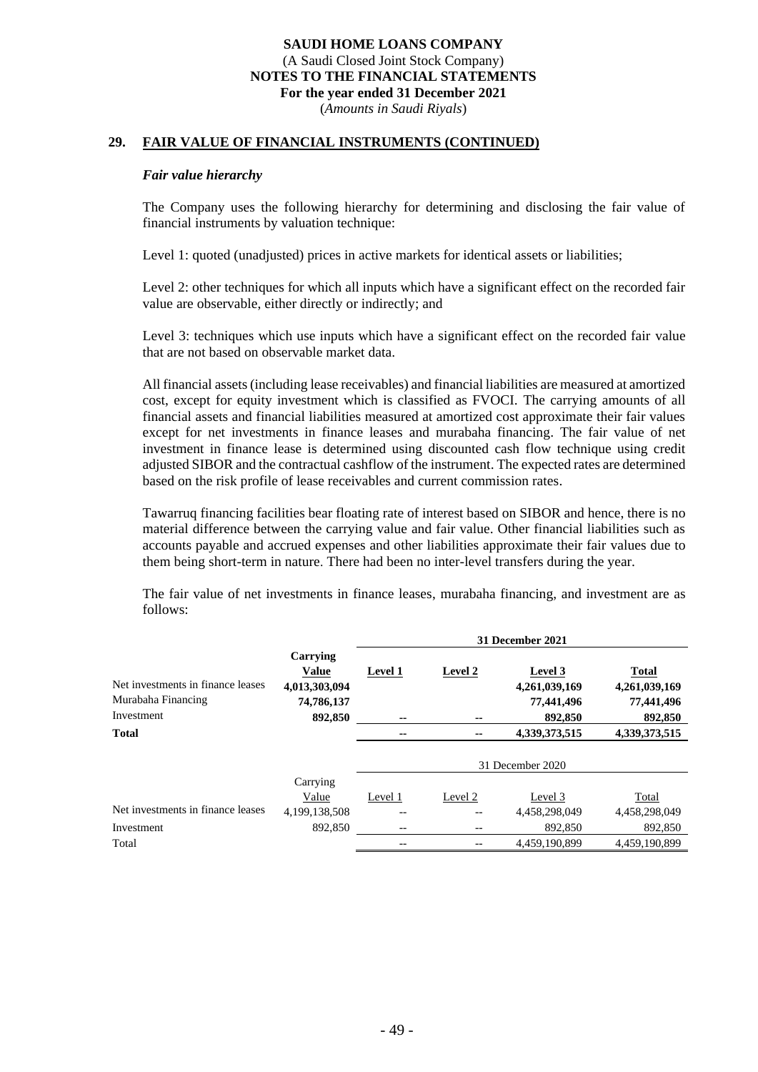(*Amounts in Saudi Riyals*)

## **29. FAIR VALUE OF FINANCIAL INSTRUMENTS (CONTINUED)**

#### *Fair value hierarchy*

The Company uses the following hierarchy for determining and disclosing the fair value of financial instruments by valuation technique:

Level 1: quoted (unadjusted) prices in active markets for identical assets or liabilities;

Level 2: other techniques for which all inputs which have a significant effect on the recorded fair value are observable, either directly or indirectly; and

Level 3: techniques which use inputs which have a significant effect on the recorded fair value that are not based on observable market data.

All financial assets (including lease receivables) and financial liabilities are measured at amortized cost, except for equity investment which is classified as FVOCI. The carrying amounts of all financial assets and financial liabilities measured at amortized cost approximate their fair values except for net investments in finance leases and murabaha financing. The fair value of net investment in finance lease is determined using discounted cash flow technique using credit adjusted SIBOR and the contractual cashflow of the instrument. The expected rates are determined based on the risk profile of lease receivables and current commission rates.

Tawarruq financing facilities bear floating rate of interest based on SIBOR and hence, there is no material difference between the carrying value and fair value. Other financial liabilities such as accounts payable and accrued expenses and other liabilities approximate their fair values due to them being short-term in nature. There had been no inter-level transfers during the year.

The fair value of net investments in finance leases, murabaha financing, and investment are as follows:

|                                   |               | 31 December 2021 |         |                  |               |  |
|-----------------------------------|---------------|------------------|---------|------------------|---------------|--|
|                                   | Carrying      |                  |         |                  |               |  |
|                                   | <b>Value</b>  | Level 1          | Level 2 | Level 3          | <b>Total</b>  |  |
| Net investments in finance leases | 4,013,303,094 |                  |         | 4,261,039,169    | 4,261,039,169 |  |
| Murabaha Financing                | 74,786,137    |                  |         | 77,441,496       | 77,441,496    |  |
| Investment                        | 892,850       | --               | --      | 892,850          | 892,850       |  |
| <b>Total</b>                      |               | --               | --      | 4,339,373,515    | 4,339,373,515 |  |
|                                   |               |                  |         |                  |               |  |
|                                   |               |                  |         | 31 December 2020 |               |  |
|                                   | Carrying      |                  |         |                  |               |  |
|                                   | Value         | Level 1          | Level 2 | Level 3          | Total         |  |
| Net investments in finance leases | 4,199,138,508 | --               | --      | 4,458,298,049    | 4,458,298,049 |  |
| Investment                        | 892,850       | $-$              | --      | 892,850          | 892,850       |  |
| Total                             |               | --               | --      | 4.459.190.899    | 4.459.190.899 |  |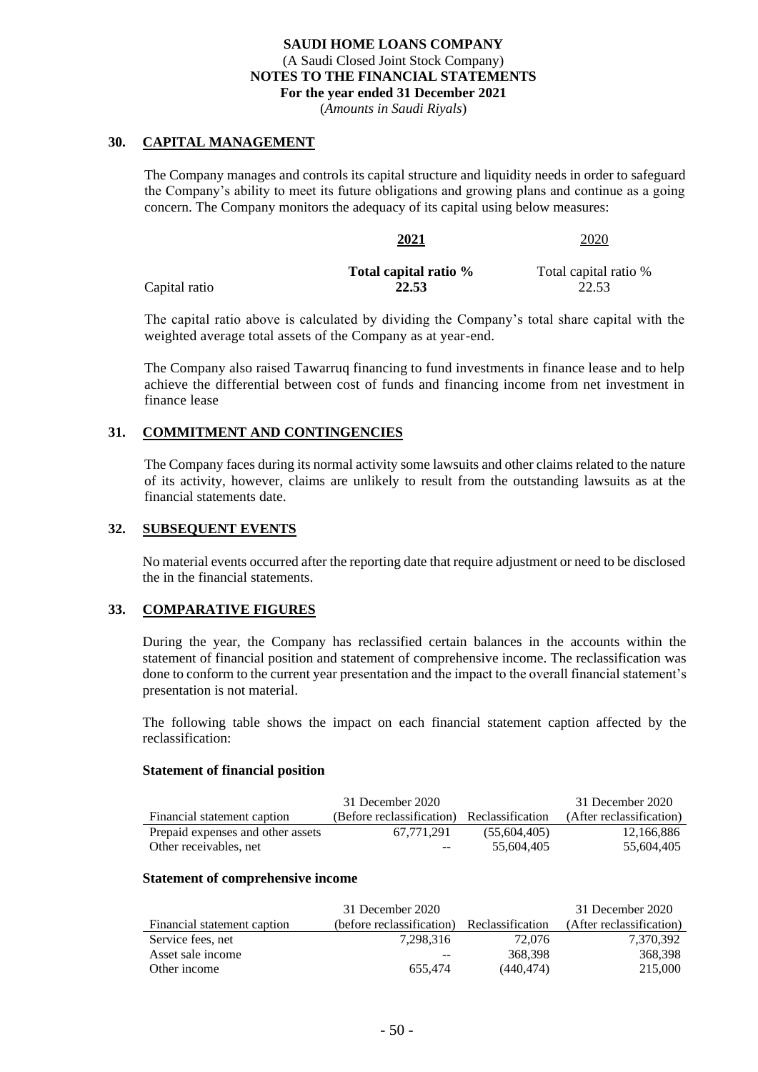(*Amounts in Saudi Riyals*)

#### **30. CAPITAL MANAGEMENT**

The Company manages and controls its capital structure and liquidity needs in order to safeguard the Company's ability to meet its future obligations and growing plans and continue as a going concern. The Company monitors the adequacy of its capital using below measures:

**2021** 2020

|               | Total capital ratio % | Total capital ratio % |
|---------------|-----------------------|-----------------------|
| Capital ratio | 22.53                 | 22.53                 |

The capital ratio above is calculated by dividing the Company's total share capital with the weighted average total assets of the Company as at year-end.

The Company also raised Tawarruq financing to fund investments in finance lease and to help achieve the differential between cost of funds and financing income from net investment in finance lease

## **31. COMMITMENT AND CONTINGENCIES**

The Company faces during its normal activity some lawsuits and other claims related to the nature of its activity, however, claims are unlikely to result from the outstanding lawsuits as at the financial statements date.

#### **32. SUBSEQUENT EVENTS**

No material events occurred after the reporting date that require adjustment or need to be disclosed the in the financial statements.

## **33. COMPARATIVE FIGURES**

During the year, the Company has reclassified certain balances in the accounts within the statement of financial position and statement of comprehensive income. The reclassification was done to conform to the current year presentation and the impact to the overall financial statement's presentation is not material.

The following table shows the impact on each financial statement caption affected by the reclassification:

#### **Statement of financial position**

|                                   | 31 December 2020                           |              | 31 December 2020         |
|-----------------------------------|--------------------------------------------|--------------|--------------------------|
| Financial statement caption       | (Before reclassification) Reclassification |              | (After reclassification) |
| Prepaid expenses and other assets | 67.771.291                                 | (55.604.405) | 12,166,886               |
| Other receivables, net            | $- -$                                      | 55.604.405   | 55.604.405               |

#### **Statement of comprehensive income**

|                             | 31 December 2020          |                  | 31 December 2020         |
|-----------------------------|---------------------------|------------------|--------------------------|
| Financial statement caption | (before reclassification) | Reclassification | (After reclassification) |
| Service fees, net           | 7.298.316                 | 72,076           | 7,370,392                |
| Asset sale income           | $- -$                     | 368,398          | 368,398                  |
| Other income                | 655.474                   | (440.474)        | 215,000                  |